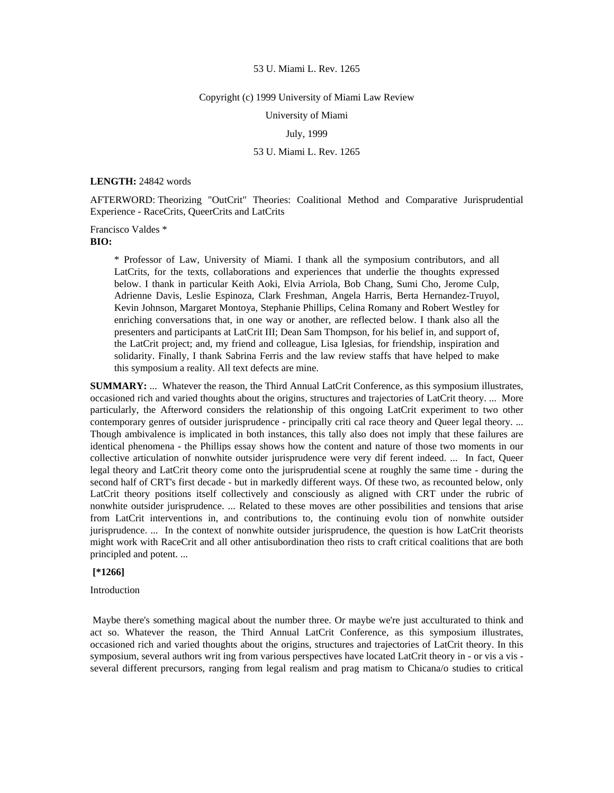#### Copyright (c) 1999 University of Miami Law Review

University of Miami

# July, 1999

# 53 U. Miami L. Rev. 1265

#### **LENGTH:** 24842 words

AFTERWORD: Theorizing "OutCrit" Theories: Coalitional Method and Comparative Jurisprudential Experience - RaceCrits, QueerCrits and LatCrits

Francisco Valdes \* **BIO:** 

\* Professor of Law, University of Miami. I thank all the symposium contributors, and all LatCrits, for the texts, collaborations and experiences that underlie the thoughts expressed below. I thank in particular Keith Aoki, Elvia Arriola, Bob Chang, Sumi Cho, Jerome Culp, Adrienne Davis, Leslie Espinoza, Clark Freshman, Angela Harris, Berta Hernandez-Truyol, Kevin Johnson, Margaret Montoya, Stephanie Phillips, Celina Romany and Robert Westley for enriching conversations that, in one way or another, are reflected below. I thank also all the presenters and participants at LatCrit III; Dean Sam Thompson, for his belief in, and support of, the LatCrit project; and, my friend and colleague, Lisa Iglesias, for friendship, inspiration and solidarity. Finally, I thank Sabrina Ferris and the law review staffs that have helped to make this symposium a reality. All text defects are mine.

**SUMMARY:** ... Whatever the reason, the Third Annual LatCrit Conference, as this symposium illustrates, occasioned rich and varied thoughts about the origins, structures and trajectories of LatCrit theory. ... More particularly, the Afterword considers the relationship of this ongoing LatCrit experiment to two other contemporary genres of outsider jurisprudence - principally criti cal race theory and Queer legal theory. ... Though ambivalence is implicated in both instances, this tally also does not imply that these failures are identical phenomena - the Phillips essay shows how the content and nature of those two moments in our collective articulation of nonwhite outsider jurisprudence were very dif ferent indeed. ... In fact, Queer legal theory and LatCrit theory come onto the jurisprudential scene at roughly the same time - during the second half of CRT's first decade - but in markedly different ways. Of these two, as recounted below, only LatCrit theory positions itself collectively and consciously as aligned with CRT under the rubric of nonwhite outsider jurisprudence. ... Related to these moves are other possibilities and tensions that arise from LatCrit interventions in, and contributions to, the continuing evolu tion of nonwhite outsider jurisprudence. ... In the context of nonwhite outsider jurisprudence, the question is how LatCrit theorists might work with RaceCrit and all other antisubordination theo rists to craft critical coalitions that are both principled and potent. ...

# **[\*1266]**

Introduction

 Maybe there's something magical about the number three. Or maybe we're just acculturated to think and act so. Whatever the reason, the Third Annual LatCrit Conference, as this symposium illustrates, occasioned rich and varied thoughts about the origins, structures and trajectories of LatCrit theory. In this symposium, several authors writ ing from various perspectives have located LatCrit theory in - or vis a vis several different precursors, ranging from legal realism and prag matism to Chicana/o studies to critical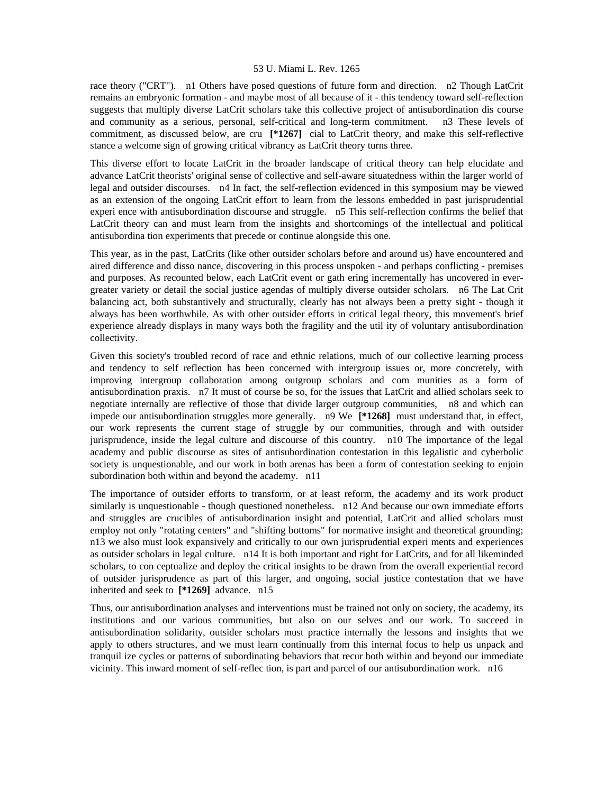race theory ("CRT"). n1 Others have posed questions of future form and direction. n2 Though LatCrit remains an embryonic formation - and maybe most of all because of it - this tendency toward self-reflection suggests that multiply diverse LatCrit scholars take this collective project of antisubordination dis course and community as a serious, personal, self-critical and long-term commitment. n3 These levels of commitment, as discussed below, are cru **[\*1267]** cial to LatCrit theory, and make this self-reflective stance a welcome sign of growing critical vibrancy as LatCrit theory turns three.

This diverse effort to locate LatCrit in the broader landscape of critical theory can help elucidate and advance LatCrit theorists' original sense of collective and self-aware situatedness within the larger world of legal and outsider discourses. n4 In fact, the self-reflection evidenced in this symposium may be viewed as an extension of the ongoing LatCrit effort to learn from the lessons embedded in past jurisprudential experi ence with antisubordination discourse and struggle. n5 This self-reflection confirms the belief that LatCrit theory can and must learn from the insights and shortcomings of the intellectual and political antisubordina tion experiments that precede or continue alongside this one.

This year, as in the past, LatCrits (like other outsider scholars before and around us) have encountered and aired difference and disso nance, discovering in this process unspoken - and perhaps conflicting - premises and purposes. As recounted below, each LatCrit event or gath ering incrementally has uncovered in evergreater variety or detail the social justice agendas of multiply diverse outsider scholars. n6 The Lat Crit balancing act, both substantively and structurally, clearly has not always been a pretty sight - though it always has been worthwhile. As with other outsider efforts in critical legal theory, this movement's brief experience already displays in many ways both the fragility and the util ity of voluntary antisubordination collectivity.

Given this society's troubled record of race and ethnic relations, much of our collective learning process and tendency to self reflection has been concerned with intergroup issues or, more concretely, with improving intergroup collaboration among outgroup scholars and com munities as a form of antisubordination praxis. n7 It must of course be so, for the issues that LatCrit and allied scholars seek to negotiate internally are reflective of those that divide larger outgroup communities, n8 and which can impede our antisubordination struggles more generally. n9 We **[\*1268]** must understand that, in effect, our work represents the current stage of struggle by our communities, through and with outsider jurisprudence, inside the legal culture and discourse of this country. n10 The importance of the legal academy and public discourse as sites of antisubordination contestation in this legalistic and cyberbolic society is unquestionable, and our work in both arenas has been a form of contestation seeking to enjoin subordination both within and beyond the academy. n11

The importance of outsider efforts to transform, or at least reform, the academy and its work product similarly is unquestionable - though questioned nonetheless. n12 And because our own immediate efforts and struggles are crucibles of antisubordination insight and potential, LatCrit and allied scholars must employ not only "rotating centers" and "shifting bottoms" for normative insight and theoretical grounding; n13 we also must look expansively and critically to our own jurisprudential experi ments and experiences as outsider scholars in legal culture. n14 It is both important and right for LatCrits, and for all likeminded scholars, to con ceptualize and deploy the critical insights to be drawn from the overall experiential record of outsider jurisprudence as part of this larger, and ongoing, social justice contestation that we have inherited and seek to **[\*1269]** advance. n15

Thus, our antisubordination analyses and interventions must be trained not only on society, the academy, its institutions and our various communities, but also on our selves and our work. To succeed in antisubordination solidarity, outsider scholars must practice internally the lessons and insights that we apply to others structures, and we must learn continually from this internal focus to help us unpack and tranquil ize cycles or patterns of subordinating behaviors that recur both within and beyond our immediate vicinity. This inward moment of self-reflec tion, is part and parcel of our antisubordination work. n16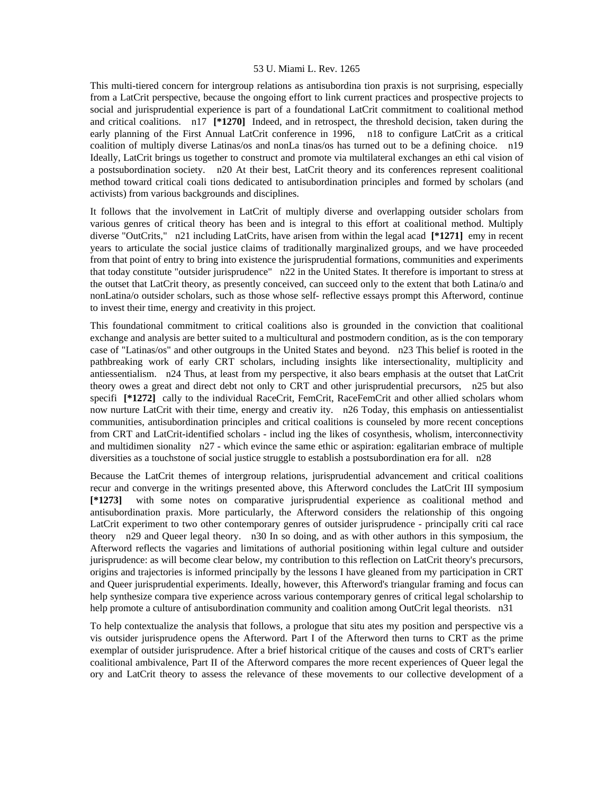This multi-tiered concern for intergroup relations as antisubordina tion praxis is not surprising, especially from a LatCrit perspective, because the ongoing effort to link current practices and prospective projects to social and jurisprudential experience is part of a foundational LatCrit commitment to coalitional method and critical coalitions. n17 **[\*1270]** Indeed, and in retrospect, the threshold decision, taken during the early planning of the First Annual LatCrit conference in 1996, n18 to configure LatCrit as a critical coalition of multiply diverse Latinas/os and nonLa tinas/os has turned out to be a defining choice. n19 Ideally, LatCrit brings us together to construct and promote via multilateral exchanges an ethi cal vision of a postsubordination society. n20 At their best, LatCrit theory and its conferences represent coalitional method toward critical coali tions dedicated to antisubordination principles and formed by scholars (and activists) from various backgrounds and disciplines.

It follows that the involvement in LatCrit of multiply diverse and overlapping outsider scholars from various genres of critical theory has been and is integral to this effort at coalitional method. Multiply diverse "OutCrits," n21 including LatCrits, have arisen from within the legal acad **[\*1271]** emy in recent years to articulate the social justice claims of traditionally marginalized groups, and we have proceeded from that point of entry to bring into existence the jurisprudential formations, communities and experiments that today constitute "outsider jurisprudence" n22 in the United States. It therefore is important to stress at the outset that LatCrit theory, as presently conceived, can succeed only to the extent that both Latina/o and nonLatina/o outsider scholars, such as those whose self- reflective essays prompt this Afterword, continue to invest their time, energy and creativity in this project.

This foundational commitment to critical coalitions also is grounded in the conviction that coalitional exchange and analysis are better suited to a multicultural and postmodern condition, as is the con temporary case of "Latinas/os" and other outgroups in the United States and beyond. n23 This belief is rooted in the pathbreaking work of early CRT scholars, including insights like intersectionality, multiplicity and antiessentialism. n24 Thus, at least from my perspective, it also bears emphasis at the outset that LatCrit theory owes a great and direct debt not only to CRT and other jurisprudential precursors, n25 but also specifi **[\*1272]** cally to the individual RaceCrit, FemCrit, RaceFemCrit and other allied scholars whom now nurture LatCrit with their time, energy and creativ ity. n26 Today, this emphasis on antiessentialist communities, antisubordination principles and critical coalitions is counseled by more recent conceptions from CRT and LatCrit-identified scholars - includ ing the likes of cosynthesis, wholism, interconnectivity and multidimen sionality n27 - which evince the same ethic or aspiration: egalitarian embrace of multiple diversities as a touchstone of social justice struggle to establish a postsubordination era for all. n28

Because the LatCrit themes of intergroup relations, jurisprudential advancement and critical coalitions recur and converge in the writings presented above, this Afterword concludes the LatCrit III symposium **[\*1273]** with some notes on comparative jurisprudential experience as coalitional method and antisubordination praxis. More particularly, the Afterword considers the relationship of this ongoing LatCrit experiment to two other contemporary genres of outsider jurisprudence - principally criti cal race theory n29 and Queer legal theory. n30 In so doing, and as with other authors in this symposium, the Afterword reflects the vagaries and limitations of authorial positioning within legal culture and outsider jurisprudence: as will become clear below, my contribution to this reflection on LatCrit theory's precursors, origins and trajectories is informed principally by the lessons I have gleaned from my participation in CRT and Queer jurisprudential experiments. Ideally, however, this Afterword's triangular framing and focus can help synthesize compara tive experience across various contemporary genres of critical legal scholarship to help promote a culture of antisubordination community and coalition among OutCrit legal theorists. n31

To help contextualize the analysis that follows, a prologue that situ ates my position and perspective vis a vis outsider jurisprudence opens the Afterword. Part I of the Afterword then turns to CRT as the prime exemplar of outsider jurisprudence. After a brief historical critique of the causes and costs of CRT's earlier coalitional ambivalence, Part II of the Afterword compares the more recent experiences of Queer legal the ory and LatCrit theory to assess the relevance of these movements to our collective development of a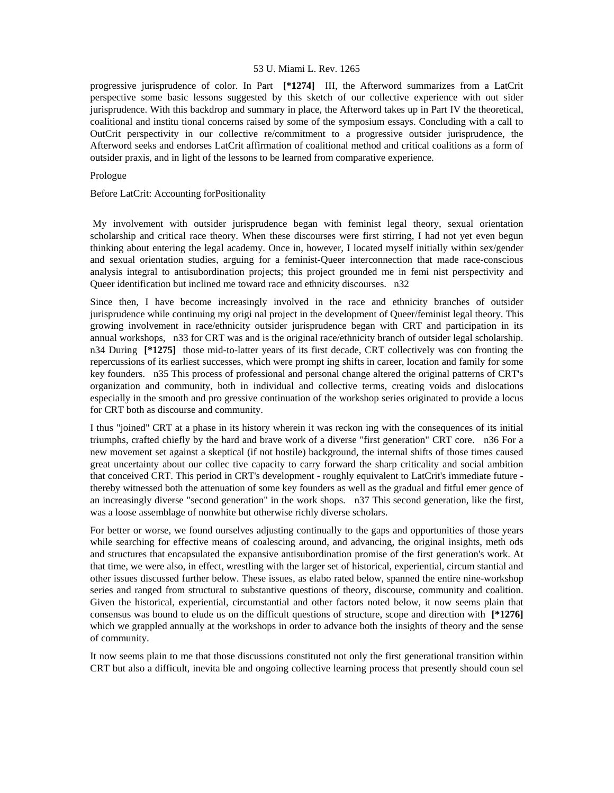progressive jurisprudence of color. In Part **[\*1274]** III, the Afterword summarizes from a LatCrit perspective some basic lessons suggested by this sketch of our collective experience with out sider jurisprudence. With this backdrop and summary in place, the Afterword takes up in Part IV the theoretical, coalitional and institu tional concerns raised by some of the symposium essays. Concluding with a call to OutCrit perspectivity in our collective re/commitment to a progressive outsider jurisprudence, the Afterword seeks and endorses LatCrit affirmation of coalitional method and critical coalitions as a form of outsider praxis, and in light of the lessons to be learned from comparative experience.

# Prologue

Before LatCrit: Accounting forPositionality

 My involvement with outsider jurisprudence began with feminist legal theory, sexual orientation scholarship and critical race theory. When these discourses were first stirring, I had not yet even begun thinking about entering the legal academy. Once in, however, I located myself initially within sex/gender and sexual orientation studies, arguing for a feminist-Queer interconnection that made race-conscious analysis integral to antisubordination projects; this project grounded me in femi nist perspectivity and Queer identification but inclined me toward race and ethnicity discourses. n32

Since then, I have become increasingly involved in the race and ethnicity branches of outsider jurisprudence while continuing my origi nal project in the development of Queer/feminist legal theory. This growing involvement in race/ethnicity outsider jurisprudence began with CRT and participation in its annual workshops, n33 for CRT was and is the original race/ethnicity branch of outsider legal scholarship. n34 During **[\*1275]** those mid-to-latter years of its first decade, CRT collectively was con fronting the repercussions of its earliest successes, which were prompt ing shifts in career, location and family for some key founders. n35 This process of professional and personal change altered the original patterns of CRT's organization and community, both in individual and collective terms, creating voids and dislocations especially in the smooth and pro gressive continuation of the workshop series originated to provide a locus for CRT both as discourse and community.

I thus "joined" CRT at a phase in its history wherein it was reckon ing with the consequences of its initial triumphs, crafted chiefly by the hard and brave work of a diverse "first generation" CRT core. n36 For a new movement set against a skeptical (if not hostile) background, the internal shifts of those times caused great uncertainty about our collec tive capacity to carry forward the sharp criticality and social ambition that conceived CRT. This period in CRT's development - roughly equivalent to LatCrit's immediate future thereby witnessed both the attenuation of some key founders as well as the gradual and fitful emer gence of an increasingly diverse "second generation" in the work shops. n37 This second generation, like the first, was a loose assemblage of nonwhite but otherwise richly diverse scholars.

For better or worse, we found ourselves adjusting continually to the gaps and opportunities of those years while searching for effective means of coalescing around, and advancing, the original insights, meth ods and structures that encapsulated the expansive antisubordination promise of the first generation's work. At that time, we were also, in effect, wrestling with the larger set of historical, experiential, circum stantial and other issues discussed further below. These issues, as elabo rated below, spanned the entire nine-workshop series and ranged from structural to substantive questions of theory, discourse, community and coalition. Given the historical, experiential, circumstantial and other factors noted below, it now seems plain that consensus was bound to elude us on the difficult questions of structure, scope and direction with **[\*1276]**  which we grappled annually at the workshops in order to advance both the insights of theory and the sense of community.

It now seems plain to me that those discussions constituted not only the first generational transition within CRT but also a difficult, inevita ble and ongoing collective learning process that presently should coun sel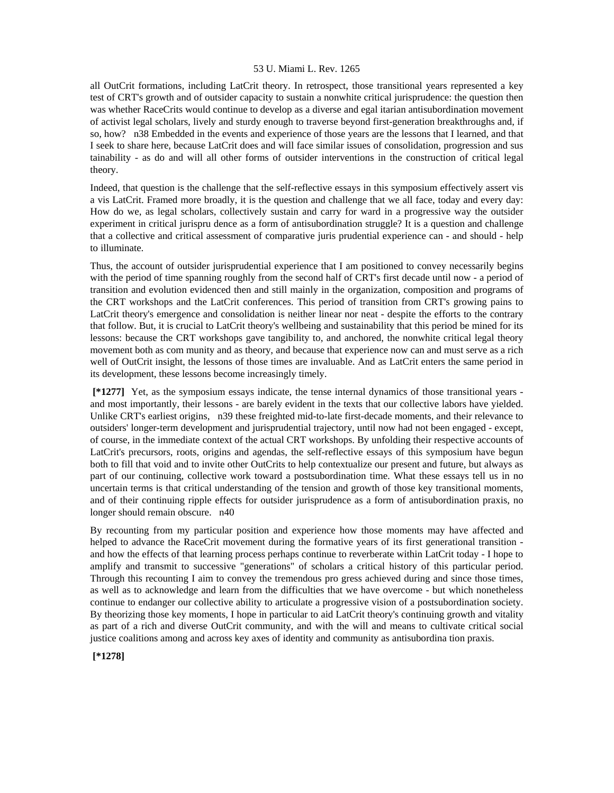all OutCrit formations, including LatCrit theory. In retrospect, those transitional years represented a key test of CRT's growth and of outsider capacity to sustain a nonwhite critical jurisprudence: the question then was whether RaceCrits would continue to develop as a diverse and egal itarian antisubordination movement of activist legal scholars, lively and sturdy enough to traverse beyond first-generation breakthroughs and, if so, how? n38 Embedded in the events and experience of those years are the lessons that I learned, and that I seek to share here, because LatCrit does and will face similar issues of consolidation, progression and sus tainability - as do and will all other forms of outsider interventions in the construction of critical legal theory.

Indeed, that question is the challenge that the self-reflective essays in this symposium effectively assert vis a vis LatCrit. Framed more broadly, it is the question and challenge that we all face, today and every day: How do we, as legal scholars, collectively sustain and carry for ward in a progressive way the outsider experiment in critical jurispru dence as a form of antisubordination struggle? It is a question and challenge that a collective and critical assessment of comparative juris prudential experience can - and should - help to illuminate.

Thus, the account of outsider jurisprudential experience that I am positioned to convey necessarily begins with the period of time spanning roughly from the second half of CRT's first decade until now - a period of transition and evolution evidenced then and still mainly in the organization, composition and programs of the CRT workshops and the LatCrit conferences. This period of transition from CRT's growing pains to LatCrit theory's emergence and consolidation is neither linear nor neat - despite the efforts to the contrary that follow. But, it is crucial to LatCrit theory's wellbeing and sustainability that this period be mined for its lessons: because the CRT workshops gave tangibility to, and anchored, the nonwhite critical legal theory movement both as com munity and as theory, and because that experience now can and must serve as a rich well of OutCrit insight, the lessons of those times are invaluable. And as LatCrit enters the same period in its development, these lessons become increasingly timely.

 **[\*1277]** Yet, as the symposium essays indicate, the tense internal dynamics of those transitional years and most importantly, their lessons - are barely evident in the texts that our collective labors have yielded. Unlike CRT's earliest origins, n39 these freighted mid-to-late first-decade moments, and their relevance to outsiders' longer-term development and jurisprudential trajectory, until now had not been engaged - except, of course, in the immediate context of the actual CRT workshops. By unfolding their respective accounts of LatCrit's precursors, roots, origins and agendas, the self-reflective essays of this symposium have begun both to fill that void and to invite other OutCrits to help contextualize our present and future, but always as part of our continuing, collective work toward a postsubordination time. What these essays tell us in no uncertain terms is that critical understanding of the tension and growth of those key transitional moments, and of their continuing ripple effects for outsider jurisprudence as a form of antisubordination praxis, no longer should remain obscure. n40

By recounting from my particular position and experience how those moments may have affected and helped to advance the RaceCrit movement during the formative years of its first generational transition and how the effects of that learning process perhaps continue to reverberate within LatCrit today - I hope to amplify and transmit to successive "generations" of scholars a critical history of this particular period. Through this recounting I aim to convey the tremendous pro gress achieved during and since those times, as well as to acknowledge and learn from the difficulties that we have overcome - but which nonetheless continue to endanger our collective ability to articulate a progressive vision of a postsubordination society. By theorizing those key moments, I hope in particular to aid LatCrit theory's continuing growth and vitality as part of a rich and diverse OutCrit community, and with the will and means to cultivate critical social justice coalitions among and across key axes of identity and community as antisubordina tion praxis.

 **[\*1278]**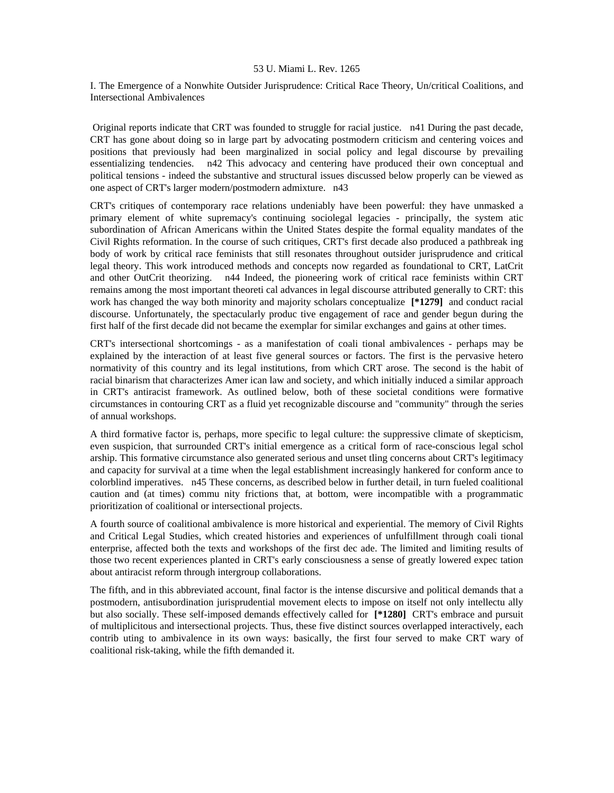I. The Emergence of a Nonwhite Outsider Jurisprudence: Critical Race Theory, Un/critical Coalitions, and Intersectional Ambivalences

 Original reports indicate that CRT was founded to struggle for racial justice. n41 During the past decade, CRT has gone about doing so in large part by advocating postmodern criticism and centering voices and positions that previously had been marginalized in social policy and legal discourse by prevailing essentializing tendencies. n42 This advocacy and centering have produced their own conceptual and political tensions - indeed the substantive and structural issues discussed below properly can be viewed as one aspect of CRT's larger modern/postmodern admixture. n43

CRT's critiques of contemporary race relations undeniably have been powerful: they have unmasked a primary element of white supremacy's continuing sociolegal legacies - principally, the system atic subordination of African Americans within the United States despite the formal equality mandates of the Civil Rights reformation. In the course of such critiques, CRT's first decade also produced a pathbreak ing body of work by critical race feminists that still resonates throughout outsider jurisprudence and critical legal theory. This work introduced methods and concepts now regarded as foundational to CRT, LatCrit and other OutCrit theorizing. n44 Indeed, the pioneering work of critical race feminists within CRT remains among the most important theoreti cal advances in legal discourse attributed generally to CRT: this work has changed the way both minority and majority scholars conceptualize **[\*1279]** and conduct racial discourse. Unfortunately, the spectacularly produc tive engagement of race and gender begun during the first half of the first decade did not became the exemplar for similar exchanges and gains at other times.

CRT's intersectional shortcomings - as a manifestation of coali tional ambivalences - perhaps may be explained by the interaction of at least five general sources or factors. The first is the pervasive hetero normativity of this country and its legal institutions, from which CRT arose. The second is the habit of racial binarism that characterizes Amer ican law and society, and which initially induced a similar approach in CRT's antiracist framework. As outlined below, both of these societal conditions were formative circumstances in contouring CRT as a fluid yet recognizable discourse and "community" through the series of annual workshops.

A third formative factor is, perhaps, more specific to legal culture: the suppressive climate of skepticism, even suspicion, that surrounded CRT's initial emergence as a critical form of race-conscious legal schol arship. This formative circumstance also generated serious and unset tling concerns about CRT's legitimacy and capacity for survival at a time when the legal establishment increasingly hankered for conform ance to colorblind imperatives. n45 These concerns, as described below in further detail, in turn fueled coalitional caution and (at times) commu nity frictions that, at bottom, were incompatible with a programmatic prioritization of coalitional or intersectional projects.

A fourth source of coalitional ambivalence is more historical and experiential. The memory of Civil Rights and Critical Legal Studies, which created histories and experiences of unfulfillment through coali tional enterprise, affected both the texts and workshops of the first dec ade. The limited and limiting results of those two recent experiences planted in CRT's early consciousness a sense of greatly lowered expec tation about antiracist reform through intergroup collaborations.

The fifth, and in this abbreviated account, final factor is the intense discursive and political demands that a postmodern, antisubordination jurisprudential movement elects to impose on itself not only intellectu ally but also socially. These self-imposed demands effectively called for **[\*1280]** CRT's embrace and pursuit of multiplicitous and intersectional projects. Thus, these five distinct sources overlapped interactively, each contrib uting to ambivalence in its own ways: basically, the first four served to make CRT wary of coalitional risk-taking, while the fifth demanded it.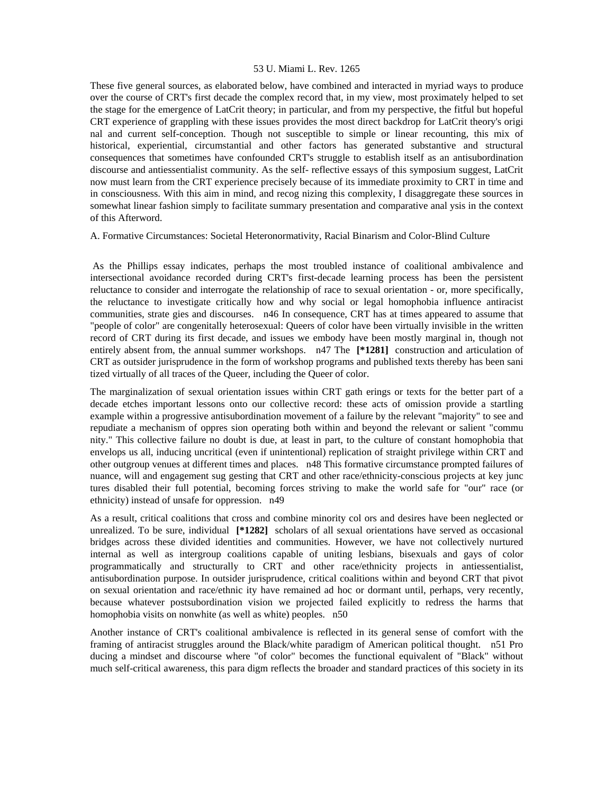These five general sources, as elaborated below, have combined and interacted in myriad ways to produce over the course of CRT's first decade the complex record that, in my view, most proximately helped to set the stage for the emergence of LatCrit theory; in particular, and from my perspective, the fitful but hopeful CRT experience of grappling with these issues provides the most direct backdrop for LatCrit theory's origi nal and current self-conception. Though not susceptible to simple or linear recounting, this mix of historical, experiential, circumstantial and other factors has generated substantive and structural consequences that sometimes have confounded CRT's struggle to establish itself as an antisubordination discourse and antiessentialist community. As the self- reflective essays of this symposium suggest, LatCrit now must learn from the CRT experience precisely because of its immediate proximity to CRT in time and in consciousness. With this aim in mind, and recog nizing this complexity, I disaggregate these sources in somewhat linear fashion simply to facilitate summary presentation and comparative anal ysis in the context of this Afterword.

A. Formative Circumstances: Societal Heteronormativity, Racial Binarism and Color-Blind Culture

 As the Phillips essay indicates, perhaps the most troubled instance of coalitional ambivalence and intersectional avoidance recorded during CRT's first-decade learning process has been the persistent reluctance to consider and interrogate the relationship of race to sexual orientation - or, more specifically, the reluctance to investigate critically how and why social or legal homophobia influence antiracist communities, strate gies and discourses. n46 In consequence, CRT has at times appeared to assume that "people of color" are congenitally heterosexual: Queers of color have been virtually invisible in the written record of CRT during its first decade, and issues we embody have been mostly marginal in, though not entirely absent from, the annual summer workshops. n47 The **[\*1281]** construction and articulation of CRT as outsider jurisprudence in the form of workshop programs and published texts thereby has been sani tized virtually of all traces of the Queer, including the Queer of color.

The marginalization of sexual orientation issues within CRT gath erings or texts for the better part of a decade etches important lessons onto our collective record: these acts of omission provide a startling example within a progressive antisubordination movement of a failure by the relevant "majority" to see and repudiate a mechanism of oppres sion operating both within and beyond the relevant or salient "commu nity." This collective failure no doubt is due, at least in part, to the culture of constant homophobia that envelops us all, inducing uncritical (even if unintentional) replication of straight privilege within CRT and other outgroup venues at different times and places. n48 This formative circumstance prompted failures of nuance, will and engagement sug gesting that CRT and other race/ethnicity-conscious projects at key junc tures disabled their full potential, becoming forces striving to make the world safe for "our" race (or ethnicity) instead of unsafe for oppression. n49

As a result, critical coalitions that cross and combine minority col ors and desires have been neglected or unrealized. To be sure, individual **[\*1282]** scholars of all sexual orientations have served as occasional bridges across these divided identities and communities. However, we have not collectively nurtured internal as well as intergroup coalitions capable of uniting lesbians, bisexuals and gays of color programmatically and structurally to CRT and other race/ethnicity projects in antiessentialist, antisubordination purpose. In outsider jurisprudence, critical coalitions within and beyond CRT that pivot on sexual orientation and race/ethnic ity have remained ad hoc or dormant until, perhaps, very recently, because whatever postsubordination vision we projected failed explicitly to redress the harms that homophobia visits on nonwhite (as well as white) peoples. n50

Another instance of CRT's coalitional ambivalence is reflected in its general sense of comfort with the framing of antiracist struggles around the Black/white paradigm of American political thought. n51 Pro ducing a mindset and discourse where "of color" becomes the functional equivalent of "Black" without much self-critical awareness, this para digm reflects the broader and standard practices of this society in its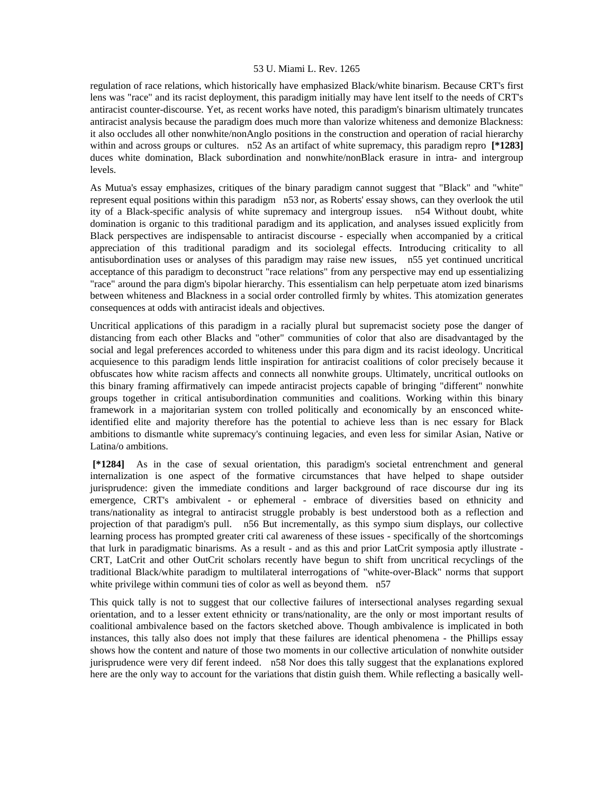regulation of race relations, which historically have emphasized Black/white binarism. Because CRT's first lens was "race" and its racist deployment, this paradigm initially may have lent itself to the needs of CRT's antiracist counter-discourse. Yet, as recent works have noted, this paradigm's binarism ultimately truncates antiracist analysis because the paradigm does much more than valorize whiteness and demonize Blackness: it also occludes all other nonwhite/nonAnglo positions in the construction and operation of racial hierarchy within and across groups or cultures. n52 As an artifact of white supremacy, this paradigm repro **[\*1283]**  duces white domination, Black subordination and nonwhite/nonBlack erasure in intra- and intergroup levels.

As Mutua's essay emphasizes, critiques of the binary paradigm cannot suggest that "Black" and "white" represent equal positions within this paradigm n53 nor, as Roberts' essay shows, can they overlook the util ity of a Black-specific analysis of white supremacy and intergroup issues. n54 Without doubt, white domination is organic to this traditional paradigm and its application, and analyses issued explicitly from Black perspectives are indispensable to antiracist discourse - especially when accompanied by a critical appreciation of this traditional paradigm and its sociolegal effects. Introducing criticality to all antisubordination uses or analyses of this paradigm may raise new issues, n55 yet continued uncritical acceptance of this paradigm to deconstruct "race relations" from any perspective may end up essentializing "race" around the para digm's bipolar hierarchy. This essentialism can help perpetuate atom ized binarisms between whiteness and Blackness in a social order controlled firmly by whites. This atomization generates consequences at odds with antiracist ideals and objectives.

Uncritical applications of this paradigm in a racially plural but supremacist society pose the danger of distancing from each other Blacks and "other" communities of color that also are disadvantaged by the social and legal preferences accorded to whiteness under this para digm and its racist ideology. Uncritical acquiesence to this paradigm lends little inspiration for antiracist coalitions of color precisely because it obfuscates how white racism affects and connects all nonwhite groups. Ultimately, uncritical outlooks on this binary framing affirmatively can impede antiracist projects capable of bringing "different" nonwhite groups together in critical antisubordination communities and coalitions. Working within this binary framework in a majoritarian system con trolled politically and economically by an ensconced whiteidentified elite and majority therefore has the potential to achieve less than is nec essary for Black ambitions to dismantle white supremacy's continuing legacies, and even less for similar Asian, Native or Latina/o ambitions.

 **[\*1284]** As in the case of sexual orientation, this paradigm's societal entrenchment and general internalization is one aspect of the formative circumstances that have helped to shape outsider jurisprudence: given the immediate conditions and larger background of race discourse dur ing its emergence, CRT's ambivalent - or ephemeral - embrace of diversities based on ethnicity and trans/nationality as integral to antiracist struggle probably is best understood both as a reflection and projection of that paradigm's pull. n56 But incrementally, as this sympo sium displays, our collective learning process has prompted greater criti cal awareness of these issues - specifically of the shortcomings that lurk in paradigmatic binarisms. As a result - and as this and prior LatCrit symposia aptly illustrate - CRT, LatCrit and other OutCrit scholars recently have begun to shift from uncritical recyclings of the traditional Black/white paradigm to multilateral interrogations of "white-over-Black" norms that support white privilege within communi ties of color as well as beyond them. n57

This quick tally is not to suggest that our collective failures of intersectional analyses regarding sexual orientation, and to a lesser extent ethnicity or trans/nationality, are the only or most important results of coalitional ambivalence based on the factors sketched above. Though ambivalence is implicated in both instances, this tally also does not imply that these failures are identical phenomena - the Phillips essay shows how the content and nature of those two moments in our collective articulation of nonwhite outsider jurisprudence were very dif ferent indeed. n58 Nor does this tally suggest that the explanations explored here are the only way to account for the variations that distin guish them. While reflecting a basically well-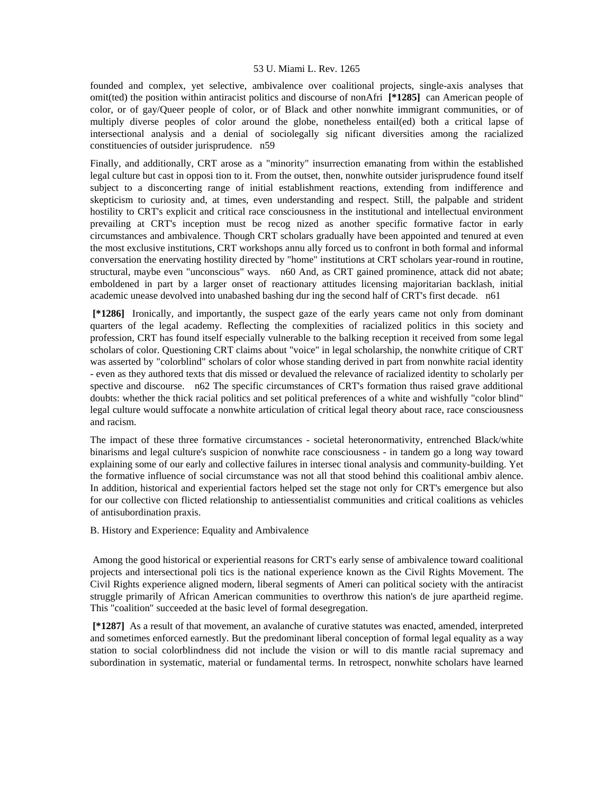founded and complex, yet selective, ambivalence over coalitional projects, single-axis analyses that omit(ted) the position within antiracist politics and discourse of nonAfri **[\*1285]** can American people of color, or of gay/Queer people of color, or of Black and other nonwhite immigrant communities, or of multiply diverse peoples of color around the globe, nonetheless entail(ed) both a critical lapse of intersectional analysis and a denial of sociolegally sig nificant diversities among the racialized constituencies of outsider jurisprudence. n59

Finally, and additionally, CRT arose as a "minority" insurrection emanating from within the established legal culture but cast in opposi tion to it. From the outset, then, nonwhite outsider jurisprudence found itself subject to a disconcerting range of initial establishment reactions, extending from indifference and skepticism to curiosity and, at times, even understanding and respect. Still, the palpable and strident hostility to CRT's explicit and critical race consciousness in the institutional and intellectual environment prevailing at CRT's inception must be recog nized as another specific formative factor in early circumstances and ambivalence. Though CRT scholars gradually have been appointed and tenured at even the most exclusive institutions, CRT workshops annu ally forced us to confront in both formal and informal conversation the enervating hostility directed by "home" institutions at CRT scholars year-round in routine, structural, maybe even "unconscious" ways. n60 And, as CRT gained prominence, attack did not abate; emboldened in part by a larger onset of reactionary attitudes licensing majoritarian backlash, initial academic unease devolved into unabashed bashing dur ing the second half of CRT's first decade. n61

 **[\*1286]** Ironically, and importantly, the suspect gaze of the early years came not only from dominant quarters of the legal academy. Reflecting the complexities of racialized politics in this society and profession, CRT has found itself especially vulnerable to the balking reception it received from some legal scholars of color. Questioning CRT claims about "voice" in legal scholarship, the nonwhite critique of CRT was asserted by "colorblind" scholars of color whose standing derived in part from nonwhite racial identity - even as they authored texts that dis missed or devalued the relevance of racialized identity to scholarly per spective and discourse. n62 The specific circumstances of CRT's formation thus raised grave additional doubts: whether the thick racial politics and set political preferences of a white and wishfully "color blind" legal culture would suffocate a nonwhite articulation of critical legal theory about race, race consciousness and racism.

The impact of these three formative circumstances - societal heteronormativity, entrenched Black/white binarisms and legal culture's suspicion of nonwhite race consciousness - in tandem go a long way toward explaining some of our early and collective failures in intersec tional analysis and community-building. Yet the formative influence of social circumstance was not all that stood behind this coalitional ambiv alence. In addition, historical and experiential factors helped set the stage not only for CRT's emergence but also for our collective con flicted relationship to antiessentialist communities and critical coalitions as vehicles of antisubordination praxis.

B. History and Experience: Equality and Ambivalence

 Among the good historical or experiential reasons for CRT's early sense of ambivalence toward coalitional projects and intersectional poli tics is the national experience known as the Civil Rights Movement. The Civil Rights experience aligned modern, liberal segments of Ameri can political society with the antiracist struggle primarily of African American communities to overthrow this nation's de jure apartheid regime. This "coalition" succeeded at the basic level of formal desegregation.

 **[\*1287]** As a result of that movement, an avalanche of curative statutes was enacted, amended, interpreted and sometimes enforced earnestly. But the predominant liberal conception of formal legal equality as a way station to social colorblindness did not include the vision or will to dis mantle racial supremacy and subordination in systematic, material or fundamental terms. In retrospect, nonwhite scholars have learned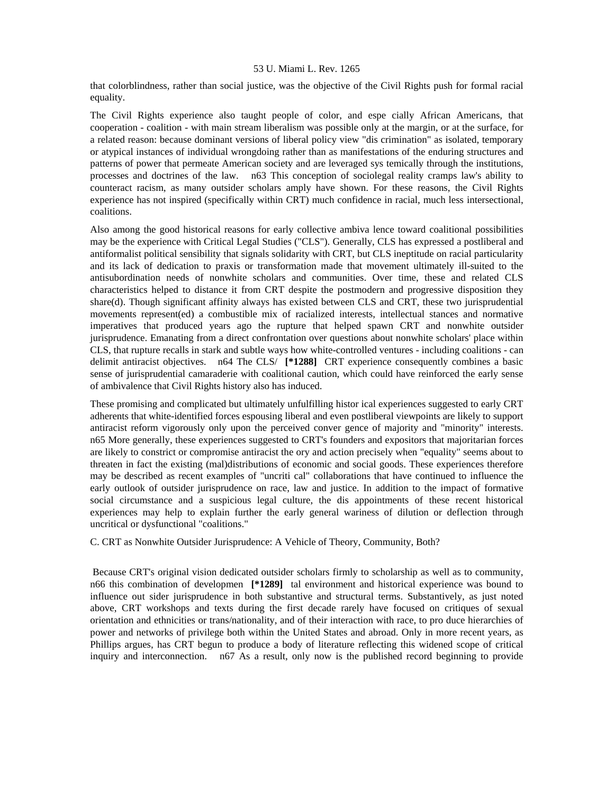that colorblindness, rather than social justice, was the objective of the Civil Rights push for formal racial equality.

The Civil Rights experience also taught people of color, and espe cially African Americans, that cooperation - coalition - with main stream liberalism was possible only at the margin, or at the surface, for a related reason: because dominant versions of liberal policy view "dis crimination" as isolated, temporary or atypical instances of individual wrongdoing rather than as manifestations of the enduring structures and patterns of power that permeate American society and are leveraged sys temically through the institutions, processes and doctrines of the law. n63 This conception of sociolegal reality cramps law's ability to counteract racism, as many outsider scholars amply have shown. For these reasons, the Civil Rights experience has not inspired (specifically within CRT) much confidence in racial, much less intersectional, coalitions.

Also among the good historical reasons for early collective ambiva lence toward coalitional possibilities may be the experience with Critical Legal Studies ("CLS"). Generally, CLS has expressed a postliberal and antiformalist political sensibility that signals solidarity with CRT, but CLS ineptitude on racial particularity and its lack of dedication to praxis or transformation made that movement ultimately ill-suited to the antisubordination needs of nonwhite scholars and communities. Over time, these and related CLS characteristics helped to distance it from CRT despite the postmodern and progressive disposition they share(d). Though significant affinity always has existed between CLS and CRT, these two jurisprudential movements represent(ed) a combustible mix of racialized interests, intellectual stances and normative imperatives that produced years ago the rupture that helped spawn CRT and nonwhite outsider jurisprudence. Emanating from a direct confrontation over questions about nonwhite scholars' place within CLS, that rupture recalls in stark and subtle ways how white-controlled ventures - including coalitions - can delimit antiracist objectives. n64 The CLS/ **[\*1288]** CRT experience consequently combines a basic sense of jurisprudential camaraderie with coalitional caution, which could have reinforced the early sense of ambivalence that Civil Rights history also has induced.

These promising and complicated but ultimately unfulfilling histor ical experiences suggested to early CRT adherents that white-identified forces espousing liberal and even postliberal viewpoints are likely to support antiracist reform vigorously only upon the perceived conver gence of majority and "minority" interests. n65 More generally, these experiences suggested to CRT's founders and expositors that majoritarian forces are likely to constrict or compromise antiracist the ory and action precisely when "equality" seems about to threaten in fact the existing (mal)distributions of economic and social goods. These experiences therefore may be described as recent examples of "uncriti cal" collaborations that have continued to influence the early outlook of outsider jurisprudence on race, law and justice. In addition to the impact of formative social circumstance and a suspicious legal culture, the dis appointments of these recent historical experiences may help to explain further the early general wariness of dilution or deflection through uncritical or dysfunctional "coalitions."

C. CRT as Nonwhite Outsider Jurisprudence: A Vehicle of Theory, Community, Both?

 Because CRT's original vision dedicated outsider scholars firmly to scholarship as well as to community, n66 this combination of developmen **[\*1289]** tal environment and historical experience was bound to influence out sider jurisprudence in both substantive and structural terms. Substantively, as just noted above, CRT workshops and texts during the first decade rarely have focused on critiques of sexual orientation and ethnicities or trans/nationality, and of their interaction with race, to pro duce hierarchies of power and networks of privilege both within the United States and abroad. Only in more recent years, as Phillips argues, has CRT begun to produce a body of literature reflecting this widened scope of critical inquiry and interconnection. n67 As a result, only now is the published record beginning to provide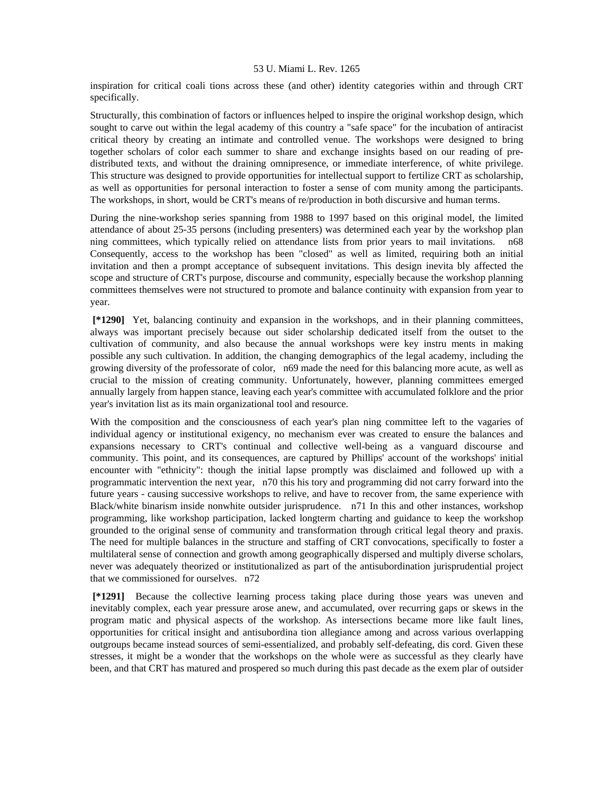inspiration for critical coali tions across these (and other) identity categories within and through CRT specifically.

Structurally, this combination of factors or influences helped to inspire the original workshop design, which sought to carve out within the legal academy of this country a "safe space" for the incubation of antiracist critical theory by creating an intimate and controlled venue. The workshops were designed to bring together scholars of color each summer to share and exchange insights based on our reading of predistributed texts, and without the draining omnipresence, or immediate interference, of white privilege. This structure was designed to provide opportunities for intellectual support to fertilize CRT as scholarship, as well as opportunities for personal interaction to foster a sense of com munity among the participants. The workshops, in short, would be CRT's means of re/production in both discursive and human terms.

During the nine-workshop series spanning from 1988 to 1997 based on this original model, the limited attendance of about 25-35 persons (including presenters) was determined each year by the workshop plan ning committees, which typically relied on attendance lists from prior years to mail invitations. n68 Consequently, access to the workshop has been "closed" as well as limited, requiring both an initial invitation and then a prompt acceptance of subsequent invitations. This design inevita bly affected the scope and structure of CRT's purpose, discourse and community, especially because the workshop planning committees themselves were not structured to promote and balance continuity with expansion from year to year.

 **[\*1290]** Yet, balancing continuity and expansion in the workshops, and in their planning committees, always was important precisely because out sider scholarship dedicated itself from the outset to the cultivation of community, and also because the annual workshops were key instru ments in making possible any such cultivation. In addition, the changing demographics of the legal academy, including the growing diversity of the professorate of color, n69 made the need for this balancing more acute, as well as crucial to the mission of creating community. Unfortunately, however, planning committees emerged annually largely from happen stance, leaving each year's committee with accumulated folklore and the prior year's invitation list as its main organizational tool and resource.

With the composition and the consciousness of each year's plan ning committee left to the vagaries of individual agency or institutional exigency, no mechanism ever was created to ensure the balances and expansions necessary to CRT's continual and collective well-being as a vanguard discourse and community. This point, and its consequences, are captured by Phillips' account of the workshops' initial encounter with "ethnicity": though the initial lapse promptly was disclaimed and followed up with a programmatic intervention the next year, n70 this his tory and programming did not carry forward into the future years - causing successive workshops to relive, and have to recover from, the same experience with Black/white binarism inside nonwhite outsider jurisprudence. n71 In this and other instances, workshop programming, like workshop participation, lacked longterm charting and guidance to keep the workshop grounded to the original sense of community and transformation through critical legal theory and praxis. The need for multiple balances in the structure and staffing of CRT convocations, specifically to foster a multilateral sense of connection and growth among geographically dispersed and multiply diverse scholars, never was adequately theorized or institutionalized as part of the antisubordination jurisprudential project that we commissioned for ourselves. n72

 **[\*1291]** Because the collective learning process taking place during those years was uneven and inevitably complex, each year pressure arose anew, and accumulated, over recurring gaps or skews in the program matic and physical aspects of the workshop. As intersections became more like fault lines, opportunities for critical insight and antisubordina tion allegiance among and across various overlapping outgroups became instead sources of semi-essentialized, and probably self-defeating, dis cord. Given these stresses, it might be a wonder that the workshops on the whole were as successful as they clearly have been, and that CRT has matured and prospered so much during this past decade as the exem plar of outsider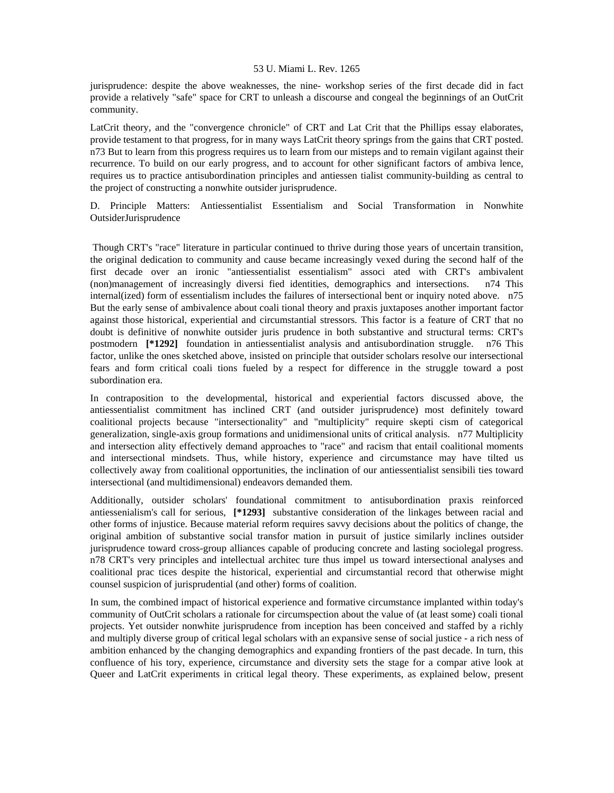jurisprudence: despite the above weaknesses, the nine- workshop series of the first decade did in fact provide a relatively "safe" space for CRT to unleash a discourse and congeal the beginnings of an OutCrit community.

LatCrit theory, and the "convergence chronicle" of CRT and Lat Crit that the Phillips essay elaborates, provide testament to that progress, for in many ways LatCrit theory springs from the gains that CRT posted. n73 But to learn from this progress requires us to learn from our misteps and to remain vigilant against their recurrence. To build on our early progress, and to account for other significant factors of ambiva lence, requires us to practice antisubordination principles and antiessen tialist community-building as central to the project of constructing a nonwhite outsider jurisprudence.

D. Principle Matters: Antiessentialist Essentialism and Social Transformation in Nonwhite OutsiderJurisprudence

 Though CRT's "race" literature in particular continued to thrive during those years of uncertain transition, the original dedication to community and cause became increasingly vexed during the second half of the first decade over an ironic "antiessentialist essentialism" associ ated with CRT's ambivalent (non)management of increasingly diversi fied identities, demographics and intersections. n74 This internal(ized) form of essentialism includes the failures of intersectional bent or inquiry noted above. n75 But the early sense of ambivalence about coali tional theory and praxis juxtaposes another important factor against those historical, experiential and circumstantial stressors. This factor is a feature of CRT that no doubt is definitive of nonwhite outsider juris prudence in both substantive and structural terms: CRT's postmodern **[\*1292]** foundation in antiessentialist analysis and antisubordination struggle. n76 This factor, unlike the ones sketched above, insisted on principle that outsider scholars resolve our intersectional fears and form critical coali tions fueled by a respect for difference in the struggle toward a post subordination era.

In contraposition to the developmental, historical and experiential factors discussed above, the antiessentialist commitment has inclined CRT (and outsider jurisprudence) most definitely toward coalitional projects because "intersectionality" and "multiplicity" require skepti cism of categorical generalization, single-axis group formations and unidimensional units of critical analysis. n77 Multiplicity and intersection ality effectively demand approaches to "race" and racism that entail coalitional moments and intersectional mindsets. Thus, while history, experience and circumstance may have tilted us collectively away from coalitional opportunities, the inclination of our antiessentialist sensibili ties toward intersectional (and multidimensional) endeavors demanded them.

Additionally, outsider scholars' foundational commitment to antisubordination praxis reinforced antiessenialism's call for serious, **[\*1293]** substantive consideration of the linkages between racial and other forms of injustice. Because material reform requires savvy decisions about the politics of change, the original ambition of substantive social transfor mation in pursuit of justice similarly inclines outsider jurisprudence toward cross-group alliances capable of producing concrete and lasting sociolegal progress. n78 CRT's very principles and intellectual architec ture thus impel us toward intersectional analyses and coalitional prac tices despite the historical, experiential and circumstantial record that otherwise might counsel suspicion of jurisprudential (and other) forms of coalition.

In sum, the combined impact of historical experience and formative circumstance implanted within today's community of OutCrit scholars a rationale for circumspection about the value of (at least some) coali tional projects. Yet outsider nonwhite jurisprudence from inception has been conceived and staffed by a richly and multiply diverse group of critical legal scholars with an expansive sense of social justice - a rich ness of ambition enhanced by the changing demographics and expanding frontiers of the past decade. In turn, this confluence of his tory, experience, circumstance and diversity sets the stage for a compar ative look at Queer and LatCrit experiments in critical legal theory. These experiments, as explained below, present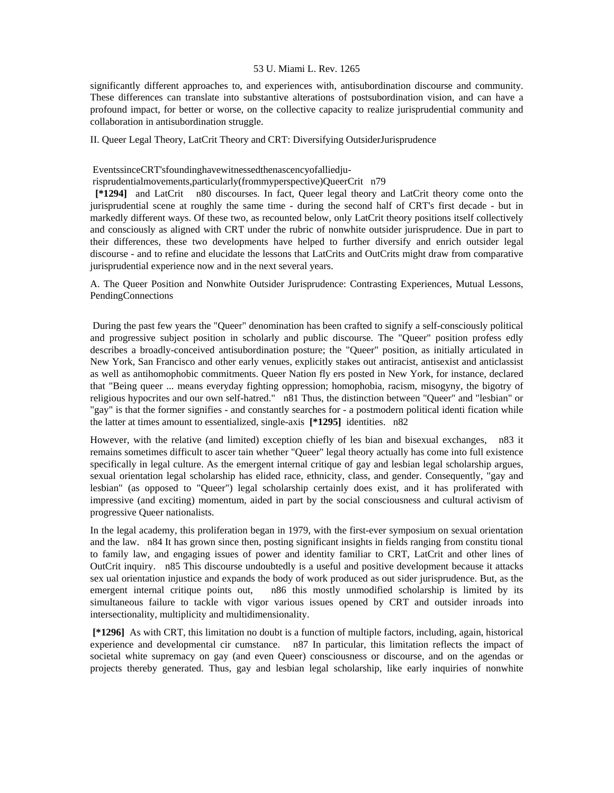significantly different approaches to, and experiences with, antisubordination discourse and community. These differences can translate into substantive alterations of postsubordination vision, and can have a profound impact, for better or worse, on the collective capacity to realize jurisprudential community and collaboration in antisubordination struggle.

II. Queer Legal Theory, LatCrit Theory and CRT: Diversifying OutsiderJurisprudence

EventssinceCRT'sfoundinghavewitnessedthenascencyofalliedju-

risprudentialmovements,particularly(frommyperspective)QueerCrit n79

 **[\*1294]** and LatCrit n80 discourses. In fact, Queer legal theory and LatCrit theory come onto the jurisprudential scene at roughly the same time - during the second half of CRT's first decade - but in markedly different ways. Of these two, as recounted below, only LatCrit theory positions itself collectively and consciously as aligned with CRT under the rubric of nonwhite outsider jurisprudence. Due in part to their differences, these two developments have helped to further diversify and enrich outsider legal discourse - and to refine and elucidate the lessons that LatCrits and OutCrits might draw from comparative jurisprudential experience now and in the next several years.

A. The Queer Position and Nonwhite Outsider Jurisprudence: Contrasting Experiences, Mutual Lessons, PendingConnections

 During the past few years the "Queer" denomination has been crafted to signify a self-consciously political and progressive subject position in scholarly and public discourse. The "Queer" position profess edly describes a broadly-conceived antisubordination posture; the "Queer" position, as initially articulated in New York, San Francisco and other early venues, explicitly stakes out antiracist, antisexist and anticlassist as well as antihomophobic commitments. Queer Nation fly ers posted in New York, for instance, declared that "Being queer ... means everyday fighting oppression; homophobia, racism, misogyny, the bigotry of religious hypocrites and our own self-hatred." n81 Thus, the distinction between "Queer" and "lesbian" or "gay" is that the former signifies - and constantly searches for - a postmodern political identi fication while the latter at times amount to essentialized, single-axis **[\*1295]** identities. n82

However, with the relative (and limited) exception chiefly of les bian and bisexual exchanges, n83 it remains sometimes difficult to ascer tain whether "Queer" legal theory actually has come into full existence specifically in legal culture. As the emergent internal critique of gay and lesbian legal scholarship argues, sexual orientation legal scholarship has elided race, ethnicity, class, and gender. Consequently, "gay and lesbian" (as opposed to "Queer") legal scholarship certainly does exist, and it has proliferated with impressive (and exciting) momentum, aided in part by the social consciousness and cultural activism of progressive Queer nationalists.

In the legal academy, this proliferation began in 1979, with the first-ever symposium on sexual orientation and the law. n84 It has grown since then, posting significant insights in fields ranging from constitu tional to family law, and engaging issues of power and identity familiar to CRT, LatCrit and other lines of OutCrit inquiry. n85 This discourse undoubtedly is a useful and positive development because it attacks sex ual orientation injustice and expands the body of work produced as out sider jurisprudence. But, as the emergent internal critique points out, n86 this mostly unmodified scholarship is limited by its simultaneous failure to tackle with vigor various issues opened by CRT and outsider inroads into intersectionality, multiplicity and multidimensionality.

 **[\*1296]** As with CRT, this limitation no doubt is a function of multiple factors, including, again, historical experience and developmental cir cumstance. n87 In particular, this limitation reflects the impact of societal white supremacy on gay (and even Queer) consciousness or discourse, and on the agendas or projects thereby generated. Thus, gay and lesbian legal scholarship, like early inquiries of nonwhite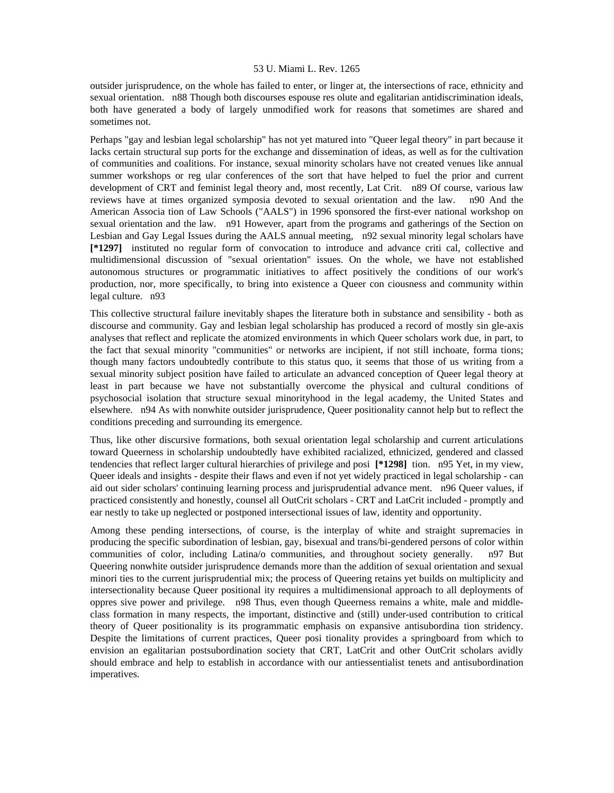outsider jurisprudence, on the whole has failed to enter, or linger at, the intersections of race, ethnicity and sexual orientation. n88 Though both discourses espouse res olute and egalitarian antidiscrimination ideals, both have generated a body of largely unmodified work for reasons that sometimes are shared and sometimes not.

Perhaps "gay and lesbian legal scholarship" has not yet matured into "Queer legal theory" in part because it lacks certain structural sup ports for the exchange and dissemination of ideas, as well as for the cultivation of communities and coalitions. For instance, sexual minority scholars have not created venues like annual summer workshops or reg ular conferences of the sort that have helped to fuel the prior and current development of CRT and feminist legal theory and, most recently, Lat Crit. n89 Of course, various law reviews have at times organized symposia devoted to sexual orientation and the law. n90 And the American Associa tion of Law Schools ("AALS") in 1996 sponsored the first-ever national workshop on sexual orientation and the law. n91 However, apart from the programs and gatherings of the Section on Lesbian and Gay Legal Issues during the AALS annual meeting, n92 sexual minority legal scholars have **[\*1297]** instituted no regular form of convocation to introduce and advance criti cal, collective and multidimensional discussion of "sexual orientation" issues. On the whole, we have not established autonomous structures or programmatic initiatives to affect positively the conditions of our work's production, nor, more specifically, to bring into existence a Queer con ciousness and community within legal culture. n93

This collective structural failure inevitably shapes the literature both in substance and sensibility - both as discourse and community. Gay and lesbian legal scholarship has produced a record of mostly sin gle-axis analyses that reflect and replicate the atomized environments in which Queer scholars work due, in part, to the fact that sexual minority "communities" or networks are incipient, if not still inchoate, forma tions; though many factors undoubtedly contribute to this status quo, it seems that those of us writing from a sexual minority subject position have failed to articulate an advanced conception of Queer legal theory at least in part because we have not substantially overcome the physical and cultural conditions of psychosocial isolation that structure sexual minorityhood in the legal academy, the United States and elsewhere. n94 As with nonwhite outsider jurisprudence, Queer positionality cannot help but to reflect the conditions preceding and surrounding its emergence.

Thus, like other discursive formations, both sexual orientation legal scholarship and current articulations toward Queerness in scholarship undoubtedly have exhibited racialized, ethnicized, gendered and classed tendencies that reflect larger cultural hierarchies of privilege and posi **[\*1298]** tion. n95 Yet, in my view, Queer ideals and insights - despite their flaws and even if not yet widely practiced in legal scholarship - can aid out sider scholars' continuing learning process and jurisprudential advance ment. n96 Queer values, if practiced consistently and honestly, counsel all OutCrit scholars - CRT and LatCrit included - promptly and ear nestly to take up neglected or postponed intersectional issues of law, identity and opportunity.

Among these pending intersections, of course, is the interplay of white and straight supremacies in producing the specific subordination of lesbian, gay, bisexual and trans/bi-gendered persons of color within communities of color, including Latina/o communities, and throughout society generally. n97 But Queering nonwhite outsider jurisprudence demands more than the addition of sexual orientation and sexual minori ties to the current jurisprudential mix; the process of Queering retains yet builds on multiplicity and intersectionality because Queer positional ity requires a multidimensional approach to all deployments of oppres sive power and privilege. n98 Thus, even though Queerness remains a white, male and middleclass formation in many respects, the important, distinctive and (still) under-used contribution to critical theory of Queer positionality is its programmatic emphasis on expansive antisubordina tion stridency. Despite the limitations of current practices, Queer posi tionality provides a springboard from which to envision an egalitarian postsubordination society that CRT, LatCrit and other OutCrit scholars avidly should embrace and help to establish in accordance with our antiessentialist tenets and antisubordination imperatives.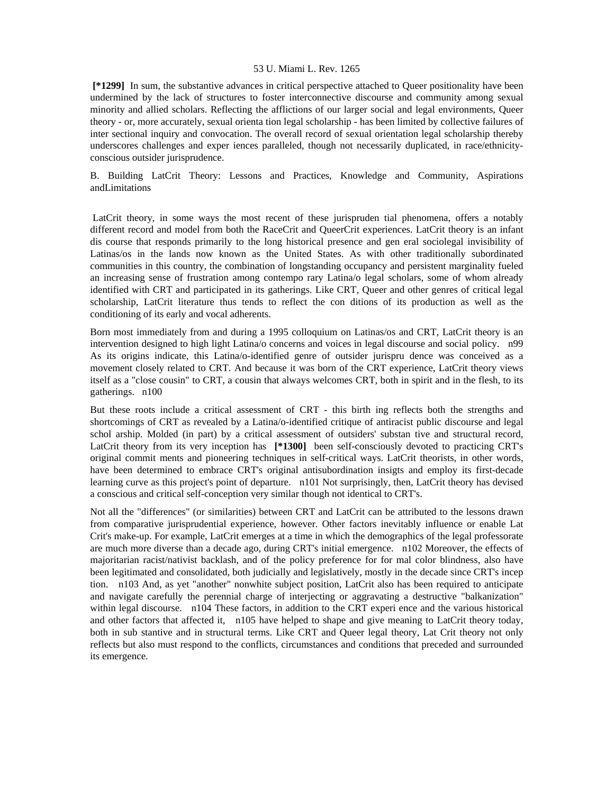**[\*1299]** In sum, the substantive advances in critical perspective attached to Queer positionality have been undermined by the lack of structures to foster interconnective discourse and community among sexual minority and allied scholars. Reflecting the afflictions of our larger social and legal environments, Queer theory - or, more accurately, sexual orienta tion legal scholarship - has been limited by collective failures of inter sectional inquiry and convocation. The overall record of sexual orientation legal scholarship thereby underscores challenges and exper iences paralleled, though not necessarily duplicated, in race/ethnicityconscious outsider jurisprudence.

B. Building LatCrit Theory: Lessons and Practices, Knowledge and Community, Aspirations andLimitations

 LatCrit theory, in some ways the most recent of these jurispruden tial phenomena, offers a notably different record and model from both the RaceCrit and QueerCrit experiences. LatCrit theory is an infant dis course that responds primarily to the long historical presence and gen eral sociolegal invisibility of Latinas/os in the lands now known as the United States. As with other traditionally subordinated communities in this country, the combination of longstanding occupancy and persistent marginality fueled an increasing sense of frustration among contempo rary Latina/o legal scholars, some of whom already identified with CRT and participated in its gatherings. Like CRT, Queer and other genres of critical legal scholarship, LatCrit literature thus tends to reflect the con ditions of its production as well as the conditioning of its early and vocal adherents.

Born most immediately from and during a 1995 colloquium on Latinas/os and CRT, LatCrit theory is an intervention designed to high light Latina/o concerns and voices in legal discourse and social policy. n99 As its origins indicate, this Latina/o-identified genre of outsider jurispru dence was conceived as a movement closely related to CRT. And because it was born of the CRT experience, LatCrit theory views itself as a "close cousin" to CRT, a cousin that always welcomes CRT, both in spirit and in the flesh, to its gatherings. n100

But these roots include a critical assessment of CRT - this birth ing reflects both the strengths and shortcomings of CRT as revealed by a Latina/o-identified critique of antiracist public discourse and legal schol arship. Molded (in part) by a critical assessment of outsiders' substan tive and structural record, LatCrit theory from its very inception has **[\*1300]** been self-consciously devoted to practicing CRT's original commit ments and pioneering techniques in self-critical ways. LatCrit theorists, in other words, have been determined to embrace CRT's original antisubordination insigts and employ its first-decade learning curve as this project's point of departure. n101 Not surprisingly, then, LatCrit theory has devised a conscious and critical self-conception very similar though not identical to CRT's.

Not all the "differences" (or similarities) between CRT and LatCrit can be attributed to the lessons drawn from comparative jurisprudential experience, however. Other factors inevitably influence or enable Lat Crit's make-up. For example, LatCrit emerges at a time in which the demographics of the legal professorate are much more diverse than a decade ago, during CRT's initial emergence. n102 Moreover, the effects of majoritarian racist/nativist backlash, and of the policy preference for for mal color blindness, also have been legitimated and consolidated, both judicially and legislatively, mostly in the decade since CRT's incep tion. n103 And, as yet "another" nonwhite subject position, LatCrit also has been required to anticipate and navigate carefully the perennial charge of interjecting or aggravating a destructive "balkanization" within legal discourse. n104 These factors, in addition to the CRT experi ence and the various historical and other factors that affected it, n105 have helped to shape and give meaning to LatCrit theory today, both in sub stantive and in structural terms. Like CRT and Queer legal theory, Lat Crit theory not only reflects but also must respond to the conflicts, circumstances and conditions that preceded and surrounded its emergence.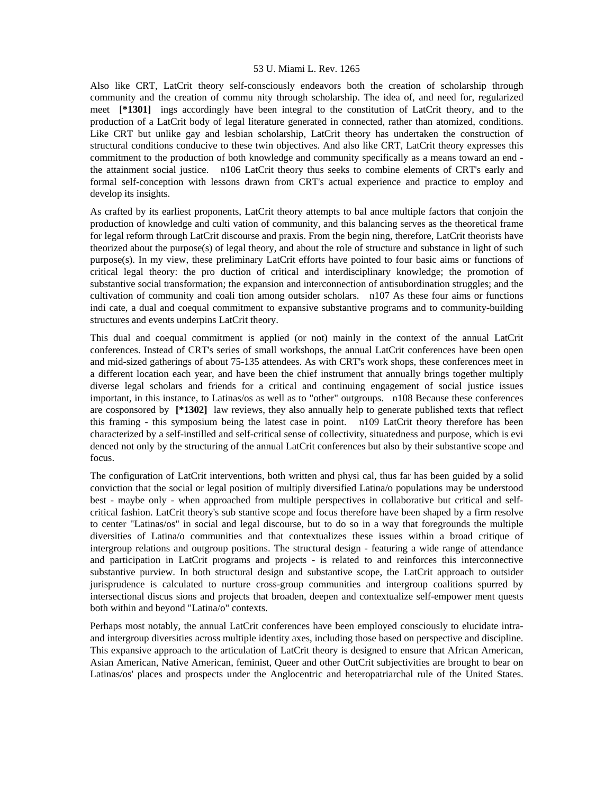Also like CRT, LatCrit theory self-consciously endeavors both the creation of scholarship through community and the creation of commu nity through scholarship. The idea of, and need for, regularized meet **[\*1301]** ings accordingly have been integral to the constitution of LatCrit theory, and to the production of a LatCrit body of legal literature generated in connected, rather than atomized, conditions. Like CRT but unlike gay and lesbian scholarship, LatCrit theory has undertaken the construction of structural conditions conducive to these twin objectives. And also like CRT, LatCrit theory expresses this commitment to the production of both knowledge and community specifically as a means toward an end the attainment social justice. n106 LatCrit theory thus seeks to combine elements of CRT's early and formal self-conception with lessons drawn from CRT's actual experience and practice to employ and develop its insights.

As crafted by its earliest proponents, LatCrit theory attempts to bal ance multiple factors that conjoin the production of knowledge and culti vation of community, and this balancing serves as the theoretical frame for legal reform through LatCrit discourse and praxis. From the begin ning, therefore, LatCrit theorists have theorized about the purpose(s) of legal theory, and about the role of structure and substance in light of such purpose(s). In my view, these preliminary LatCrit efforts have pointed to four basic aims or functions of critical legal theory: the pro duction of critical and interdisciplinary knowledge; the promotion of substantive social transformation; the expansion and interconnection of antisubordination struggles; and the cultivation of community and coali tion among outsider scholars. n107 As these four aims or functions indi cate, a dual and coequal commitment to expansive substantive programs and to community-building structures and events underpins LatCrit theory.

This dual and coequal commitment is applied (or not) mainly in the context of the annual LatCrit conferences. Instead of CRT's series of small workshops, the annual LatCrit conferences have been open and mid-sized gatherings of about 75-135 attendees. As with CRT's work shops, these conferences meet in a different location each year, and have been the chief instrument that annually brings together multiply diverse legal scholars and friends for a critical and continuing engagement of social justice issues important, in this instance, to Latinas/os as well as to "other" outgroups. n108 Because these conferences are cosponsored by **[\*1302]** law reviews, they also annually help to generate published texts that reflect this framing - this symposium being the latest case in point. n109 LatCrit theory therefore has been characterized by a self-instilled and self-critical sense of collectivity, situatedness and purpose, which is evi denced not only by the structuring of the annual LatCrit conferences but also by their substantive scope and focus.

The configuration of LatCrit interventions, both written and physi cal, thus far has been guided by a solid conviction that the social or legal position of multiply diversified Latina/o populations may be understood best - maybe only - when approached from multiple perspectives in collaborative but critical and selfcritical fashion. LatCrit theory's sub stantive scope and focus therefore have been shaped by a firm resolve to center "Latinas/os" in social and legal discourse, but to do so in a way that foregrounds the multiple diversities of Latina/o communities and that contextualizes these issues within a broad critique of intergroup relations and outgroup positions. The structural design - featuring a wide range of attendance and participation in LatCrit programs and projects - is related to and reinforces this interconnective substantive purview. In both structural design and substantive scope, the LatCrit approach to outsider jurisprudence is calculated to nurture cross-group communities and intergroup coalitions spurred by intersectional discus sions and projects that broaden, deepen and contextualize self-empower ment quests both within and beyond "Latina/o" contexts.

Perhaps most notably, the annual LatCrit conferences have been employed consciously to elucidate intraand intergroup diversities across multiple identity axes, including those based on perspective and discipline. This expansive approach to the articulation of LatCrit theory is designed to ensure that African American, Asian American, Native American, feminist, Queer and other OutCrit subjectivities are brought to bear on Latinas/os' places and prospects under the Anglocentric and heteropatriarchal rule of the United States.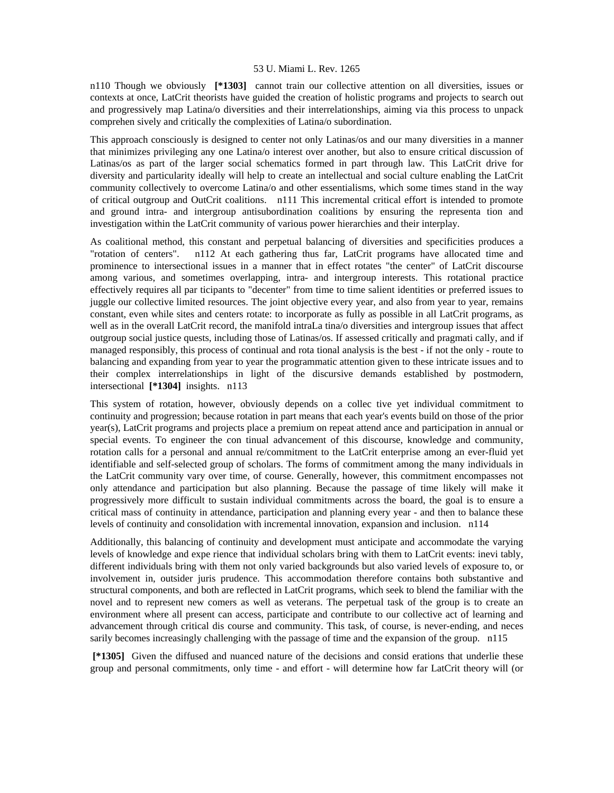n110 Though we obviously **[\*1303]** cannot train our collective attention on all diversities, issues or contexts at once, LatCrit theorists have guided the creation of holistic programs and projects to search out and progressively map Latina/o diversities and their interrelationships, aiming via this process to unpack comprehen sively and critically the complexities of Latina/o subordination.

This approach consciously is designed to center not only Latinas/os and our many diversities in a manner that minimizes privileging any one Latina/o interest over another, but also to ensure critical discussion of Latinas/os as part of the larger social schematics formed in part through law. This LatCrit drive for diversity and particularity ideally will help to create an intellectual and social culture enabling the LatCrit community collectively to overcome Latina/o and other essentialisms, which some times stand in the way of critical outgroup and OutCrit coalitions. n111 This incremental critical effort is intended to promote and ground intra- and intergroup antisubordination coalitions by ensuring the representa tion and investigation within the LatCrit community of various power hierarchies and their interplay.

As coalitional method, this constant and perpetual balancing of diversities and specificities produces a "rotation of centers". n112 At each gathering thus far, LatCrit programs have allocated time and prominence to intersectional issues in a manner that in effect rotates "the center" of LatCrit discourse among various, and sometimes overlapping, intra- and intergroup interests. This rotational practice effectively requires all par ticipants to "decenter" from time to time salient identities or preferred issues to juggle our collective limited resources. The joint objective every year, and also from year to year, remains constant, even while sites and centers rotate: to incorporate as fully as possible in all LatCrit programs, as well as in the overall LatCrit record, the manifold intraLa tina/o diversities and intergroup issues that affect outgroup social justice quests, including those of Latinas/os. If assessed critically and pragmati cally, and if managed responsibly, this process of continual and rota tional analysis is the best - if not the only - route to balancing and expanding from year to year the programmatic attention given to these intricate issues and to their complex interrelationships in light of the discursive demands established by postmodern, intersectional **[\*1304]** insights. n113

This system of rotation, however, obviously depends on a collec tive yet individual commitment to continuity and progression; because rotation in part means that each year's events build on those of the prior year(s), LatCrit programs and projects place a premium on repeat attend ance and participation in annual or special events. To engineer the con tinual advancement of this discourse, knowledge and community, rotation calls for a personal and annual re/commitment to the LatCrit enterprise among an ever-fluid yet identifiable and self-selected group of scholars. The forms of commitment among the many individuals in the LatCrit community vary over time, of course. Generally, however, this commitment encompasses not only attendance and participation but also planning. Because the passage of time likely will make it progressively more difficult to sustain individual commitments across the board, the goal is to ensure a critical mass of continuity in attendance, participation and planning every year - and then to balance these levels of continuity and consolidation with incremental innovation, expansion and inclusion. n114

Additionally, this balancing of continuity and development must anticipate and accommodate the varying levels of knowledge and expe rience that individual scholars bring with them to LatCrit events: inevi tably, different individuals bring with them not only varied backgrounds but also varied levels of exposure to, or involvement in, outsider juris prudence. This accommodation therefore contains both substantive and structural components, and both are reflected in LatCrit programs, which seek to blend the familiar with the novel and to represent new comers as well as veterans. The perpetual task of the group is to create an environment where all present can access, participate and contribute to our collective act of learning and advancement through critical dis course and community. This task, of course, is never-ending, and neces sarily becomes increasingly challenging with the passage of time and the expansion of the group. n115

 **[\*1305]** Given the diffused and nuanced nature of the decisions and consid erations that underlie these group and personal commitments, only time - and effort - will determine how far LatCrit theory will (or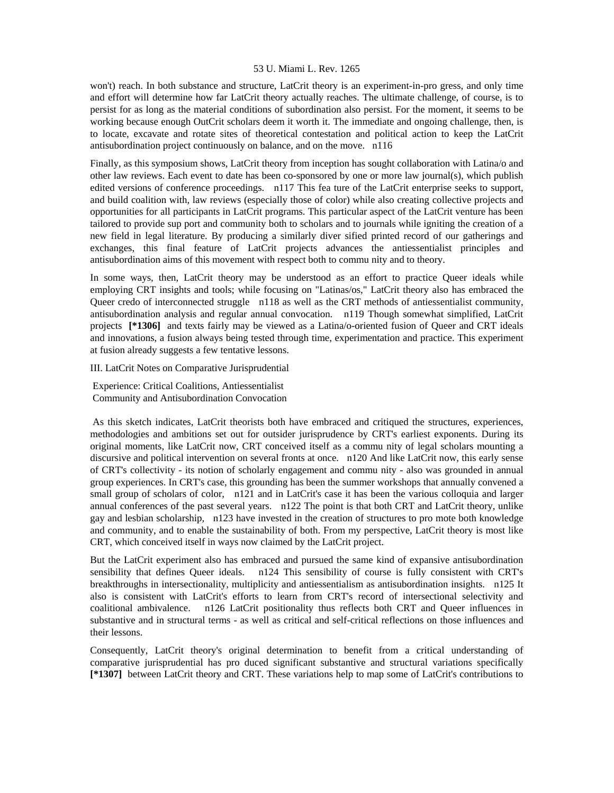won't) reach. In both substance and structure, LatCrit theory is an experiment-in-pro gress, and only time and effort will determine how far LatCrit theory actually reaches. The ultimate challenge, of course, is to persist for as long as the material conditions of subordination also persist. For the moment, it seems to be working because enough OutCrit scholars deem it worth it. The immediate and ongoing challenge, then, is to locate, excavate and rotate sites of theoretical contestation and political action to keep the LatCrit antisubordination project continuously on balance, and on the move. n116

Finally, as this symposium shows, LatCrit theory from inception has sought collaboration with Latina/o and other law reviews. Each event to date has been co-sponsored by one or more law journal(s), which publish edited versions of conference proceedings. n117 This fea ture of the LatCrit enterprise seeks to support, and build coalition with, law reviews (especially those of color) while also creating collective projects and opportunities for all participants in LatCrit programs. This particular aspect of the LatCrit venture has been tailored to provide sup port and community both to scholars and to journals while igniting the creation of a new field in legal literature. By producing a similarly diver sified printed record of our gatherings and exchanges, this final feature of LatCrit projects advances the antiessentialist principles and antisubordination aims of this movement with respect both to commu nity and to theory.

In some ways, then, LatCrit theory may be understood as an effort to practice Queer ideals while employing CRT insights and tools; while focusing on "Latinas/os," LatCrit theory also has embraced the Queer credo of interconnected struggle n118 as well as the CRT methods of antiessentialist community, antisubordination analysis and regular annual convocation. n119 Though somewhat simplified, LatCrit projects **[\*1306]** and texts fairly may be viewed as a Latina/o-oriented fusion of Queer and CRT ideals and innovations, a fusion always being tested through time, experimentation and practice. This experiment at fusion already suggests a few tentative lessons.

III. LatCrit Notes on Comparative Jurisprudential

 Experience: Critical Coalitions, Antiessentialist Community and Antisubordination Convocation

 As this sketch indicates, LatCrit theorists both have embraced and critiqued the structures, experiences, methodologies and ambitions set out for outsider jurisprudence by CRT's earliest exponents. During its original moments, like LatCrit now, CRT conceived itself as a commu nity of legal scholars mounting a discursive and political intervention on several fronts at once. n120 And like LatCrit now, this early sense of CRT's collectivity - its notion of scholarly engagement and commu nity - also was grounded in annual group experiences. In CRT's case, this grounding has been the summer workshops that annually convened a small group of scholars of color, n121 and in LatCrit's case it has been the various colloquia and larger annual conferences of the past several years. n122 The point is that both CRT and LatCrit theory, unlike gay and lesbian scholarship, n123 have invested in the creation of structures to pro mote both knowledge and community, and to enable the sustainability of both. From my perspective, LatCrit theory is most like CRT, which conceived itself in ways now claimed by the LatCrit project.

But the LatCrit experiment also has embraced and pursued the same kind of expansive antisubordination sensibility that defines Queer ideals. n124 This sensibility of course is fully consistent with CRT's breakthroughs in intersectionality, multiplicity and antiessentialism as antisubordination insights. n125 It also is consistent with LatCrit's efforts to learn from CRT's record of intersectional selectivity and coalitional ambivalence. n126 LatCrit positionality thus reflects both CRT and Queer influences in substantive and in structural terms - as well as critical and self-critical reflections on those influences and their lessons.

Consequently, LatCrit theory's original determination to benefit from a critical understanding of comparative jurisprudential has pro duced significant substantive and structural variations specifically **[\*1307]** between LatCrit theory and CRT. These variations help to map some of LatCrit's contributions to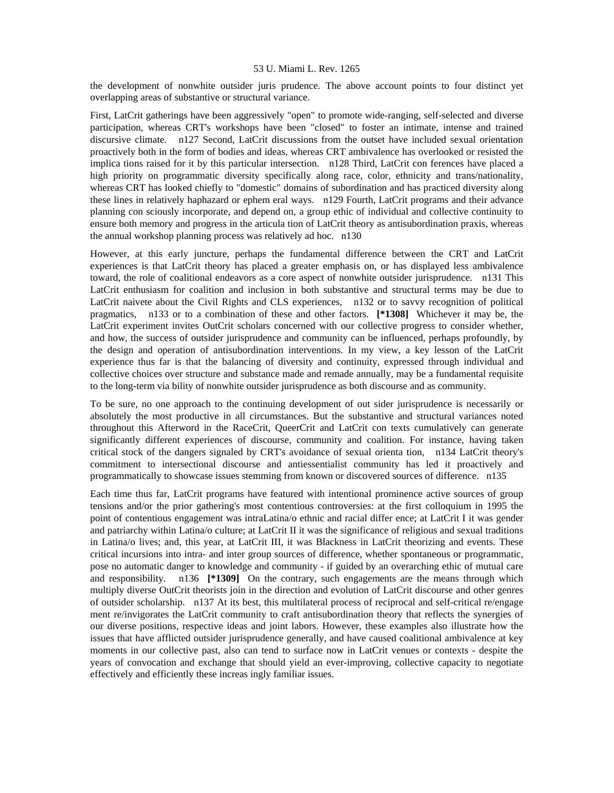the development of nonwhite outsider juris prudence. The above account points to four distinct yet overlapping areas of substantive or structural variance.

First, LatCrit gatherings have been aggressively "open" to promote wide-ranging, self-selected and diverse participation, whereas CRT's workshops have been "closed" to foster an intimate, intense and trained discursive climate. n127 Second, LatCrit discussions from the outset have included sexual orientation proactively both in the form of bodies and ideas, whereas CRT ambivalence has overlooked or resisted the implica tions raised for it by this particular intersection. n128 Third, LatCrit con ferences have placed a high priority on programmatic diversity specifically along race, color, ethnicity and trans/nationality, whereas CRT has looked chiefly to "domestic" domains of subordination and has practiced diversity along these lines in relatively haphazard or ephem eral ways. n129 Fourth, LatCrit programs and their advance planning con sciously incorporate, and depend on, a group ethic of individual and collective continuity to ensure both memory and progress in the articula tion of LatCrit theory as antisubordination praxis, whereas the annual workshop planning process was relatively ad hoc. n130

However, at this early juncture, perhaps the fundamental difference between the CRT and LatCrit experiences is that LatCrit theory has placed a greater emphasis on, or has displayed less ambivalence toward, the role of coalitional endeavors as a core aspect of nonwhite outsider jurisprudence. n131 This LatCrit enthusiasm for coalition and inclusion in both substantive and structural terms may be due to LatCrit naivete about the Civil Rights and CLS experiences, n132 or to savvy recognition of political pragmatics, n133 or to a combination of these and other factors. **[\*1308]** Whichever it may be, the LatCrit experiment invites OutCrit scholars concerned with our collective progress to consider whether, and how, the success of outsider jurisprudence and community can be influenced, perhaps profoundly, by the design and operation of antisubordination interventions. In my view, a key lesson of the LatCrit experience thus far is that the balancing of diversity and continuity, expressed through individual and collective choices over structure and substance made and remade annually, may be a fundamental requisite to the long-term via bility of nonwhite outsider jurisprudence as both discourse and as community.

To be sure, no one approach to the continuing development of out sider jurisprudence is necessarily or absolutely the most productive in all circumstances. But the substantive and structural variances noted throughout this Afterword in the RaceCrit, QueerCrit and LatCrit con texts cumulatively can generate significantly different experiences of discourse, community and coalition. For instance, having taken critical stock of the dangers signaled by CRT's avoidance of sexual orienta tion, n134 LatCrit theory's commitment to intersectional discourse and antiessentialist community has led it proactively and programmatically to showcase issues stemming from known or discovered sources of difference. n135

Each time thus far, LatCrit programs have featured with intentional prominence active sources of group tensions and/or the prior gathering's most contentious controversies: at the first colloquium in 1995 the point of contentious engagement was intraLatina/o ethnic and racial differ ence; at LatCrit I it was gender and patriarchy within Latina/o culture; at LatCrit II it was the significance of religious and sexual traditions in Latina/o lives; and, this year, at LatCrit III, it was Blackness in LatCrit theorizing and events. These critical incursions into intra- and inter group sources of difference, whether spontaneous or programmatic, pose no automatic danger to knowledge and community - if guided by an overarching ethic of mutual care and responsibility. n136 **[\*1309]** On the contrary, such engagements are the means through which multiply diverse OutCrit theorists join in the direction and evolution of LatCrit discourse and other genres of outsider scholarship. n137 At its best, this multilateral process of reciprocal and self-critical re/engage ment re/invigorates the LatCrit community to craft antisubordination theory that reflects the synergies of our diverse positions, respective ideas and joint labors. However, these examples also illustrate how the issues that have afflicted outsider jurisprudence generally, and have caused coalitional ambivalence at key moments in our collective past, also can tend to surface now in LatCrit venues or contexts - despite the years of convocation and exchange that should yield an ever-improving, collective capacity to negotiate effectively and efficiently these increas ingly familiar issues.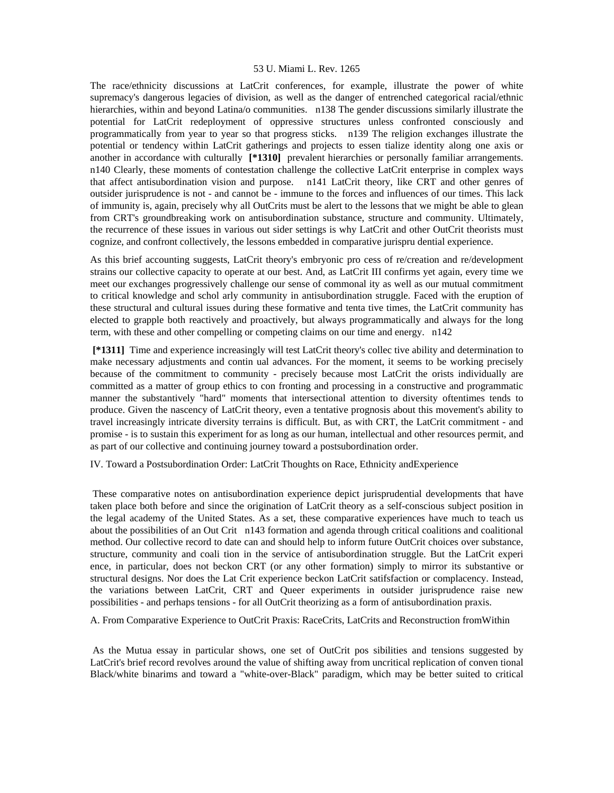The race/ethnicity discussions at LatCrit conferences, for example, illustrate the power of white supremacy's dangerous legacies of division, as well as the danger of entrenched categorical racial/ethnic hierarchies, within and beyond Latina/o communities. n138 The gender discussions similarly illustrate the potential for LatCrit redeployment of oppressive structures unless confronted consciously and programmatically from year to year so that progress sticks. n139 The religion exchanges illustrate the potential or tendency within LatCrit gatherings and projects to essen tialize identity along one axis or another in accordance with culturally **[\*1310]** prevalent hierarchies or personally familiar arrangements. n140 Clearly, these moments of contestation challenge the collective LatCrit enterprise in complex ways that affect antisubordination vision and purpose. n141 LatCrit theory, like CRT and other genres of outsider jurisprudence is not - and cannot be - immune to the forces and influences of our times. This lack of immunity is, again, precisely why all OutCrits must be alert to the lessons that we might be able to glean from CRT's groundbreaking work on antisubordination substance, structure and community. Ultimately, the recurrence of these issues in various out sider settings is why LatCrit and other OutCrit theorists must cognize, and confront collectively, the lessons embedded in comparative jurispru dential experience.

As this brief accounting suggests, LatCrit theory's embryonic pro cess of re/creation and re/development strains our collective capacity to operate at our best. And, as LatCrit III confirms yet again, every time we meet our exchanges progressively challenge our sense of commonal ity as well as our mutual commitment to critical knowledge and schol arly community in antisubordination struggle. Faced with the eruption of these structural and cultural issues during these formative and tenta tive times, the LatCrit community has elected to grapple both reactively and proactively, but always programmatically and always for the long term, with these and other compelling or competing claims on our time and energy. n142

 **[\*1311]** Time and experience increasingly will test LatCrit theory's collec tive ability and determination to make necessary adjustments and contin ual advances. For the moment, it seems to be working precisely because of the commitment to community - precisely because most LatCrit the orists individually are committed as a matter of group ethics to con fronting and processing in a constructive and programmatic manner the substantively "hard" moments that intersectional attention to diversity oftentimes tends to produce. Given the nascency of LatCrit theory, even a tentative prognosis about this movement's ability to travel increasingly intricate diversity terrains is difficult. But, as with CRT, the LatCrit commitment - and promise - is to sustain this experiment for as long as our human, intellectual and other resources permit, and as part of our collective and continuing journey toward a postsubordination order.

IV. Toward a Postsubordination Order: LatCrit Thoughts on Race, Ethnicity andExperience

 These comparative notes on antisubordination experience depict jurisprudential developments that have taken place both before and since the origination of LatCrit theory as a self-conscious subject position in the legal academy of the United States. As a set, these comparative experiences have much to teach us about the possibilities of an Out Crit n143 formation and agenda through critical coalitions and coalitional method. Our collective record to date can and should help to inform future OutCrit choices over substance, structure, community and coali tion in the service of antisubordination struggle. But the LatCrit experi ence, in particular, does not beckon CRT (or any other formation) simply to mirror its substantive or structural designs. Nor does the Lat Crit experience beckon LatCrit satifsfaction or complacency. Instead, the variations between LatCrit, CRT and Queer experiments in outsider jurisprudence raise new possibilities - and perhaps tensions - for all OutCrit theorizing as a form of antisubordination praxis.

A. From Comparative Experience to OutCrit Praxis: RaceCrits, LatCrits and Reconstruction fromWithin

 As the Mutua essay in particular shows, one set of OutCrit pos sibilities and tensions suggested by LatCrit's brief record revolves around the value of shifting away from uncritical replication of conven tional Black/white binarims and toward a "white-over-Black" paradigm, which may be better suited to critical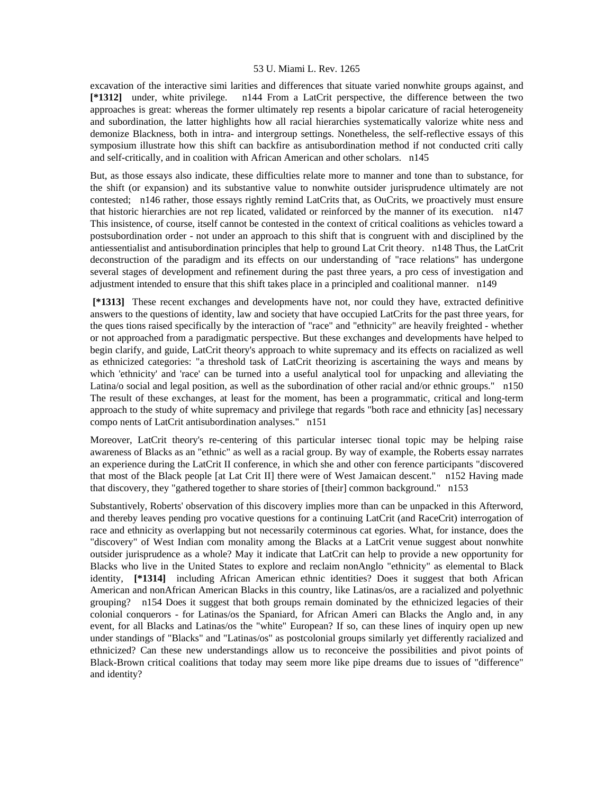excavation of the interactive simi larities and differences that situate varied nonwhite groups against, and **[\*1312]** under, white privilege. n144 From a LatCrit perspective, the difference between the two approaches is great: whereas the former ultimately rep resents a bipolar caricature of racial heterogeneity and subordination, the latter highlights how all racial hierarchies systematically valorize white ness and demonize Blackness, both in intra- and intergroup settings. Nonetheless, the self-reflective essays of this symposium illustrate how this shift can backfire as antisubordination method if not conducted criti cally and self-critically, and in coalition with African American and other scholars. n145

But, as those essays also indicate, these difficulties relate more to manner and tone than to substance, for the shift (or expansion) and its substantive value to nonwhite outsider jurisprudence ultimately are not contested; n146 rather, those essays rightly remind LatCrits that, as OuCrits, we proactively must ensure that historic hierarchies are not rep licated, validated or reinforced by the manner of its execution. n147 This insistence, of course, itself cannot be contested in the context of critical coalitions as vehicles toward a postsubordination order - not under an approach to this shift that is congruent with and disciplined by the antiessentialist and antisubordination principles that help to ground Lat Crit theory. n148 Thus, the LatCrit deconstruction of the paradigm and its effects on our understanding of "race relations" has undergone several stages of development and refinement during the past three years, a pro cess of investigation and adjustment intended to ensure that this shift takes place in a principled and coalitional manner. n149

 **[\*1313]** These recent exchanges and developments have not, nor could they have, extracted definitive answers to the questions of identity, law and society that have occupied LatCrits for the past three years, for the ques tions raised specifically by the interaction of "race" and "ethnicity" are heavily freighted - whether or not approached from a paradigmatic perspective. But these exchanges and developments have helped to begin clarify, and guide, LatCrit theory's approach to white supremacy and its effects on racialized as well as ethnicized categories: "a threshold task of LatCrit theorizing is ascertaining the ways and means by which 'ethnicity' and 'race' can be turned into a useful analytical tool for unpacking and alleviating the Latina/o social and legal position, as well as the subordination of other racial and/or ethnic groups." n150 The result of these exchanges, at least for the moment, has been a programmatic, critical and long-term approach to the study of white supremacy and privilege that regards "both race and ethnicity [as] necessary compo nents of LatCrit antisubordination analyses." n151

Moreover, LatCrit theory's re-centering of this particular intersec tional topic may be helping raise awareness of Blacks as an "ethnic" as well as a racial group. By way of example, the Roberts essay narrates an experience during the LatCrit II conference, in which she and other con ference participants "discovered that most of the Black people [at Lat Crit II] there were of West Jamaican descent." n152 Having made that discovery, they "gathered together to share stories of [their] common background." n153

Substantively, Roberts' observation of this discovery implies more than can be unpacked in this Afterword, and thereby leaves pending pro vocative questions for a continuing LatCrit (and RaceCrit) interrogation of race and ethnicity as overlapping but not necessarily coterminous cat egories. What, for instance, does the "discovery" of West Indian com monality among the Blacks at a LatCrit venue suggest about nonwhite outsider jurisprudence as a whole? May it indicate that LatCrit can help to provide a new opportunity for Blacks who live in the United States to explore and reclaim nonAnglo "ethnicity" as elemental to Black identity, **[\*1314]** including African American ethnic identities? Does it suggest that both African American and nonAfrican American Blacks in this country, like Latinas/os, are a racialized and polyethnic grouping? n154 Does it suggest that both groups remain dominated by the ethnicized legacies of their colonial conquerors - for Latinas/os the Spaniard, for African Ameri can Blacks the Anglo and, in any event, for all Blacks and Latinas/os the "white" European? If so, can these lines of inquiry open up new under standings of "Blacks" and "Latinas/os" as postcolonial groups similarly yet differently racialized and ethnicized? Can these new understandings allow us to reconceive the possibilities and pivot points of Black-Brown critical coalitions that today may seem more like pipe dreams due to issues of "difference" and identity?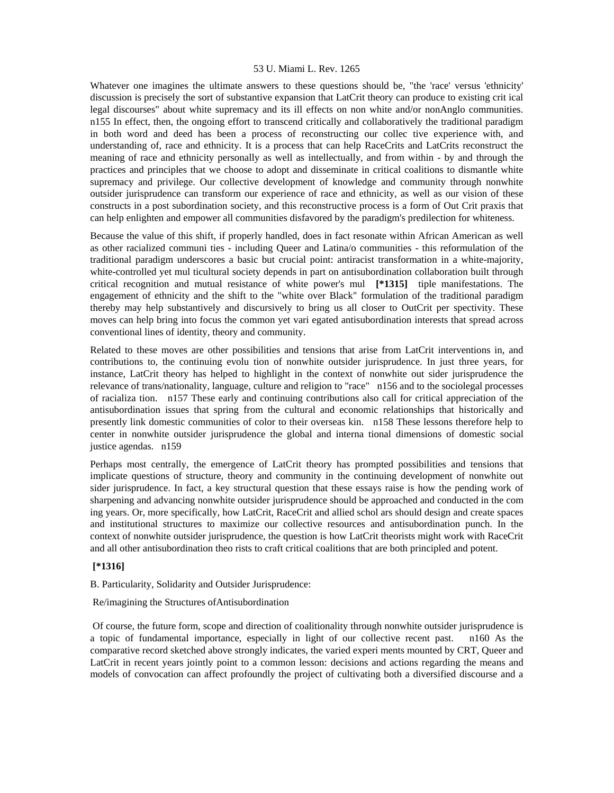Whatever one imagines the ultimate answers to these questions should be, "the 'race' versus 'ethnicity' discussion is precisely the sort of substantive expansion that LatCrit theory can produce to existing crit ical legal discourses" about white supremacy and its ill effects on non white and/or nonAnglo communities. n155 In effect, then, the ongoing effort to transcend critically and collaboratively the traditional paradigm in both word and deed has been a process of reconstructing our collec tive experience with, and understanding of, race and ethnicity. It is a process that can help RaceCrits and LatCrits reconstruct the meaning of race and ethnicity personally as well as intellectually, and from within - by and through the practices and principles that we choose to adopt and disseminate in critical coalitions to dismantle white supremacy and privilege. Our collective development of knowledge and community through nonwhite outsider jurisprudence can transform our experience of race and ethnicity, as well as our vision of these constructs in a post subordination society, and this reconstructive process is a form of Out Crit praxis that can help enlighten and empower all communities disfavored by the paradigm's predilection for whiteness.

Because the value of this shift, if properly handled, does in fact resonate within African American as well as other racialized communi ties - including Queer and Latina/o communities - this reformulation of the traditional paradigm underscores a basic but crucial point: antiracist transformation in a white-majority, white-controlled yet mul ticultural society depends in part on antisubordination collaboration built through critical recognition and mutual resistance of white power's mul **[\*1315]** tiple manifestations. The engagement of ethnicity and the shift to the "white over Black" formulation of the traditional paradigm thereby may help substantively and discursively to bring us all closer to OutCrit per spectivity. These moves can help bring into focus the common yet vari egated antisubordination interests that spread across conventional lines of identity, theory and community.

Related to these moves are other possibilities and tensions that arise from LatCrit interventions in, and contributions to, the continuing evolu tion of nonwhite outsider jurisprudence. In just three years, for instance, LatCrit theory has helped to highlight in the context of nonwhite out sider jurisprudence the relevance of trans/nationality, language, culture and religion to "race" n156 and to the sociolegal processes of racializa tion. n157 These early and continuing contributions also call for critical appreciation of the antisubordination issues that spring from the cultural and economic relationships that historically and presently link domestic communities of color to their overseas kin. n158 These lessons therefore help to center in nonwhite outsider jurisprudence the global and interna tional dimensions of domestic social justice agendas. n159

Perhaps most centrally, the emergence of LatCrit theory has prompted possibilities and tensions that implicate questions of structure, theory and community in the continuing development of nonwhite out sider jurisprudence. In fact, a key structural question that these essays raise is how the pending work of sharpening and advancing nonwhite outsider jurisprudence should be approached and conducted in the com ing years. Or, more specifically, how LatCrit, RaceCrit and allied schol ars should design and create spaces and institutional structures to maximize our collective resources and antisubordination punch. In the context of nonwhite outsider jurisprudence, the question is how LatCrit theorists might work with RaceCrit and all other antisubordination theo rists to craft critical coalitions that are both principled and potent.

# **[\*1316]**

B. Particularity, Solidarity and Outsider Jurisprudence:

### Re/imagining the Structures ofAntisubordination

 Of course, the future form, scope and direction of coalitionality through nonwhite outsider jurisprudence is a topic of fundamental importance, especially in light of our collective recent past. n160 As the comparative record sketched above strongly indicates, the varied experi ments mounted by CRT, Queer and LatCrit in recent years jointly point to a common lesson: decisions and actions regarding the means and models of convocation can affect profoundly the project of cultivating both a diversified discourse and a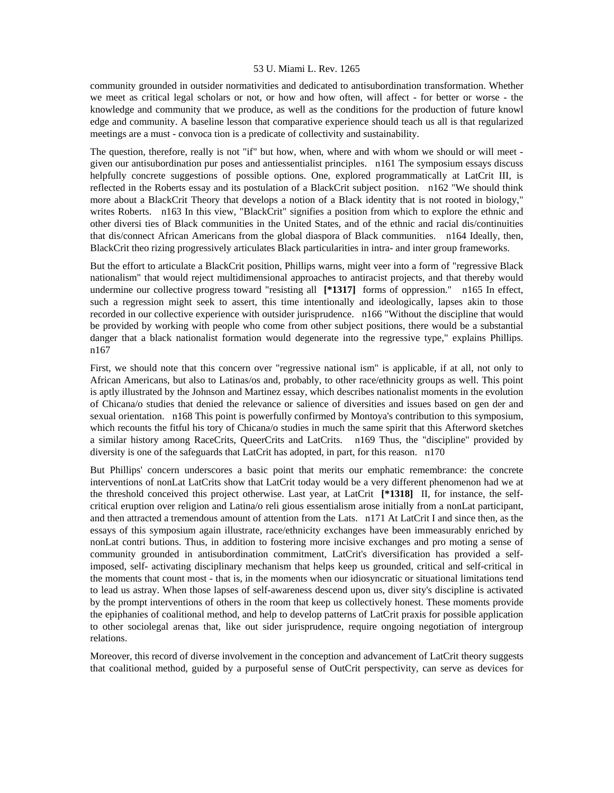community grounded in outsider normativities and dedicated to antisubordination transformation. Whether we meet as critical legal scholars or not, or how and how often, will affect - for better or worse - the knowledge and community that we produce, as well as the conditions for the production of future knowl edge and community. A baseline lesson that comparative experience should teach us all is that regularized meetings are a must - convoca tion is a predicate of collectivity and sustainability.

The question, therefore, really is not "if" but how, when, where and with whom we should or will meet given our antisubordination pur poses and antiessentialist principles. n161 The symposium essays discuss helpfully concrete suggestions of possible options. One, explored programmatically at LatCrit III, is reflected in the Roberts essay and its postulation of a BlackCrit subject position. n162 "We should think more about a BlackCrit Theory that develops a notion of a Black identity that is not rooted in biology," writes Roberts. n163 In this view, "BlackCrit" signifies a position from which to explore the ethnic and other diversi ties of Black communities in the United States, and of the ethnic and racial dis/continuities that dis/connect African Americans from the global diaspora of Black communities. n164 Ideally, then, BlackCrit theo rizing progressively articulates Black particularities in intra- and inter group frameworks.

But the effort to articulate a BlackCrit position, Phillips warns, might veer into a form of "regressive Black nationalism" that would reject multidimensional approaches to antiracist projects, and that thereby would undermine our collective progress toward "resisting all **[\*1317]** forms of oppression." n165 In effect, such a regression might seek to assert, this time intentionally and ideologically, lapses akin to those recorded in our collective experience with outsider jurisprudence. n166 "Without the discipline that would be provided by working with people who come from other subject positions, there would be a substantial danger that a black nationalist formation would degenerate into the regressive type," explains Phillips. n167

First, we should note that this concern over "regressive national ism" is applicable, if at all, not only to African Americans, but also to Latinas/os and, probably, to other race/ethnicity groups as well. This point is aptly illustrated by the Johnson and Martinez essay, which describes nationalist moments in the evolution of Chicana/o studies that denied the relevance or salience of diversities and issues based on gen der and sexual orientation. n168 This point is powerfully confirmed by Montoya's contribution to this symposium, which recounts the fitful his tory of Chicana/o studies in much the same spirit that this Afterword sketches a similar history among RaceCrits, QueerCrits and LatCrits. n169 Thus, the "discipline" provided by diversity is one of the safeguards that LatCrit has adopted, in part, for this reason. n170

But Phillips' concern underscores a basic point that merits our emphatic remembrance: the concrete interventions of nonLat LatCrits show that LatCrit today would be a very different phenomenon had we at the threshold conceived this project otherwise. Last year, at LatCrit **[\*1318]** II, for instance, the selfcritical eruption over religion and Latina/o reli gious essentialism arose initially from a nonLat participant, and then attracted a tremendous amount of attention from the Lats. n171 At LatCrit I and since then, as the essays of this symposium again illustrate, race/ethnicity exchanges have been immeasurably enriched by nonLat contri butions. Thus, in addition to fostering more incisive exchanges and pro moting a sense of community grounded in antisubordination commitment, LatCrit's diversification has provided a selfimposed, self- activating disciplinary mechanism that helps keep us grounded, critical and self-critical in the moments that count most - that is, in the moments when our idiosyncratic or situational limitations tend to lead us astray. When those lapses of self-awareness descend upon us, diver sity's discipline is activated by the prompt interventions of others in the room that keep us collectively honest. These moments provide the epiphanies of coalitional method, and help to develop patterns of LatCrit praxis for possible application to other sociolegal arenas that, like out sider jurisprudence, require ongoing negotiation of intergroup relations.

Moreover, this record of diverse involvement in the conception and advancement of LatCrit theory suggests that coalitional method, guided by a purposeful sense of OutCrit perspectivity, can serve as devices for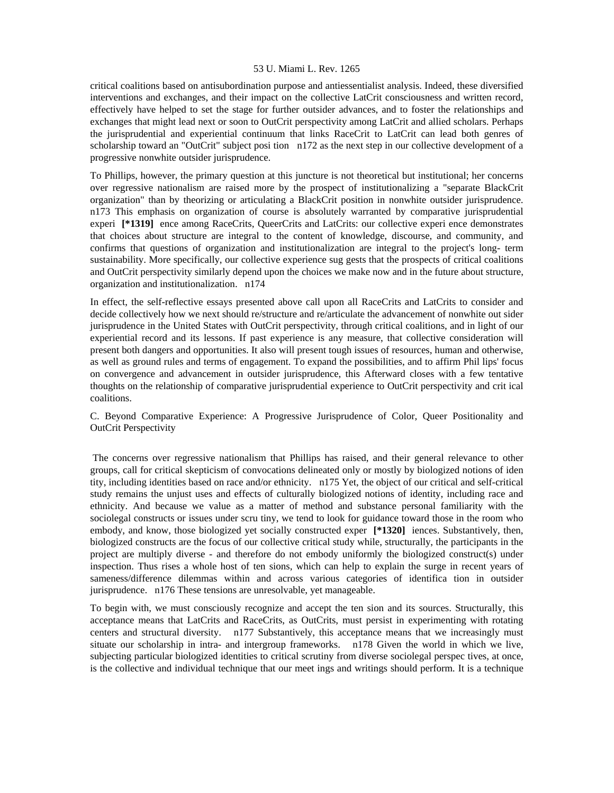critical coalitions based on antisubordination purpose and antiessentialist analysis. Indeed, these diversified interventions and exchanges, and their impact on the collective LatCrit consciousness and written record, effectively have helped to set the stage for further outsider advances, and to foster the relationships and exchanges that might lead next or soon to OutCrit perspectivity among LatCrit and allied scholars. Perhaps the jurisprudential and experiential continuum that links RaceCrit to LatCrit can lead both genres of scholarship toward an "OutCrit" subject posi tion n172 as the next step in our collective development of a progressive nonwhite outsider jurisprudence.

To Phillips, however, the primary question at this juncture is not theoretical but institutional; her concerns over regressive nationalism are raised more by the prospect of institutionalizing a "separate BlackCrit organization" than by theorizing or articulating a BlackCrit position in nonwhite outsider jurisprudence. n173 This emphasis on organization of course is absolutely warranted by comparative jurisprudential experi **[\*1319]** ence among RaceCrits, QueerCrits and LatCrits: our collective experi ence demonstrates that choices about structure are integral to the content of knowledge, discourse, and community, and confirms that questions of organization and institutionalization are integral to the project's long- term sustainability. More specifically, our collective experience sug gests that the prospects of critical coalitions and OutCrit perspectivity similarly depend upon the choices we make now and in the future about structure, organization and institutionalization. n174

In effect, the self-reflective essays presented above call upon all RaceCrits and LatCrits to consider and decide collectively how we next should re/structure and re/articulate the advancement of nonwhite out sider jurisprudence in the United States with OutCrit perspectivity, through critical coalitions, and in light of our experiential record and its lessons. If past experience is any measure, that collective consideration will present both dangers and opportunities. It also will present tough issues of resources, human and otherwise, as well as ground rules and terms of engagement. To expand the possibilities, and to affirm Phil lips' focus on convergence and advancement in outsider jurisprudence, this Afterward closes with a few tentative thoughts on the relationship of comparative jurisprudential experience to OutCrit perspectivity and crit ical coalitions.

C. Beyond Comparative Experience: A Progressive Jurisprudence of Color, Queer Positionality and OutCrit Perspectivity

 The concerns over regressive nationalism that Phillips has raised, and their general relevance to other groups, call for critical skepticism of convocations delineated only or mostly by biologized notions of iden tity, including identities based on race and/or ethnicity. n175 Yet, the object of our critical and self-critical study remains the unjust uses and effects of culturally biologized notions of identity, including race and ethnicity. And because we value as a matter of method and substance personal familiarity with the sociolegal constructs or issues under scru tiny, we tend to look for guidance toward those in the room who embody, and know, those biologized yet socially constructed exper **[\*1320]** iences. Substantively, then, biologized constructs are the focus of our collective critical study while, structurally, the participants in the project are multiply diverse - and therefore do not embody uniformly the biologized construct(s) under inspection. Thus rises a whole host of ten sions, which can help to explain the surge in recent years of sameness/difference dilemmas within and across various categories of identifica tion in outsider jurisprudence. n176 These tensions are unresolvable, yet manageable.

To begin with, we must consciously recognize and accept the ten sion and its sources. Structurally, this acceptance means that LatCrits and RaceCrits, as OutCrits, must persist in experimenting with rotating centers and structural diversity. n177 Substantively, this acceptance means that we increasingly must situate our scholarship in intra- and intergroup frameworks. n178 Given the world in which we live, subjecting particular biologized identities to critical scrutiny from diverse sociolegal perspec tives, at once, is the collective and individual technique that our meet ings and writings should perform. It is a technique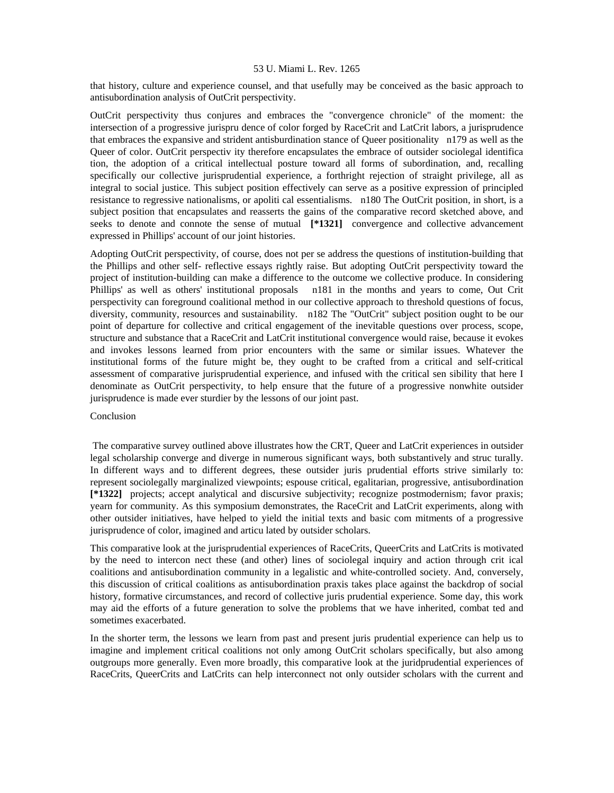that history, culture and experience counsel, and that usefully may be conceived as the basic approach to antisubordination analysis of OutCrit perspectivity.

OutCrit perspectivity thus conjures and embraces the "convergence chronicle" of the moment: the intersection of a progressive jurispru dence of color forged by RaceCrit and LatCrit labors, a jurisprudence that embraces the expansive and strident antisburdination stance of Queer positionality n179 as well as the Queer of color. OutCrit perspectiv ity therefore encapsulates the embrace of outsider sociolegal identifica tion, the adoption of a critical intellectual posture toward all forms of subordination, and, recalling specifically our collective jurisprudential experience, a forthright rejection of straight privilege, all as integral to social justice. This subject position effectively can serve as a positive expression of principled resistance to regressive nationalisms, or apoliti cal essentialisms. n180 The OutCrit position, in short, is a subject position that encapsulates and reasserts the gains of the comparative record sketched above, and seeks to denote and connote the sense of mutual **[\*1321]** convergence and collective advancement expressed in Phillips' account of our joint histories.

Adopting OutCrit perspectivity, of course, does not per se address the questions of institution-building that the Phillips and other self- reflective essays rightly raise. But adopting OutCrit perspectivity toward the project of institution-building can make a difference to the outcome we collective produce. In considering Phillips' as well as others' institutional proposals n181 in the months and years to come, Out Crit perspectivity can foreground coalitional method in our collective approach to threshold questions of focus, diversity, community, resources and sustainability. n182 The "OutCrit" subject position ought to be our point of departure for collective and critical engagement of the inevitable questions over process, scope, structure and substance that a RaceCrit and LatCrit institutional convergence would raise, because it evokes and invokes lessons learned from prior encounters with the same or similar issues. Whatever the institutional forms of the future might be, they ought to be crafted from a critical and self-critical assessment of comparative jurisprudential experience, and infused with the critical sen sibility that here I denominate as OutCrit perspectivity, to help ensure that the future of a progressive nonwhite outsider jurisprudence is made ever sturdier by the lessons of our joint past.

### Conclusion

 The comparative survey outlined above illustrates how the CRT, Queer and LatCrit experiences in outsider legal scholarship converge and diverge in numerous significant ways, both substantively and struc turally. In different ways and to different degrees, these outsider juris prudential efforts strive similarly to: represent sociolegally marginalized viewpoints; espouse critical, egalitarian, progressive, antisubordination **[\*1322]** projects; accept analytical and discursive subjectivity; recognize postmodernism; favor praxis; yearn for community. As this symposium demonstrates, the RaceCrit and LatCrit experiments, along with other outsider initiatives, have helped to yield the initial texts and basic com mitments of a progressive jurisprudence of color, imagined and articu lated by outsider scholars.

This comparative look at the jurisprudential experiences of RaceCrits, QueerCrits and LatCrits is motivated by the need to intercon nect these (and other) lines of sociolegal inquiry and action through crit ical coalitions and antisubordination community in a legalistic and white-controlled society. And, conversely, this discussion of critical coalitions as antisubordination praxis takes place against the backdrop of social history, formative circumstances, and record of collective juris prudential experience. Some day, this work may aid the efforts of a future generation to solve the problems that we have inherited, combat ted and sometimes exacerbated.

In the shorter term, the lessons we learn from past and present juris prudential experience can help us to imagine and implement critical coalitions not only among OutCrit scholars specifically, but also among outgroups more generally. Even more broadly, this comparative look at the juridprudential experiences of RaceCrits, QueerCrits and LatCrits can help interconnect not only outsider scholars with the current and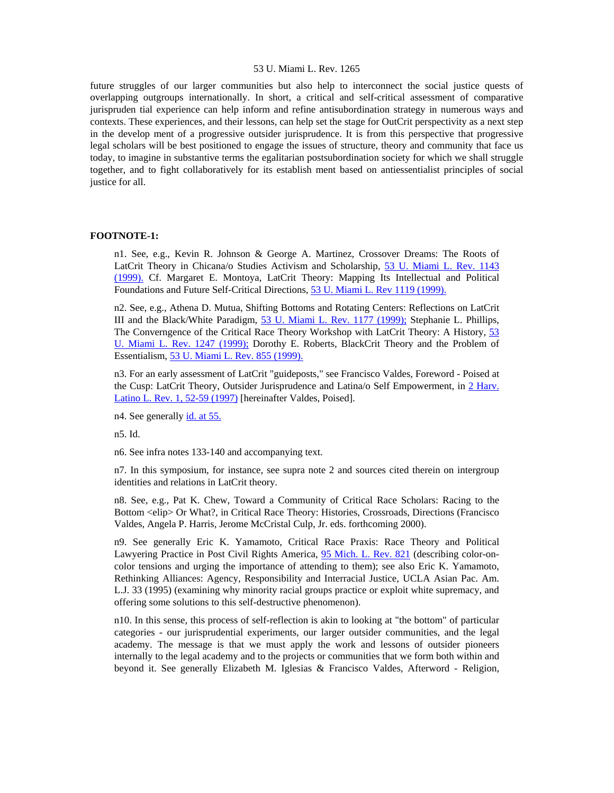future struggles of our larger communities but also help to interconnect the social justice quests of overlapping outgroups internationally. In short, a critical and self-critical assessment of comparative jurispruden tial experience can help inform and refine antisubordination strategy in numerous ways and contexts. These experiences, and their lessons, can help set the stage for OutCrit perspectivity as a next step in the develop ment of a progressive outsider jurisprudence. It is from this perspective that progressive legal scholars will be best positioned to engage the issues of structure, theory and community that face us today, to imagine in substantive terms the egalitarian postsubordination society for which we shall struggle together, and to fight collaboratively for its establish ment based on antiessentialist principles of social justice for all.

# **FOOTNOTE-1:**

n1. See, e.g., Kevin R. Johnson & George A. Martinez, Crossover Dreams: The Roots of LatCrit Theory in Chicana/o Studies Activism and Scholarship, [53 U. Miami L. Rev. 1143](http://www.lexis.com/research/xlink?searchtype=get&search=53%20U.%20Miami%20L.%20Rev.%201143)  [\(1999\).](http://www.lexis.com/research/xlink?searchtype=get&search=53%20U.%20Miami%20L.%20Rev.%201143) Cf. Margaret E. Montoya, LatCrit Theory: Mapping Its Intellectual and Political Foundations and Future Self-Critical Directions, [53 U. Miami L. Rev 1119 \(1999\).](http://www.lexis.com/research/xlink?searchtype=get&search=53%20U.%20Miami%20L.%20Rev.%201119)

n2. See, e.g., Athena D. Mutua, Shifting Bottoms and Rotating Centers: Reflections on LatCrit III and the Black/White Paradigm, [53 U. Miami L. Rev. 1177 \(1999\);](http://www.lexis.com/research/xlink?searchtype=get&search=53%20U.%20Miami%20L.%20Rev.%201177) Stephanie L. Phillips, The Converngence of the Critical Race Theory Workshop with LatCrit Theory: A History, [53](http://www.lexis.com/research/xlink?searchtype=get&search=53%20U.%20Miami%20L.%20Rev.%201247)  [U. Miami L. Rev. 1247 \(1999\);](http://www.lexis.com/research/xlink?searchtype=get&search=53%20U.%20Miami%20L.%20Rev.%201247) Dorothy E. Roberts, BlackCrit Theory and the Problem of Essentialism, [53 U. Miami L. Rev. 855 \(1999\).](http://www.lexis.com/research/xlink?searchtype=get&search=53%20U.%20Miami%20L.%20Rev.%20855)

n3. For an early assessment of LatCrit "guideposts," see Francisco Valdes, Foreword - Poised at the Cusp: LatCrit Theory, Outsider Jurisprudence and Latina/o Self Empowerment, in 2 Harv. [Latino L. Rev. 1, 52-59 \(1997\)](http://www.lexis.com/research/xlink?searchtype=get&search=2%20Harv.%20Latino%20L.%20Rev.%201,at%2052) [hereinafter Valdes, Poised].

n4. See generally [id. at 55.](http://www.lexis.com/research/xlink?searchtype=get&search=2%20Harv.%20Latino%20L.%20Rev.%201,at%2055)

n5. Id.

n6. See infra notes 133-140 and accompanying text.

n7. In this symposium, for instance, see supra note 2 and sources cited therein on intergroup identities and relations in LatCrit theory.

n8. See, e.g., Pat K. Chew, Toward a Community of Critical Race Scholars: Racing to the Bottom <elip> Or What?, in Critical Race Theory: Histories, Crossroads, Directions (Francisco Valdes, Angela P. Harris, Jerome McCristal Culp, Jr. eds. forthcoming 2000).

n9. See generally Eric K. Yamamoto, Critical Race Praxis: Race Theory and Political Lawyering Practice in Post Civil Rights America, [95 Mich. L. Rev. 821](http://www.lexis.com/research/xlink?searchtype=get&search=95%20Mich.%20L.%20Rev.%20821) (describing color-oncolor tensions and urging the importance of attending to them); see also Eric K. Yamamoto, Rethinking Alliances: Agency, Responsibility and Interracial Justice, UCLA Asian Pac. Am. L.J. 33 (1995) (examining why minority racial groups practice or exploit white supremacy, and offering some solutions to this self-destructive phenomenon).

n10. In this sense, this process of self-reflection is akin to looking at "the bottom" of particular categories - our jurisprudential experiments, our larger outsider communities, and the legal academy. The message is that we must apply the work and lessons of outsider pioneers internally to the legal academy and to the projects or communities that we form both within and beyond it. See generally Elizabeth M. Iglesias & Francisco Valdes, Afterword - Religion,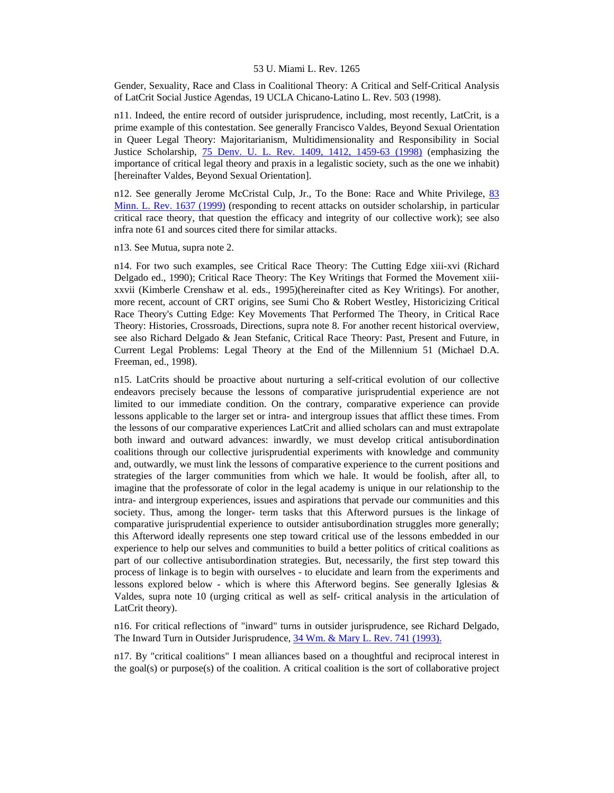Gender, Sexuality, Race and Class in Coalitional Theory: A Critical and Self-Critical Analysis of LatCrit Social Justice Agendas, 19 UCLA Chicano-Latino L. Rev. 503 (1998).

n11. Indeed, the entire record of outsider jurisprudence, including, most recently, LatCrit, is a prime example of this contestation. See generally Francisco Valdes, Beyond Sexual Orientation in Queer Legal Theory: Majoritarianism, Multidimensionality and Responsibility in Social Justice Scholarship, [75 Denv. U. L. Rev. 1409, 1412, 1459-63 \(1998\)](http://www.lexis.com/research/xlink?searchtype=get&search=75%20Denv.%20U.L.%20Rev.%201409,at%201412) (emphasizing the importance of critical legal theory and praxis in a legalistic society, such as the one we inhabit) [hereinafter Valdes, Beyond Sexual Orientation].

n12. See generally Jerome McCristal Culp, Jr., To the Bone: Race and White Privilege, [83](http://www.lexis.com/research/xlink?searchtype=get&search=83%20Minn.%20L.%20Rev.%201637)  [Minn. L. Rev. 1637 \(1999\)](http://www.lexis.com/research/xlink?searchtype=get&search=83%20Minn.%20L.%20Rev.%201637) (responding to recent attacks on outsider scholarship, in particular critical race theory, that question the efficacy and integrity of our collective work); see also infra note 61 and sources cited there for similar attacks.

n13. See Mutua, supra note 2.

n14. For two such examples, see Critical Race Theory: The Cutting Edge xiii-xvi (Richard Delgado ed., 1990); Critical Race Theory: The Key Writings that Formed the Movement xiiixxvii (Kimberle Crenshaw et al. eds., 1995)(hereinafter cited as Key Writings). For another, more recent, account of CRT origins, see Sumi Cho & Robert Westley, Historicizing Critical Race Theory's Cutting Edge: Key Movements That Performed The Theory, in Critical Race Theory: Histories, Crossroads, Directions, supra note 8. For another recent historical overview, see also Richard Delgado & Jean Stefanic, Critical Race Theory: Past, Present and Future, in Current Legal Problems: Legal Theory at the End of the Millennium 51 (Michael D.A. Freeman, ed., 1998).

n15. LatCrits should be proactive about nurturing a self-critical evolution of our collective endeavors precisely because the lessons of comparative jurisprudential experience are not limited to our immediate condition. On the contrary, comparative experience can provide lessons applicable to the larger set or intra- and intergroup issues that afflict these times. From the lessons of our comparative experiences LatCrit and allied scholars can and must extrapolate both inward and outward advances: inwardly, we must develop critical antisubordination coalitions through our collective jurisprudential experiments with knowledge and community and, outwardly, we must link the lessons of comparative experience to the current positions and strategies of the larger communities from which we hale. It would be foolish, after all, to imagine that the professorate of color in the legal academy is unique in our relationship to the intra- and intergroup experiences, issues and aspirations that pervade our communities and this society. Thus, among the longer- term tasks that this Afterword pursues is the linkage of comparative jurisprudential experience to outsider antisubordination struggles more generally; this Afterword ideally represents one step toward critical use of the lessons embedded in our experience to help our selves and communities to build a better politics of critical coalitions as part of our collective antisubordination strategies. But, necessarily, the first step toward this process of linkage is to begin with ourselves - to elucidate and learn from the experiments and lessons explored below - which is where this Afterword begins. See generally Iglesias  $\&$ Valdes, supra note 10 (urging critical as well as self- critical analysis in the articulation of LatCrit theory).

n16. For critical reflections of "inward" turns in outsider jurisprudence, see Richard Delgado, The Inward Turn in Outsider Jurisprudence,  $34$  Wm. & Mary L. Rev. 741 (1993).

n17. By "critical coalitions" I mean alliances based on a thoughtful and reciprocal interest in the goal(s) or purpose(s) of the coalition. A critical coalition is the sort of collaborative project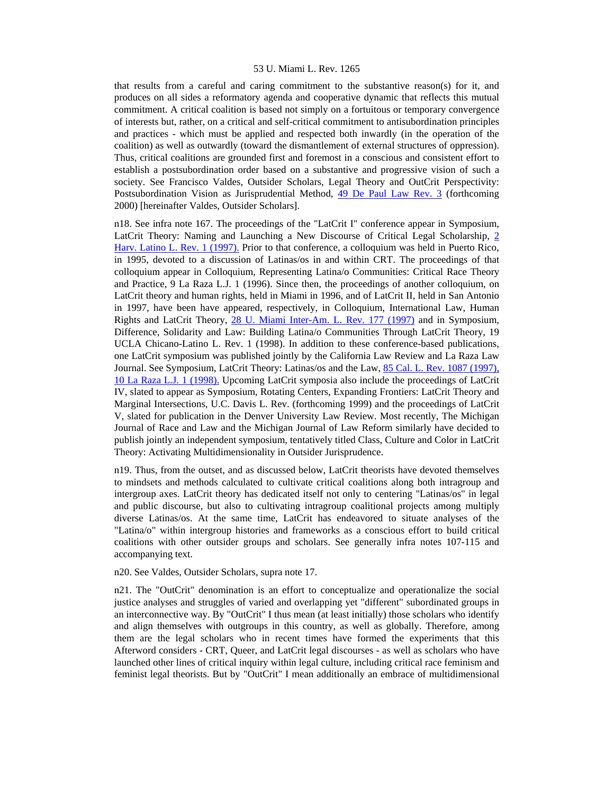that results from a careful and caring commitment to the substantive reason(s) for it, and produces on all sides a reformatory agenda and cooperative dynamic that reflects this mutual commitment. A critical coalition is based not simply on a fortuitous or temporary convergence of interests but, rather, on a critical and self-critical commitment to antisubordination principles and practices - which must be applied and respected both inwardly (in the operation of the coalition) as well as outwardly (toward the dismantlement of external structures of oppression). Thus, critical coalitions are grounded first and foremost in a conscious and consistent effort to establish a postsubordination order based on a substantive and progressive vision of such a society. See Francisco Valdes, Outsider Scholars, Legal Theory and OutCrit Perspectivity: Postsubordination Vision as Jurisprudential Method, [49 De Paul Law Rev. 3](http://www.lexis.com/research/xlink?searchtype=get&search=49%20DePaul%20L.%20Rev.%203) (forthcoming 2000) [hereinafter Valdes, Outsider Scholars].

n18. See infra note 167. The proceedings of the "LatCrit I" conference appear in Symposium, LatCrit Theory: Naming and Launching a New Discourse of Critical Legal Scholarship, [2](http://www.lexis.com/research/xlink?searchtype=get&search=2%20Harv.%20Latino%20L.%20Rev.%201)  [Harv. Latino L. Rev. 1 \(1997\).](http://www.lexis.com/research/xlink?searchtype=get&search=2%20Harv.%20Latino%20L.%20Rev.%201) Prior to that conference, a colloquium was held in Puerto Rico, in 1995, devoted to a discussion of Latinas/os in and within CRT. The proceedings of that colloquium appear in Colloquium, Representing Latina/o Communities: Critical Race Theory and Practice, 9 La Raza L.J. 1 (1996). Since then, the proceedings of another colloquium, on LatCrit theory and human rights, held in Miami in 1996, and of LatCrit II, held in San Antonio in 1997, have been have appeared, respectively, in Colloquium, International Law, Human Rights and LatCrit Theory, [28 U. Miami Inter-Am. L. Rev. 177 \(1997\)](http://www.lexis.com/research/xlink?searchtype=get&search=28%20U.%20Miami%20Inter-Am.%20L.%20Rev.%20177) and in Symposium, Difference, Solidarity and Law: Building Latina/o Communities Through LatCrit Theory, 19 UCLA Chicano-Latino L. Rev. 1 (1998). In addition to these conference-based publications, one LatCrit symposium was published jointly by the California Law Review and La Raza Law Journal. See Symposium, LatCrit Theory: Latinas/os and the Law, 85 Cal. L. Rev. 1087 (1997), [10 La Raza L.J. 1 \(1998\).](http://www.lexis.com/research/xlink?searchtype=get&search=85%20Calif.%20L.%20Rev.%201087) Upcoming LatCrit symposia also include the proceedings of LatCrit IV, slated to appear as Symposium, Rotating Centers, Expanding Frontiers: LatCrit Theory and Marginal Intersections, U.C. Davis L. Rev. (forthcoming 1999) and the proceedings of LatCrit V, slated for publication in the Denver University Law Review. Most recently, The Michigan Journal of Race and Law and the Michigan Journal of Law Reform similarly have decided to publish jointly an independent symposium, tentatively titled Class, Culture and Color in LatCrit Theory: Activating Multidimensionality in Outsider Jurisprudence.

n19. Thus, from the outset, and as discussed below, LatCrit theorists have devoted themselves to mindsets and methods calculated to cultivate critical coalitions along both intragroup and intergroup axes. LatCrit theory has dedicated itself not only to centering "Latinas/os" in legal and public discourse, but also to cultivating intragroup coalitional projects among multiply diverse Latinas/os. At the same time, LatCrit has endeavored to situate analyses of the "Latina/o" within intergroup histories and frameworks as a conscious effort to build critical coalitions with other outsider groups and scholars. See generally infra notes 107-115 and accompanying text.

n20. See Valdes, Outsider Scholars, supra note 17.

n21. The "OutCrit" denomination is an effort to conceptualize and operationalize the social justice analyses and struggles of varied and overlapping yet "different" subordinated groups in an interconnective way. By "OutCrit" I thus mean (at least initially) those scholars who identify and align themselves with outgroups in this country, as well as globally. Therefore, among them are the legal scholars who in recent times have formed the experiments that this Afterword considers - CRT, Queer, and LatCrit legal discourses - as well as scholars who have launched other lines of critical inquiry within legal culture, including critical race feminism and feminist legal theorists. But by "OutCrit" I mean additionally an embrace of multidimensional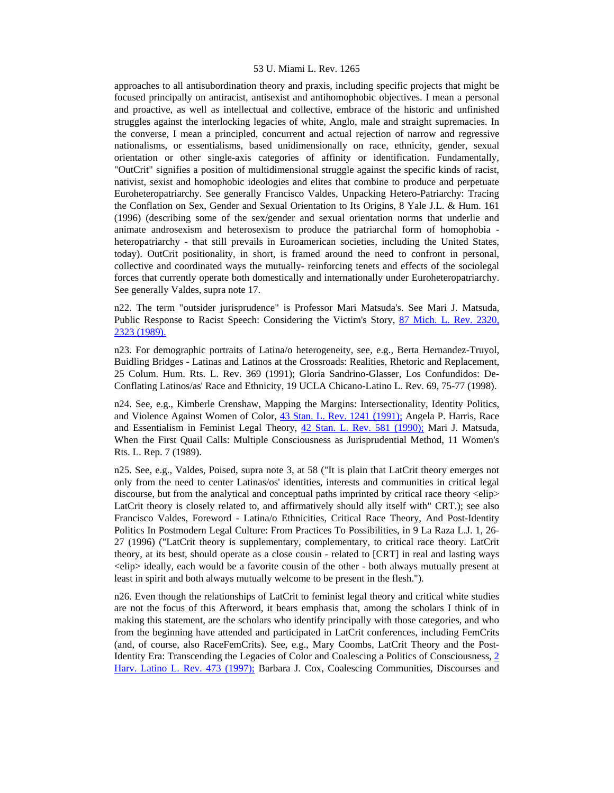approaches to all antisubordination theory and praxis, including specific projects that might be focused principally on antiracist, antisexist and antihomophobic objectives. I mean a personal and proactive, as well as intellectual and collective, embrace of the historic and unfinished struggles against the interlocking legacies of white, Anglo, male and straight supremacies. In the converse, I mean a principled, concurrent and actual rejection of narrow and regressive nationalisms, or essentialisms, based unidimensionally on race, ethnicity, gender, sexual orientation or other single-axis categories of affinity or identification. Fundamentally, "OutCrit" signifies a position of multidimensional struggle against the specific kinds of racist, nativist, sexist and homophobic ideologies and elites that combine to produce and perpetuate Euroheteropatriarchy. See generally Francisco Valdes, Unpacking Hetero-Patriarchy: Tracing the Conflation on Sex, Gender and Sexual Orientation to Its Origins, 8 Yale J.L. & Hum. 161 (1996) (describing some of the sex/gender and sexual orientation norms that underlie and animate androsexism and heterosexism to produce the patriarchal form of homophobia heteropatriarchy - that still prevails in Euroamerican societies, including the United States, today). OutCrit positionality, in short, is framed around the need to confront in personal, collective and coordinated ways the mutually- reinforcing tenets and effects of the sociolegal forces that currently operate both domestically and internationally under Euroheteropatriarchy. See generally Valdes, supra note 17.

n22. The term "outsider jurisprudence" is Professor Mari Matsuda's. See Mari J. Matsuda, Public Response to Racist Speech: Considering the Victim's Story, [87 Mich. L. Rev. 2320,](http://www.lexis.com/research/xlink?searchtype=get&search=87%20Mich.%20L.%20Rev.%202320,at%202323)  [2323 \(1989\).](http://www.lexis.com/research/xlink?searchtype=get&search=87%20Mich.%20L.%20Rev.%202320,at%202323)

n23. For demographic portraits of Latina/o heterogeneity, see, e.g., Berta Hernandez-Truyol, Buidling Bridges - Latinas and Latinos at the Crossroads: Realities, Rhetoric and Replacement, 25 Colum. Hum. Rts. L. Rev. 369 (1991); Gloria Sandrino-Glasser, Los Confundidos: De-Conflating Latinos/as' Race and Ethnicity, 19 UCLA Chicano-Latino L. Rev. 69, 75-77 (1998).

n24. See, e.g., Kimberle Crenshaw, Mapping the Margins: Intersectionality, Identity Politics, and Violence Against Women of Color, [43 Stan. L. Rev. 1241 \(1991\);](http://www.lexis.com/research/xlink?searchtype=get&search=43%20Stan.%20L.%20Rev.%201241) Angela P. Harris, Race and Essentialism in Feminist Legal Theory, [42 Stan. L. Rev. 581 \(1990\);](http://www.lexis.com/research/xlink?searchtype=get&search=42%20Stan.%20L.%20Rev.%20581) Mari J. Matsuda, When the First Quail Calls: Multiple Consciousness as Jurisprudential Method, 11 Women's Rts. L. Rep. 7 (1989).

n25. See, e.g., Valdes, Poised, supra note 3, at 58 ("It is plain that LatCrit theory emerges not only from the need to center Latinas/os' identities, interests and communities in critical legal discourse, but from the analytical and conceptual paths imprinted by critical race theory <elip> LatCrit theory is closely related to, and affirmatively should ally itself with" CRT.); see also Francisco Valdes, Foreword - Latina/o Ethnicities, Critical Race Theory, And Post-Identity Politics In Postmodern Legal Culture: From Practices To Possibilities, in 9 La Raza L.J. 1, 26- 27 (1996) ("LatCrit theory is supplementary, complementary, to critical race theory. LatCrit theory, at its best, should operate as a close cousin - related to [CRT] in real and lasting ways <elip> ideally, each would be a favorite cousin of the other - both always mutually present at least in spirit and both always mutually welcome to be present in the flesh.").

n26. Even though the relationships of LatCrit to feminist legal theory and critical white studies are not the focus of this Afterword, it bears emphasis that, among the scholars I think of in making this statement, are the scholars who identify principally with those categories, and who from the beginning have attended and participated in LatCrit conferences, including FemCrits (and, of course, also RaceFemCrits). See, e.g., Mary Coombs, LatCrit Theory and the Post-Identity Era: Transcending the Legacies of Color and Coalescing a Politics of Consciousness, [2](http://www.lexis.com/research/xlink?searchtype=get&search=2%20Harv.%20Latino%20L.%20Rev.%20473)  [Harv. Latino L. Rev. 473 \(1997\);](http://www.lexis.com/research/xlink?searchtype=get&search=2%20Harv.%20Latino%20L.%20Rev.%20473) Barbara J. Cox, Coalescing Communities, Discourses and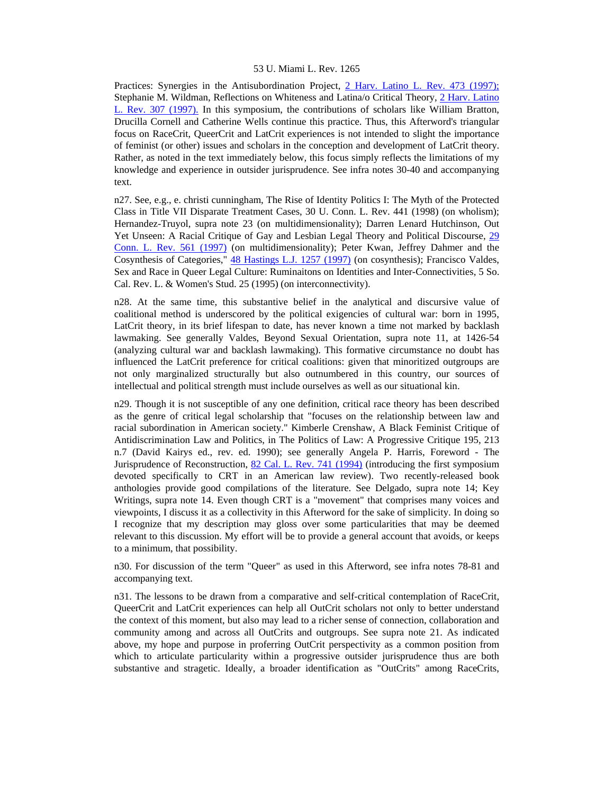Practices: Synergies in the Antisubordination Project, [2 Harv. Latino L. Rev. 473 \(1997\);](http://www.lexis.com/research/xlink?searchtype=get&search=2%20Harv.%20Latino%20L.%20Rev.%20473) Stephanie M. Wildman, Reflections on Whiteness and Latina/o Critical Theory, [2 Harv. Latino](http://www.lexis.com/research/xlink?searchtype=get&search=2%20Harv.%20Latino%20L.%20Rev.%20307)  [L. Rev. 307 \(1997\).](http://www.lexis.com/research/xlink?searchtype=get&search=2%20Harv.%20Latino%20L.%20Rev.%20307) In this symposium, the contributions of scholars like William Bratton, Drucilla Cornell and Catherine Wells continue this practice. Thus, this Afterword's triangular focus on RaceCrit, QueerCrit and LatCrit experiences is not intended to slight the importance of feminist (or other) issues and scholars in the conception and development of LatCrit theory. Rather, as noted in the text immediately below, this focus simply reflects the limitations of my knowledge and experience in outsider jurisprudence. See infra notes 30-40 and accompanying text.

n27. See, e.g., e. christi cunningham, The Rise of Identity Politics I: The Myth of the Protected Class in Title VII Disparate Treatment Cases, 30 U. Conn. L. Rev. 441 (1998) (on wholism); Hernandez-Truyol, supra note 23 (on multidimensionality); Darren Lenard Hutchinson, Out Yet Unseen: A Racial Critique of Gay and Lesbian Legal Theory and Political Discourse, [29](http://www.lexis.com/research/xlink?searchtype=get&search=29%20Conn.%20L.%20Rev.%20561)  [Conn. L. Rev. 561 \(1997\)](http://www.lexis.com/research/xlink?searchtype=get&search=29%20Conn.%20L.%20Rev.%20561) (on multidimensionality); Peter Kwan, Jeffrey Dahmer and the Cosynthesis of Categories," [48 Hastings L.J. 1257 \(1997\)](http://www.lexis.com/research/xlink?searchtype=get&search=48%20Hastings%20L.J.%201257) (on cosynthesis); Francisco Valdes, Sex and Race in Queer Legal Culture: Ruminaitons on Identities and Inter-Connectivities, 5 So. Cal. Rev. L. & Women's Stud. 25 (1995) (on interconnectivity).

n28. At the same time, this substantive belief in the analytical and discursive value of coalitional method is underscored by the political exigencies of cultural war: born in 1995, LatCrit theory, in its brief lifespan to date, has never known a time not marked by backlash lawmaking. See generally Valdes, Beyond Sexual Orientation, supra note 11, at 1426-54 (analyzing cultural war and backlash lawmaking). This formative circumstance no doubt has influenced the LatCrit preference for critical coalitions: given that minoritized outgroups are not only marginalized structurally but also outnumbered in this country, our sources of intellectual and political strength must include ourselves as well as our situational kin.

n29. Though it is not susceptible of any one definition, critical race theory has been described as the genre of critical legal scholarship that "focuses on the relationship between law and racial subordination in American society." Kimberle Crenshaw, A Black Feminist Critique of Antidiscrimination Law and Politics, in The Politics of Law: A Progressive Critique 195, 213 n.7 (David Kairys ed., rev. ed. 1990); see generally Angela P. Harris, Foreword - The Jurisprudence of Reconstruction, [82 Cal. L. Rev. 741 \(1994\)](http://www.lexis.com/research/xlink?searchtype=get&search=82%20Calif.%20L.%20Rev.%20741) (introducing the first symposium devoted specifically to CRT in an American law review). Two recently-released book anthologies provide good compilations of the literature. See Delgado, supra note 14; Key Writings, supra note 14. Even though CRT is a "movement" that comprises many voices and viewpoints, I discuss it as a collectivity in this Afterword for the sake of simplicity. In doing so I recognize that my description may gloss over some particularities that may be deemed relevant to this discussion. My effort will be to provide a general account that avoids, or keeps to a minimum, that possibility.

n30. For discussion of the term "Queer" as used in this Afterword, see infra notes 78-81 and accompanying text.

n31. The lessons to be drawn from a comparative and self-critical contemplation of RaceCrit, QueerCrit and LatCrit experiences can help all OutCrit scholars not only to better understand the context of this moment, but also may lead to a richer sense of connection, collaboration and community among and across all OutCrits and outgroups. See supra note 21. As indicated above, my hope and purpose in proferring OutCrit perspectivity as a common position from which to articulate particularity within a progressive outsider jurisprudence thus are both substantive and stragetic. Ideally, a broader identification as "OutCrits" among RaceCrits,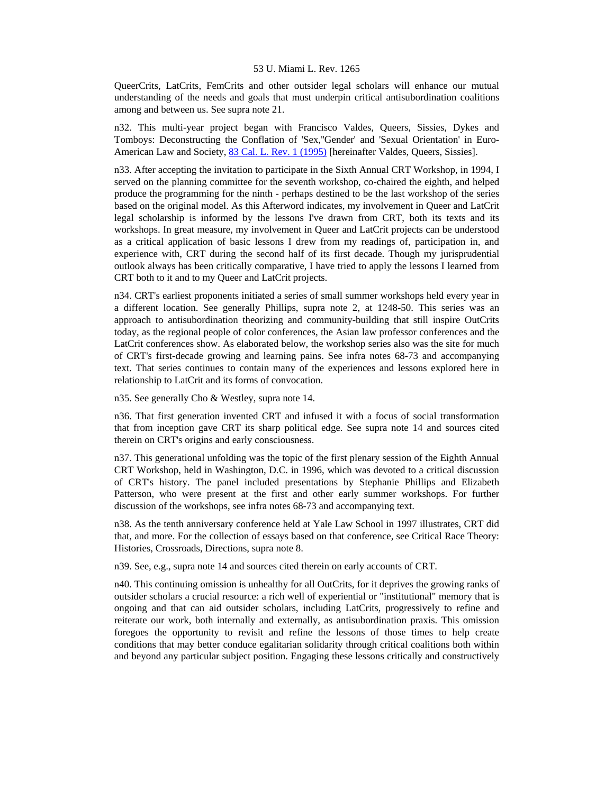QueerCrits, LatCrits, FemCrits and other outsider legal scholars will enhance our mutual understanding of the needs and goals that must underpin critical antisubordination coalitions among and between us. See supra note 21.

n32. This multi-year project began with Francisco Valdes, Queers, Sissies, Dykes and Tomboys: Deconstructing the Conflation of 'Sex,''Gender' and 'Sexual Orientation' in Euro-American Law and Society, [83 Cal. L. Rev. 1 \(1995\)](http://www.lexis.com/research/xlink?searchtype=get&search=83%20Calif.%20L.%20Rev.%201) [hereinafter Valdes, Queers, Sissies].

n33. After accepting the invitation to participate in the Sixth Annual CRT Workshop, in 1994, I served on the planning committee for the seventh workshop, co-chaired the eighth, and helped produce the programming for the ninth - perhaps destined to be the last workshop of the series based on the original model. As this Afterword indicates, my involvement in Queer and LatCrit legal scholarship is informed by the lessons I've drawn from CRT, both its texts and its workshops. In great measure, my involvement in Queer and LatCrit projects can be understood as a critical application of basic lessons I drew from my readings of, participation in, and experience with, CRT during the second half of its first decade. Though my jurisprudential outlook always has been critically comparative, I have tried to apply the lessons I learned from CRT both to it and to my Queer and LatCrit projects.

n34. CRT's earliest proponents initiated a series of small summer workshops held every year in a different location. See generally Phillips, supra note 2, at 1248-50. This series was an approach to antisubordination theorizing and community-building that still inspire OutCrits today, as the regional people of color conferences, the Asian law professor conferences and the LatCrit conferences show. As elaborated below, the workshop series also was the site for much of CRT's first-decade growing and learning pains. See infra notes 68-73 and accompanying text. That series continues to contain many of the experiences and lessons explored here in relationship to LatCrit and its forms of convocation.

n35. See generally Cho & Westley, supra note 14.

n36. That first generation invented CRT and infused it with a focus of social transformation that from inception gave CRT its sharp political edge. See supra note 14 and sources cited therein on CRT's origins and early consciousness.

n37. This generational unfolding was the topic of the first plenary session of the Eighth Annual CRT Workshop, held in Washington, D.C. in 1996, which was devoted to a critical discussion of CRT's history. The panel included presentations by Stephanie Phillips and Elizabeth Patterson, who were present at the first and other early summer workshops. For further discussion of the workshops, see infra notes 68-73 and accompanying text.

n38. As the tenth anniversary conference held at Yale Law School in 1997 illustrates, CRT did that, and more. For the collection of essays based on that conference, see Critical Race Theory: Histories, Crossroads, Directions, supra note 8.

n39. See, e.g., supra note 14 and sources cited therein on early accounts of CRT.

n40. This continuing omission is unhealthy for all OutCrits, for it deprives the growing ranks of outsider scholars a crucial resource: a rich well of experiential or "institutional" memory that is ongoing and that can aid outsider scholars, including LatCrits, progressively to refine and reiterate our work, both internally and externally, as antisubordination praxis. This omission foregoes the opportunity to revisit and refine the lessons of those times to help create conditions that may better conduce egalitarian solidarity through critical coalitions both within and beyond any particular subject position. Engaging these lessons critically and constructively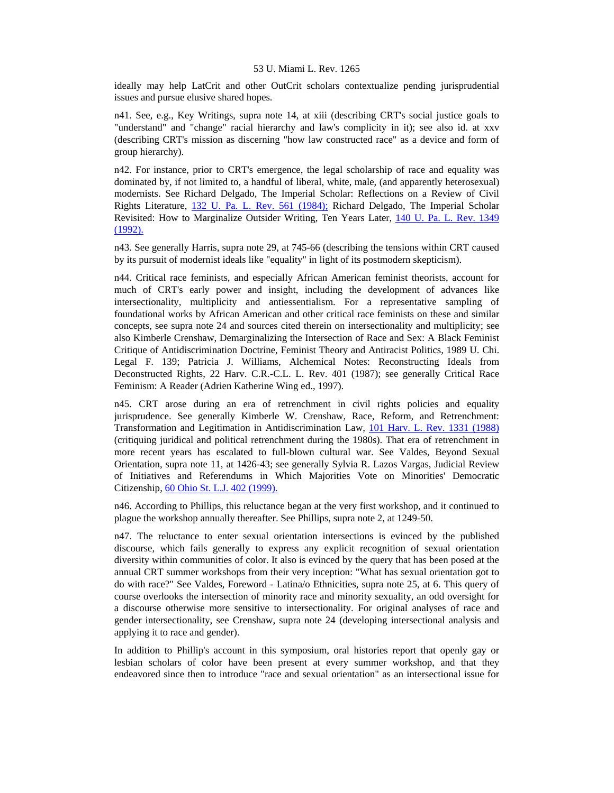ideally may help LatCrit and other OutCrit scholars contextualize pending jurisprudential issues and pursue elusive shared hopes.

n41. See, e.g., Key Writings, supra note 14, at xiii (describing CRT's social justice goals to "understand" and "change" racial hierarchy and law's complicity in it); see also id. at xxv (describing CRT's mission as discerning "how law constructed race" as a device and form of group hierarchy).

n42. For instance, prior to CRT's emergence, the legal scholarship of race and equality was dominated by, if not limited to, a handful of liberal, white, male, (and apparently heterosexual) modernists. See Richard Delgado, The Imperial Scholar: Reflections on a Review of Civil Rights Literature, [132 U. Pa. L. Rev. 561 \(1984\);](http://www.lexis.com/research/xlink?searchtype=get&search=132%20U.%20Pa.%20L.%20Rev.%20561) Richard Delgado, The Imperial Scholar Revisited: How to Marginalize Outsider Writing, Ten Years Later, 140 U. Pa. L. Rev. 1349 [\(1992\).](http://www.lexis.com/research/xlink?searchtype=get&search=140%20U.%20Pa.%20L.%20Rev.%201349)

n43. See generally Harris, supra note 29, at 745-66 (describing the tensions within CRT caused by its pursuit of modernist ideals like "equality" in light of its postmodern skepticism).

n44. Critical race feminists, and especially African American feminist theorists, account for much of CRT's early power and insight, including the development of advances like intersectionality, multiplicity and antiessentialism. For a representative sampling of foundational works by African American and other critical race feminists on these and similar concepts, see supra note 24 and sources cited therein on intersectionality and multiplicity; see also Kimberle Crenshaw, Demarginalizing the Intersection of Race and Sex: A Black Feminist Critique of Antidiscrimination Doctrine, Feminist Theory and Antiracist Politics, 1989 U. Chi. Legal F. 139; Patricia J. Williams, Alchemical Notes: Reconstructing Ideals from Deconstructed Rights, 22 Harv. C.R.-C.L. L. Rev. 401 (1987); see generally Critical Race Feminism: A Reader (Adrien Katherine Wing ed., 1997).

n45. CRT arose during an era of retrenchment in civil rights policies and equality jurisprudence. See generally Kimberle W. Crenshaw, Race, Reform, and Retrenchment: Transformation and Legitimation in Antidiscrimination Law, [101 Harv. L. Rev. 1331 \(1988\)](http://www.lexis.com/research/xlink?searchtype=get&search=101%20Harv.%20L.%20Rev.%201331) (critiquing juridical and political retrenchment during the 1980s). That era of retrenchment in more recent years has escalated to full-blown cultural war. See Valdes, Beyond Sexual Orientation, supra note 11, at 1426-43; see generally Sylvia R. Lazos Vargas, Judicial Review of Initiatives and Referendums in Which Majorities Vote on Minorities' Democratic Citizenship, [60 Ohio St. L.J. 402 \(1999\).](http://www.lexis.com/research/xlink?searchtype=get&search=60%20Ohio%20St.%20L.J.%20402)

n46. According to Phillips, this reluctance began at the very first workshop, and it continued to plague the workshop annually thereafter. See Phillips, supra note 2, at 1249-50.

n47. The reluctance to enter sexual orientation intersections is evinced by the published discourse, which fails generally to express any explicit recognition of sexual orientation diversity within communities of color. It also is evinced by the query that has been posed at the annual CRT summer workshops from their very inception: "What has sexual orientation got to do with race?" See Valdes, Foreword - Latina/o Ethnicities, supra note 25, at 6. This query of course overlooks the intersection of minority race and minority sexuality, an odd oversight for a discourse otherwise more sensitive to intersectionality. For original analyses of race and gender intersectionality, see Crenshaw, supra note 24 (developing intersectional analysis and applying it to race and gender).

In addition to Phillip's account in this symposium, oral histories report that openly gay or lesbian scholars of color have been present at every summer workshop, and that they endeavored since then to introduce "race and sexual orientation" as an intersectional issue for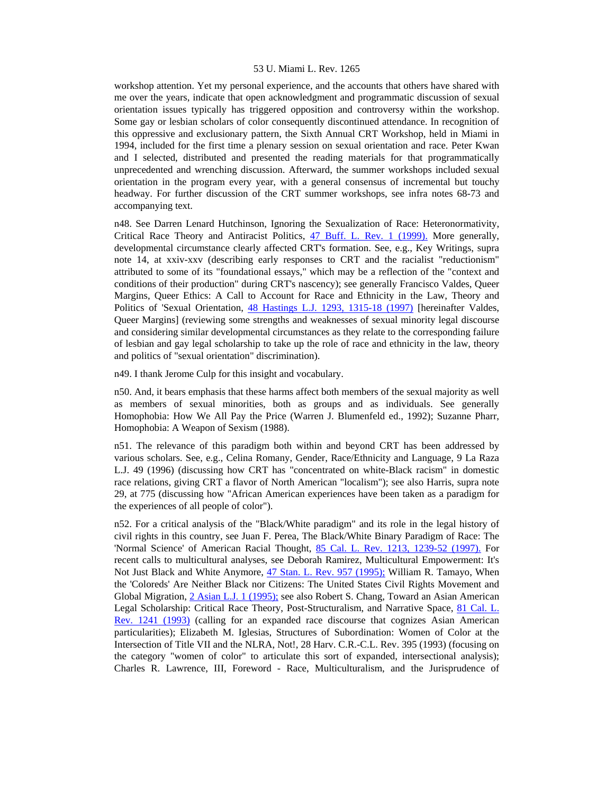workshop attention. Yet my personal experience, and the accounts that others have shared with me over the years, indicate that open acknowledgment and programmatic discussion of sexual orientation issues typically has triggered opposition and controversy within the workshop. Some gay or lesbian scholars of color consequently discontinued attendance. In recognition of this oppressive and exclusionary pattern, the Sixth Annual CRT Workshop, held in Miami in 1994, included for the first time a plenary session on sexual orientation and race. Peter Kwan and I selected, distributed and presented the reading materials for that programmatically unprecedented and wrenching discussion. Afterward, the summer workshops included sexual orientation in the program every year, with a general consensus of incremental but touchy headway. For further discussion of the CRT summer workshops, see infra notes 68-73 and accompanying text.

n48. See Darren Lenard Hutchinson, Ignoring the Sexualization of Race: Heteronormativity, Critical Race Theory and Antiracist Politics, [47 Buff. L. Rev. 1 \(1999\).](http://www.lexis.com/research/xlink?searchtype=get&search=47%20Buffalo%20L.%20Rev.%201) More generally, developmental circumstance clearly affected CRT's formation. See, e.g., Key Writings, supra note 14, at xxiv-xxv (describing early responses to CRT and the racialist "reductionism" attributed to some of its "foundational essays," which may be a reflection of the "context and conditions of their production" during CRT's nascency); see generally Francisco Valdes, Queer Margins, Queer Ethics: A Call to Account for Race and Ethnicity in the Law, Theory and Politics of 'Sexual Orientation, [48 Hastings L.J. 1293, 1315-18 \(1997\)](http://www.lexis.com/research/xlink?searchtype=get&search=48%20Hastings%20L.J.%201293,at%201315) [hereinafter Valdes, Queer Margins] (reviewing some strengths and weaknesses of sexual minority legal discourse and considering similar developmental circumstances as they relate to the corresponding failure of lesbian and gay legal scholarship to take up the role of race and ethnicity in the law, theory and politics of "sexual orientation" discrimination).

n49. I thank Jerome Culp for this insight and vocabulary.

n50. And, it bears emphasis that these harms affect both members of the sexual majority as well as members of sexual minorities, both as groups and as individuals. See generally Homophobia: How We All Pay the Price (Warren J. Blumenfeld ed., 1992); Suzanne Pharr, Homophobia: A Weapon of Sexism (1988).

n51. The relevance of this paradigm both within and beyond CRT has been addressed by various scholars. See, e.g., Celina Romany, Gender, Race/Ethnicity and Language, 9 La Raza L.J. 49 (1996) (discussing how CRT has "concentrated on white-Black racism" in domestic race relations, giving CRT a flavor of North American "localism"); see also Harris, supra note 29, at 775 (discussing how "African American experiences have been taken as a paradigm for the experiences of all people of color").

n52. For a critical analysis of the "Black/White paradigm" and its role in the legal history of civil rights in this country, see Juan F. Perea, The Black/White Binary Paradigm of Race: The 'Normal Science' of American Racial Thought, [85 Cal. L. Rev. 1213, 1239-52 \(1997\).](http://www.lexis.com/research/xlink?searchtype=get&search=85%20Calif.%20L.%20Rev.%201213,at%201239) For recent calls to multicultural analyses, see Deborah Ramirez, Multicultural Empowerment: It's Not Just Black and White Anymore, [47 Stan. L. Rev. 957 \(1995\);](http://www.lexis.com/research/xlink?searchtype=get&search=47%20Stan.%20L.%20Rev.%20957) William R. Tamayo, When the 'Coloreds' Are Neither Black nor Citizens: The United States Civil Rights Movement and Global Migration, [2 Asian L.J. 1 \(1995\);](http://www.lexis.com/research/xlink?searchtype=get&search=2%20Asian%20L.J.%201) see also Robert S. Chang, Toward an Asian American Legal Scholarship: Critical Race Theory, Post-Structuralism, and Narrative Space, [81 Cal. L.](http://www.lexis.com/research/xlink?searchtype=get&search=81%20Calif.%20L.%20Rev.%201241)  [Rev. 1241 \(1993\)](http://www.lexis.com/research/xlink?searchtype=get&search=81%20Calif.%20L.%20Rev.%201241) (calling for an expanded race discourse that cognizes Asian American particularities); Elizabeth M. Iglesias, Structures of Subordination: Women of Color at the Intersection of Title VII and the NLRA, Not!, 28 Harv. C.R.-C.L. Rev. 395 (1993) (focusing on the category "women of color" to articulate this sort of expanded, intersectional analysis); Charles R. Lawrence, III, Foreword - Race, Multiculturalism, and the Jurisprudence of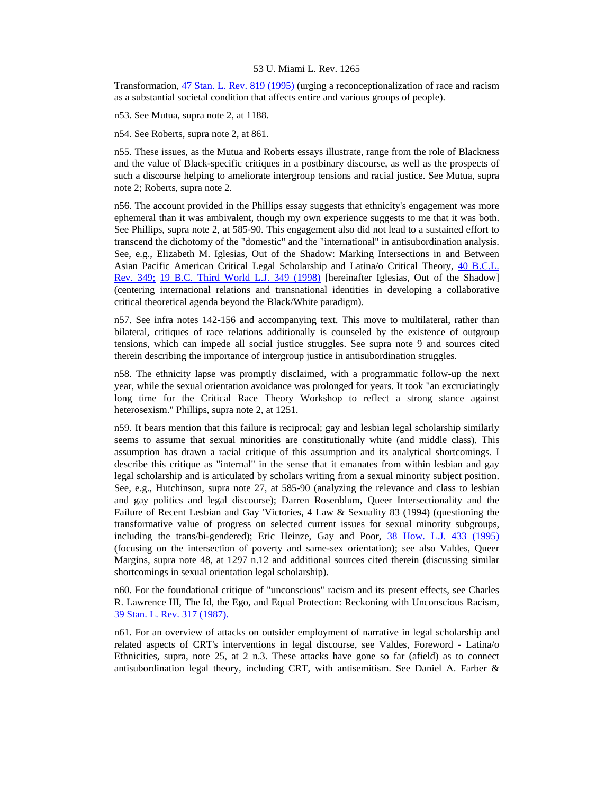Transformation, [47 Stan. L. Rev. 819 \(1995\)](http://www.lexis.com/research/xlink?searchtype=get&search=47%20Stan.%20L.%20Rev.%20819) (urging a reconceptionalization of race and racism as a substantial societal condition that affects entire and various groups of people).

n53. See Mutua, supra note 2, at 1188.

n54. See Roberts, supra note 2, at 861.

n55. These issues, as the Mutua and Roberts essays illustrate, range from the role of Blackness and the value of Black-specific critiques in a postbinary discourse, as well as the prospects of such a discourse helping to ameliorate intergroup tensions and racial justice. See Mutua, supra note 2; Roberts, supra note 2.

n56. The account provided in the Phillips essay suggests that ethnicity's engagement was more ephemeral than it was ambivalent, though my own experience suggests to me that it was both. See Phillips, supra note 2, at 585-90. This engagement also did not lead to a sustained effort to transcend the dichotomy of the "domestic" and the "international" in antisubordination analysis. See, e.g., Elizabeth M. Iglesias, Out of the Shadow: Marking Intersections in and Between Asian Pacific American Critical Legal Scholarship and Latina/o Critical Theory, [40 B.C.L.](http://www.lexis.com/research/xlink?searchtype=get&search=40%20B.C.%20L.%20Rev%20349)  [Rev. 349;](http://www.lexis.com/research/xlink?searchtype=get&search=40%20B.C.%20L.%20Rev%20349) [19 B.C. Third World L.J. 349 \(1998\)](http://www.lexis.com/research/xlink?searchtype=get&search=19%20B.C.%20Third%20World%20L.J.%20349) [hereinafter Iglesias, Out of the Shadow] (centering international relations and transnational identities in developing a collaborative critical theoretical agenda beyond the Black/White paradigm).

n57. See infra notes 142-156 and accompanying text. This move to multilateral, rather than bilateral, critiques of race relations additionally is counseled by the existence of outgroup tensions, which can impede all social justice struggles. See supra note 9 and sources cited therein describing the importance of intergroup justice in antisubordination struggles.

n58. The ethnicity lapse was promptly disclaimed, with a programmatic follow-up the next year, while the sexual orientation avoidance was prolonged for years. It took "an excruciatingly long time for the Critical Race Theory Workshop to reflect a strong stance against heterosexism." Phillips, supra note 2, at 1251.

n59. It bears mention that this failure is reciprocal; gay and lesbian legal scholarship similarly seems to assume that sexual minorities are constitutionally white (and middle class). This assumption has drawn a racial critique of this assumption and its analytical shortcomings. I describe this critique as "internal" in the sense that it emanates from within lesbian and gay legal scholarship and is articulated by scholars writing from a sexual minority subject position. See, e.g., Hutchinson, supra note 27, at 585-90 (analyzing the relevance and class to lesbian and gay politics and legal discourse); Darren Rosenblum, Queer Intersectionality and the Failure of Recent Lesbian and Gay 'Victories, 4 Law & Sexuality 83 (1994) (questioning the transformative value of progress on selected current issues for sexual minority subgroups, including the trans/bi-gendered); Eric Heinze, Gay and Poor, [38 How. L.J. 433 \(1995\)](http://www.lexis.com/research/xlink?searchtype=get&search=38%20How.%20L.J.%20433) (focusing on the intersection of poverty and same-sex orientation); see also Valdes, Queer Margins, supra note 48, at 1297 n.12 and additional sources cited therein (discussing similar shortcomings in sexual orientation legal scholarship).

n60. For the foundational critique of "unconscious" racism and its present effects, see Charles R. Lawrence III, The Id, the Ego, and Equal Protection: Reckoning with Unconscious Racism, [39 Stan. L. Rev. 317 \(1987\).](http://www.lexis.com/research/xlink?searchtype=get&search=39%20Stan.%20L.%20Rev.%20317)

n61. For an overview of attacks on outsider employment of narrative in legal scholarship and related aspects of CRT's interventions in legal discourse, see Valdes, Foreword - Latina/o Ethnicities, supra, note 25, at 2 n.3. These attacks have gone so far (afield) as to connect antisubordination legal theory, including CRT, with antisemitism. See Daniel A. Farber &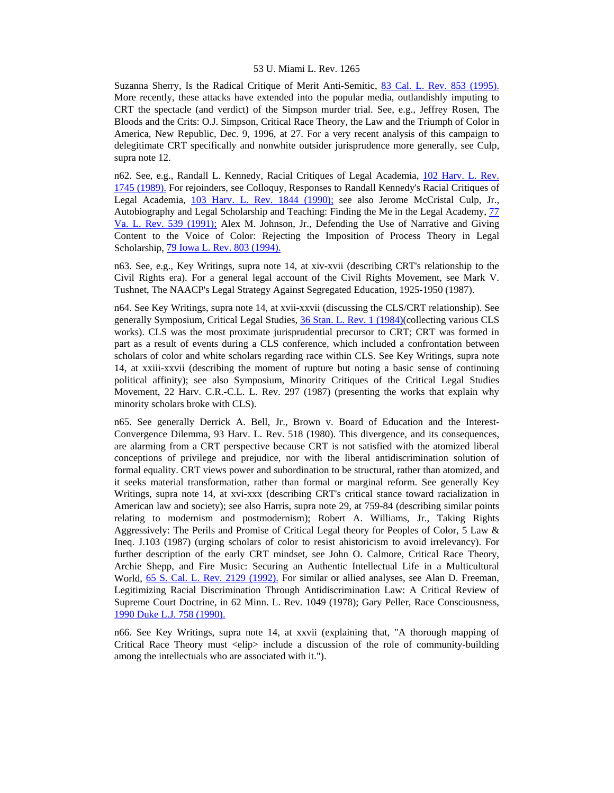Suzanna Sherry, Is the Radical Critique of Merit Anti-Semitic, [83 Cal. L. Rev. 853 \(1995\).](http://www.lexis.com/research/xlink?searchtype=get&search=83%20Calif.%20L.%20Rev.%20853) More recently, these attacks have extended into the popular media, outlandishly imputing to CRT the spectacle (and verdict) of the Simpson murder trial. See, e.g., Jeffrey Rosen, The Bloods and the Crits: O.J. Simpson, Critical Race Theory, the Law and the Triumph of Color in America, New Republic, Dec. 9, 1996, at 27. For a very recent analysis of this campaign to delegitimate CRT specifically and nonwhite outsider jurisprudence more generally, see Culp, supra note 12.

n62. See, e.g., Randall L. Kennedy, Racial Critiques of Legal Academia, [102 Harv. L. Rev.](http://www.lexis.com/research/xlink?searchtype=get&search=102%20Harv.%20L.%20Rev.%201745)  [1745 \(1989\).](http://www.lexis.com/research/xlink?searchtype=get&search=102%20Harv.%20L.%20Rev.%201745) For rejoinders, see Colloquy, Responses to Randall Kennedy's Racial Critiques of Legal Academia, [103 Harv. L. Rev. 1844 \(1990\);](http://www.lexis.com/research/xlink?searchtype=get&search=103%20Harv.%20L.%20Rev.%201844) see also Jerome McCristal Culp, Jr., Autobiography and Legal Scholarship and Teaching: Finding the Me in the Legal Academy, [77](http://www.lexis.com/research/xlink?searchtype=get&search=77%20Va.%20L.%20Rev.%20539)  [Va. L. Rev. 539 \(1991\);](http://www.lexis.com/research/xlink?searchtype=get&search=77%20Va.%20L.%20Rev.%20539) Alex M. Johnson, Jr., Defending the Use of Narrative and Giving Content to the Voice of Color: Rejecting the Imposition of Process Theory in Legal Scholarship, [79 Iowa L. Rev. 803 \(1994\).](http://www.lexis.com/research/xlink?searchtype=get&search=79%20Iowa%20L.%20Rev.%20803)

n63. See, e.g., Key Writings, supra note 14, at xiv-xvii (describing CRT's relationship to the Civil Rights era). For a general legal account of the Civil Rights Movement, see Mark V. Tushnet, The NAACP's Legal Strategy Against Segregated Education, 1925-1950 (1987).

n64. See Key Writings, supra note 14, at xvii-xxvii (discussing the CLS/CRT relationship). See generally Symposium, Critical Legal Studies, [36 Stan. L. Rev. 1 \(1984\)](http://www.lexis.com/research/xlink?searchtype=get&search=36%20Stan.%20L.%20Rev.%201)(collecting various CLS works). CLS was the most proximate jurisprudential precursor to CRT; CRT was formed in part as a result of events during a CLS conference, which included a confrontation between scholars of color and white scholars regarding race within CLS. See Key Writings, supra note 14, at xxiii-xxvii (describing the moment of rupture but noting a basic sense of continuing political affinity); see also Symposium, Minority Critiques of the Critical Legal Studies Movement, 22 Harv. C.R.-C.L. L. Rev. 297 (1987) (presenting the works that explain why minority scholars broke with CLS).

n65. See generally Derrick A. Bell, Jr., Brown v. Board of Education and the Interest-Convergence Dilemma, 93 Harv. L. Rev. 518 (1980). This divergence, and its consequences, are alarming from a CRT perspective because CRT is not satisfied with the atomized liberal conceptions of privilege and prejudice, nor with the liberal antidiscrimination solution of formal equality. CRT views power and subordination to be structural, rather than atomized, and it seeks material transformation, rather than formal or marginal reform. See generally Key Writings, supra note 14, at xvi-xxx (describing CRT's critical stance toward racialization in American law and society); see also Harris, supra note 29, at 759-84 (describing similar points relating to modernism and postmodernism); Robert A. Williams, Jr., Taking Rights Aggressively: The Perils and Promise of Critical Legal theory for Peoples of Color, 5 Law & Ineq. J.103 (1987) (urging scholars of color to resist ahistoricism to avoid irrelevancy). For further description of the early CRT mindset, see John O. Calmore, Critical Race Theory, Archie Shepp, and Fire Music: Securing an Authentic Intellectual Life in a Multicultural World, [65 S. Cal. L. Rev. 2129 \(1992\).](http://www.lexis.com/research/xlink?searchtype=get&search=65%20S.%20Cal.%20L.%20Rev.%202129) For similar or allied analyses, see Alan D. Freeman, Legitimizing Racial Discrimination Through Antidiscrimination Law: A Critical Review of Supreme Court Doctrine, in 62 Minn. L. Rev. 1049 (1978); Gary Peller, Race Consciousness, [1990 Duke L.J. 758 \(1990\).](http://www.lexis.com/research/xlink?searchtype=get&search=1990%20Duke%20L.J.%20758)

n66. See Key Writings, supra note 14, at xxvii (explaining that, "A thorough mapping of Critical Race Theory must  $\langle$ elip $\rangle$  include a discussion of the role of community-building among the intellectuals who are associated with it.").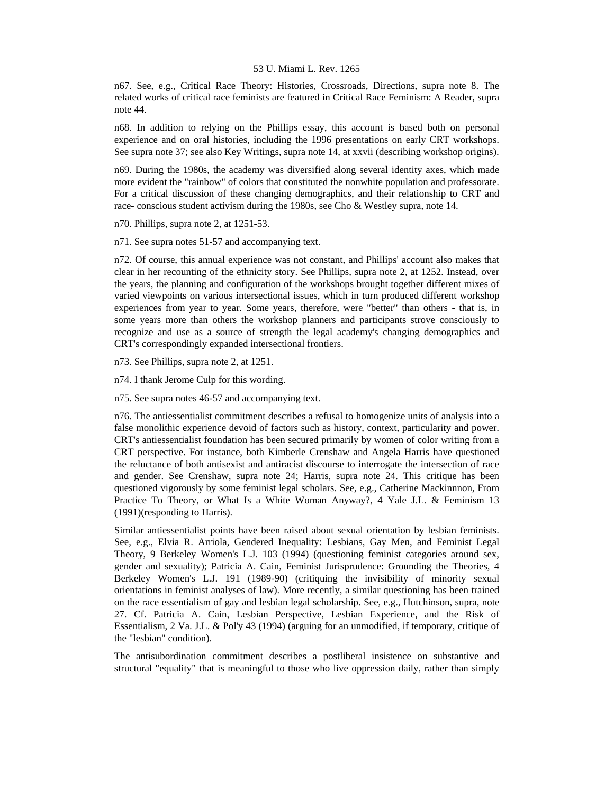n67. See, e.g., Critical Race Theory: Histories, Crossroads, Directions, supra note 8. The related works of critical race feminists are featured in Critical Race Feminism: A Reader, supra note 44.

n68. In addition to relying on the Phillips essay, this account is based both on personal experience and on oral histories, including the 1996 presentations on early CRT workshops. See supra note 37; see also Key Writings, supra note 14, at xxvii (describing workshop origins).

n69. During the 1980s, the academy was diversified along several identity axes, which made more evident the "rainbow" of colors that constituted the nonwhite population and professorate. For a critical discussion of these changing demographics, and their relationship to CRT and race- conscious student activism during the 1980s, see Cho & Westley supra, note 14.

n70. Phillips, supra note 2, at 1251-53.

n71. See supra notes 51-57 and accompanying text.

n72. Of course, this annual experience was not constant, and Phillips' account also makes that clear in her recounting of the ethnicity story. See Phillips, supra note 2, at 1252. Instead, over the years, the planning and configuration of the workshops brought together different mixes of varied viewpoints on various intersectional issues, which in turn produced different workshop experiences from year to year. Some years, therefore, were "better" than others - that is, in some years more than others the workshop planners and participants strove consciously to recognize and use as a source of strength the legal academy's changing demographics and CRT's correspondingly expanded intersectional frontiers.

n73. See Phillips, supra note 2, at 1251.

n74. I thank Jerome Culp for this wording.

n75. See supra notes 46-57 and accompanying text.

n76. The antiessentialist commitment describes a refusal to homogenize units of analysis into a false monolithic experience devoid of factors such as history, context, particularity and power. CRT's antiessentialist foundation has been secured primarily by women of color writing from a CRT perspective. For instance, both Kimberle Crenshaw and Angela Harris have questioned the reluctance of both antisexist and antiracist discourse to interrogate the intersection of race and gender. See Crenshaw, supra note 24; Harris, supra note 24. This critique has been questioned vigorously by some feminist legal scholars. See, e.g., Catherine Mackinnnon, From Practice To Theory, or What Is a White Woman Anyway?, 4 Yale J.L. & Feminism 13 (1991)(responding to Harris).

Similar antiessentialist points have been raised about sexual orientation by lesbian feminists. See, e.g., Elvia R. Arriola, Gendered Inequality: Lesbians, Gay Men, and Feminist Legal Theory, 9 Berkeley Women's L.J. 103 (1994) (questioning feminist categories around sex, gender and sexuality); Patricia A. Cain, Feminist Jurisprudence: Grounding the Theories, 4 Berkeley Women's L.J. 191 (1989-90) (critiquing the invisibility of minority sexual orientations in feminist analyses of law). More recently, a similar questioning has been trained on the race essentialism of gay and lesbian legal scholarship. See, e.g., Hutchinson, supra, note 27. Cf. Patricia A. Cain, Lesbian Perspective, Lesbian Experience, and the Risk of Essentialism, 2 Va. J.L. & Pol'y 43 (1994) (arguing for an unmodified, if temporary, critique of the "lesbian" condition).

The antisubordination commitment describes a postliberal insistence on substantive and structural "equality" that is meaningful to those who live oppression daily, rather than simply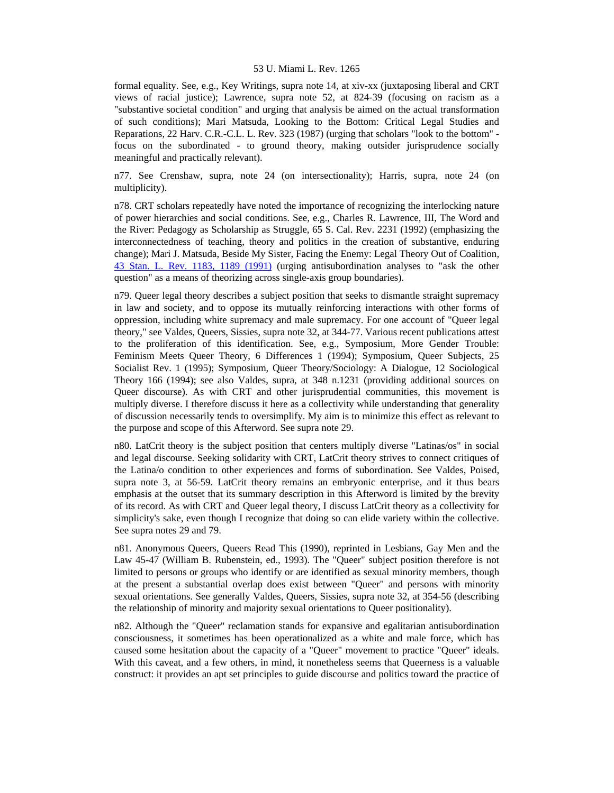formal equality. See, e.g., Key Writings, supra note 14, at xiv-xx (juxtaposing liberal and CRT views of racial justice); Lawrence, supra note 52, at 824-39 (focusing on racism as a "substantive societal condition" and urging that analysis be aimed on the actual transformation of such conditions); Mari Matsuda, Looking to the Bottom: Critical Legal Studies and Reparations, 22 Harv. C.R.-C.L. L. Rev. 323 (1987) (urging that scholars "look to the bottom" focus on the subordinated - to ground theory, making outsider jurisprudence socially meaningful and practically relevant).

n77. See Crenshaw, supra, note 24 (on intersectionality); Harris, supra, note 24 (on multiplicity).

n78. CRT scholars repeatedly have noted the importance of recognizing the interlocking nature of power hierarchies and social conditions. See, e.g., Charles R. Lawrence, III, The Word and the River: Pedagogy as Scholarship as Struggle, 65 S. Cal. Rev. 2231 (1992) (emphasizing the interconnectedness of teaching, theory and politics in the creation of substantive, enduring change); Mari J. Matsuda, Beside My Sister, Facing the Enemy: Legal Theory Out of Coalition, [43 Stan. L. Rev. 1183, 1189 \(1991\)](http://www.lexis.com/research/xlink?searchtype=get&search=43%20Stan.%20L.%20Rev.%201183,at%201189) (urging antisubordination analyses to "ask the other question" as a means of theorizing across single-axis group boundaries).

n79. Queer legal theory describes a subject position that seeks to dismantle straight supremacy in law and society, and to oppose its mutually reinforcing interactions with other forms of oppression, including white supremacy and male supremacy. For one account of "Queer legal theory," see Valdes, Queers, Sissies, supra note 32, at 344-77. Various recent publications attest to the proliferation of this identification. See, e.g., Symposium, More Gender Trouble: Feminism Meets Queer Theory, 6 Differences 1 (1994); Symposium, Queer Subjects, 25 Socialist Rev. 1 (1995); Symposium, Queer Theory/Sociology: A Dialogue, 12 Sociological Theory 166 (1994); see also Valdes, supra, at 348 n.1231 (providing additional sources on Queer discourse). As with CRT and other jurisprudential communities, this movement is multiply diverse. I therefore discuss it here as a collectivity while understanding that generality of discussion necessarily tends to oversimplify. My aim is to minimize this effect as relevant to the purpose and scope of this Afterword. See supra note 29.

n80. LatCrit theory is the subject position that centers multiply diverse "Latinas/os" in social and legal discourse. Seeking solidarity with CRT, LatCrit theory strives to connect critiques of the Latina/o condition to other experiences and forms of subordination. See Valdes, Poised, supra note 3, at 56-59. LatCrit theory remains an embryonic enterprise, and it thus bears emphasis at the outset that its summary description in this Afterword is limited by the brevity of its record. As with CRT and Queer legal theory, I discuss LatCrit theory as a collectivity for simplicity's sake, even though I recognize that doing so can elide variety within the collective. See supra notes 29 and 79.

n81. Anonymous Queers, Queers Read This (1990), reprinted in Lesbians, Gay Men and the Law 45-47 (William B. Rubenstein, ed., 1993). The "Queer" subject position therefore is not limited to persons or groups who identify or are identified as sexual minority members, though at the present a substantial overlap does exist between "Queer" and persons with minority sexual orientations. See generally Valdes, Queers, Sissies, supra note 32, at 354-56 (describing the relationship of minority and majority sexual orientations to Queer positionality).

n82. Although the "Queer" reclamation stands for expansive and egalitarian antisubordination consciousness, it sometimes has been operationalized as a white and male force, which has caused some hesitation about the capacity of a "Queer" movement to practice "Queer" ideals. With this caveat, and a few others, in mind, it nonetheless seems that Queerness is a valuable construct: it provides an apt set principles to guide discourse and politics toward the practice of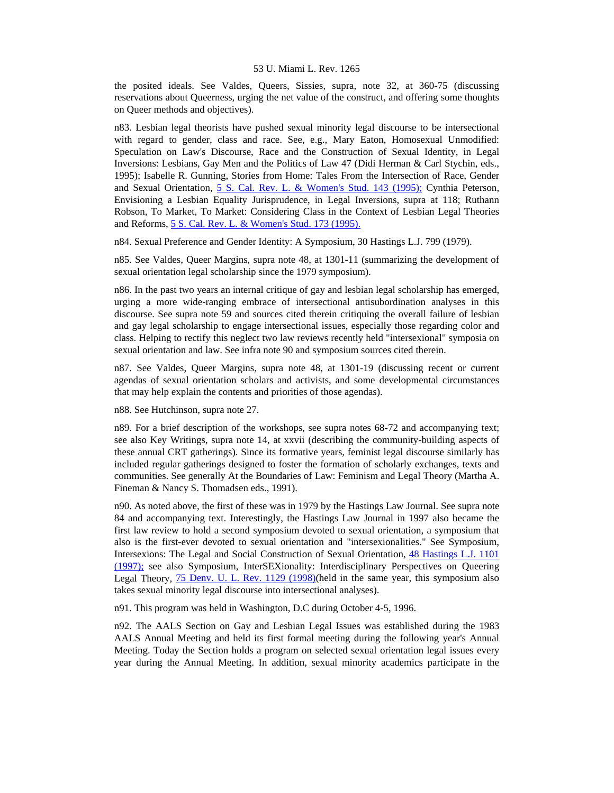the posited ideals. See Valdes, Queers, Sissies, supra, note 32, at 360-75 (discussing reservations about Queerness, urging the net value of the construct, and offering some thoughts on Queer methods and objectives).

n83. Lesbian legal theorists have pushed sexual minority legal discourse to be intersectional with regard to gender, class and race. See, e.g., Mary Eaton, Homosexual Unmodified: Speculation on Law's Discourse, Race and the Construction of Sexual Identity, in Legal Inversions: Lesbians, Gay Men and the Politics of Law 47 (Didi Herman & Carl Stychin, eds., 1995); Isabelle R. Gunning, Stories from Home: Tales From the Intersection of Race, Gender and Sexual Orientation, [5 S. Cal. Rev. L. & Women's Stud. 143 \(1995\);](http://www.lexis.com/research/xlink?searchtype=get&search=5%20S.%20Cal.%20Rev.%20L.%20%26%20Women) Cynthia Peterson, Envisioning a Lesbian Equality Jurisprudence, in Legal Inversions, supra at 118; Ruthann Robson, To Market, To Market: Considering Class in the Context of Lesbian Legal Theories and Reforms, [5 S. Cal. Rev. L. & Women's Stud. 173 \(1995\).](http://www.lexis.com/research/xlink?searchtype=get&search=5%20S.%20Cal.%20Rev.%20L.%20%26%20Women)

n84. Sexual Preference and Gender Identity: A Symposium, 30 Hastings L.J. 799 (1979).

n85. See Valdes, Queer Margins, supra note 48, at 1301-11 (summarizing the development of sexual orientation legal scholarship since the 1979 symposium).

n86. In the past two years an internal critique of gay and lesbian legal scholarship has emerged, urging a more wide-ranging embrace of intersectional antisubordination analyses in this discourse. See supra note 59 and sources cited therein critiquing the overall failure of lesbian and gay legal scholarship to engage intersectional issues, especially those regarding color and class. Helping to rectify this neglect two law reviews recently held "intersexional" symposia on sexual orientation and law. See infra note 90 and symposium sources cited therein.

n87. See Valdes, Queer Margins, supra note 48, at 1301-19 (discussing recent or current agendas of sexual orientation scholars and activists, and some developmental circumstances that may help explain the contents and priorities of those agendas).

n88. See Hutchinson, supra note 27.

n89. For a brief description of the workshops, see supra notes 68-72 and accompanying text; see also Key Writings, supra note 14, at xxvii (describing the community-building aspects of these annual CRT gatherings). Since its formative years, feminist legal discourse similarly has included regular gatherings designed to foster the formation of scholarly exchanges, texts and communities. See generally At the Boundaries of Law: Feminism and Legal Theory (Martha A. Fineman & Nancy S. Thomadsen eds., 1991).

n90. As noted above, the first of these was in 1979 by the Hastings Law Journal. See supra note 84 and accompanying text. Interestingly, the Hastings Law Journal in 1997 also became the first law review to hold a second symposium devoted to sexual orientation, a symposium that also is the first-ever devoted to sexual orientation and "intersexionalities." See Symposium, Intersexions: The Legal and Social Construction of Sexual Orientation, [48 Hastings L.J. 1101](http://www.lexis.com/research/xlink?searchtype=get&search=48%20Hastings%20L.J.%201101)  [\(1997\);](http://www.lexis.com/research/xlink?searchtype=get&search=48%20Hastings%20L.J.%201101) see also Symposium, InterSEXionality: Interdisciplinary Perspectives on Queering Legal Theory, [75 Denv. U. L. Rev. 1129 \(1998\)](http://www.lexis.com/research/xlink?searchtype=get&search=75%20Denv.%20U.L.%20Rev.%201129)(held in the same year, this symposium also takes sexual minority legal discourse into intersectional analyses).

n91. This program was held in Washington, D.C during October 4-5, 1996.

n92. The AALS Section on Gay and Lesbian Legal Issues was established during the 1983 AALS Annual Meeting and held its first formal meeting during the following year's Annual Meeting. Today the Section holds a program on selected sexual orientation legal issues every year during the Annual Meeting. In addition, sexual minority academics participate in the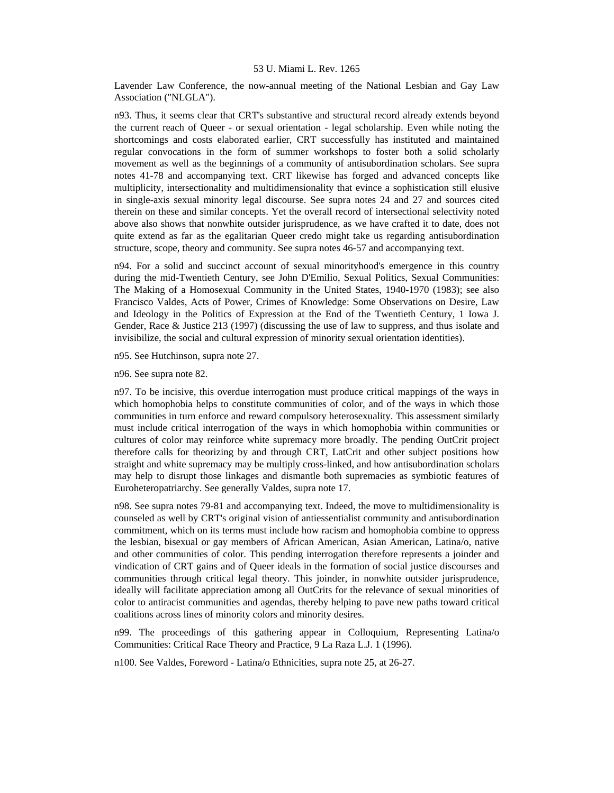Lavender Law Conference, the now-annual meeting of the National Lesbian and Gay Law Association ("NLGLA").

n93. Thus, it seems clear that CRT's substantive and structural record already extends beyond the current reach of Queer - or sexual orientation - legal scholarship. Even while noting the shortcomings and costs elaborated earlier, CRT successfully has instituted and maintained regular convocations in the form of summer workshops to foster both a solid scholarly movement as well as the beginnings of a community of antisubordination scholars. See supra notes 41-78 and accompanying text. CRT likewise has forged and advanced concepts like multiplicity, intersectionality and multidimensionality that evince a sophistication still elusive in single-axis sexual minority legal discourse. See supra notes 24 and 27 and sources cited therein on these and similar concepts. Yet the overall record of intersectional selectivity noted above also shows that nonwhite outsider jurisprudence, as we have crafted it to date, does not quite extend as far as the egalitarian Queer credo might take us regarding antisubordination structure, scope, theory and community. See supra notes 46-57 and accompanying text.

n94. For a solid and succinct account of sexual minorityhood's emergence in this country during the mid-Twentieth Century, see John D'Emilio, Sexual Politics, Sexual Communities: The Making of a Homosexual Community in the United States, 1940-1970 (1983); see also Francisco Valdes, Acts of Power, Crimes of Knowledge: Some Observations on Desire, Law and Ideology in the Politics of Expression at the End of the Twentieth Century, 1 Iowa J. Gender, Race & Justice 213 (1997) (discussing the use of law to suppress, and thus isolate and invisibilize, the social and cultural expression of minority sexual orientation identities).

n95. See Hutchinson, supra note 27.

n96. See supra note 82.

n97. To be incisive, this overdue interrogation must produce critical mappings of the ways in which homophobia helps to constitute communities of color, and of the ways in which those communities in turn enforce and reward compulsory heterosexuality. This assessment similarly must include critical interrogation of the ways in which homophobia within communities or cultures of color may reinforce white supremacy more broadly. The pending OutCrit project therefore calls for theorizing by and through CRT, LatCrit and other subject positions how straight and white supremacy may be multiply cross-linked, and how antisubordination scholars may help to disrupt those linkages and dismantle both supremacies as symbiotic features of Euroheteropatriarchy. See generally Valdes, supra note 17.

n98. See supra notes 79-81 and accompanying text. Indeed, the move to multidimensionality is counseled as well by CRT's original vision of antiessentialist community and antisubordination commitment, which on its terms must include how racism and homophobia combine to oppress the lesbian, bisexual or gay members of African American, Asian American, Latina/o, native and other communities of color. This pending interrogation therefore represents a joinder and vindication of CRT gains and of Queer ideals in the formation of social justice discourses and communities through critical legal theory. This joinder, in nonwhite outsider jurisprudence, ideally will facilitate appreciation among all OutCrits for the relevance of sexual minorities of color to antiracist communities and agendas, thereby helping to pave new paths toward critical coalitions across lines of minority colors and minority desires.

n99. The proceedings of this gathering appear in Colloquium, Representing Latina/o Communities: Critical Race Theory and Practice, 9 La Raza L.J. 1 (1996).

n100. See Valdes, Foreword - Latina/o Ethnicities, supra note 25, at 26-27.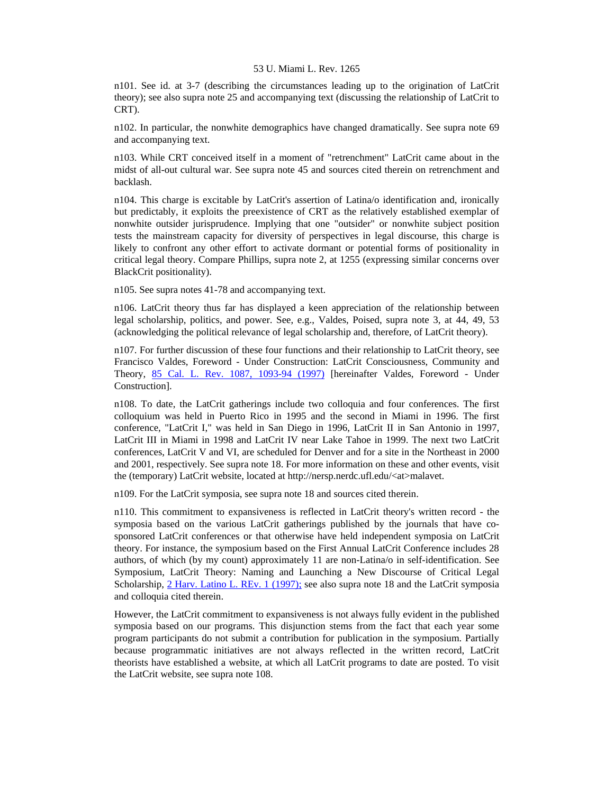n101. See id. at 3-7 (describing the circumstances leading up to the origination of LatCrit theory); see also supra note 25 and accompanying text (discussing the relationship of LatCrit to CRT).

n102. In particular, the nonwhite demographics have changed dramatically. See supra note 69 and accompanying text.

n103. While CRT conceived itself in a moment of "retrenchment" LatCrit came about in the midst of all-out cultural war. See supra note 45 and sources cited therein on retrenchment and backlash.

n104. This charge is excitable by LatCrit's assertion of Latina/o identification and, ironically but predictably, it exploits the preexistence of CRT as the relatively established exemplar of nonwhite outsider jurisprudence. Implying that one "outsider" or nonwhite subject position tests the mainstream capacity for diversity of perspectives in legal discourse, this charge is likely to confront any other effort to activate dormant or potential forms of positionality in critical legal theory. Compare Phillips, supra note 2, at 1255 (expressing similar concerns over BlackCrit positionality).

n105. See supra notes 41-78 and accompanying text.

n106. LatCrit theory thus far has displayed a keen appreciation of the relationship between legal scholarship, politics, and power. See, e.g., Valdes, Poised, supra note 3, at 44, 49, 53 (acknowledging the political relevance of legal scholarship and, therefore, of LatCrit theory).

n107. For further discussion of these four functions and their relationship to LatCrit theory, see Francisco Valdes, Foreword - Under Construction: LatCrit Consciousness, Community and Theory, [85 Cal. L. Rev. 1087, 1093-94 \(1997\)](http://www.lexis.com/research/xlink?searchtype=get&search=85%20Calif.%20L.%20Rev.%201087,at%201093) [hereinafter Valdes, Foreword - Under Construction].

n108. To date, the LatCrit gatherings include two colloquia and four conferences. The first colloquium was held in Puerto Rico in 1995 and the second in Miami in 1996. The first conference, "LatCrit I," was held in San Diego in 1996, LatCrit II in San Antonio in 1997, LatCrit III in Miami in 1998 and LatCrit IV near Lake Tahoe in 1999. The next two LatCrit conferences, LatCrit V and VI, are scheduled for Denver and for a site in the Northeast in 2000 and 2001, respectively. See supra note 18. For more information on these and other events, visit the (temporary) LatCrit website, located at http://nersp.nerdc.ufl.edu/<at>malavet.

n109. For the LatCrit symposia, see supra note 18 and sources cited therein.

n110. This commitment to expansiveness is reflected in LatCrit theory's written record - the symposia based on the various LatCrit gatherings published by the journals that have cosponsored LatCrit conferences or that otherwise have held independent symposia on LatCrit theory. For instance, the symposium based on the First Annual LatCrit Conference includes 28 authors, of which (by my count) approximately 11 are non-Latina/o in self-identification. See Symposium, LatCrit Theory: Naming and Launching a New Discourse of Critical Legal Scholarship, [2 Harv. Latino L. REv. 1 \(1997\);](http://www.lexis.com/research/xlink?searchtype=get&search=2%20Harv.%20Latino%20L.%20Rev.%201) see also supra note 18 and the LatCrit symposia and colloquia cited therein.

However, the LatCrit commitment to expansiveness is not always fully evident in the published symposia based on our programs. This disjunction stems from the fact that each year some program participants do not submit a contribution for publication in the symposium. Partially because programmatic initiatives are not always reflected in the written record, LatCrit theorists have established a website, at which all LatCrit programs to date are posted. To visit the LatCrit website, see supra note 108.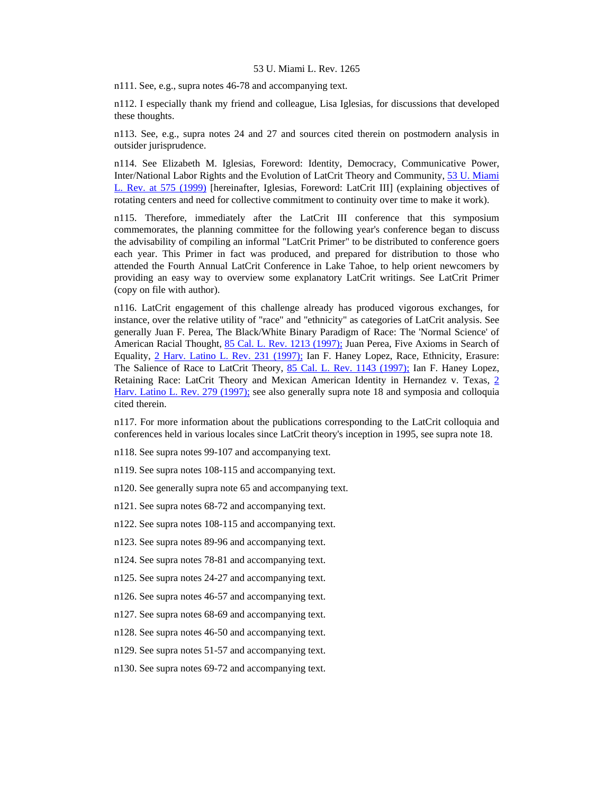n111. See, e.g., supra notes 46-78 and accompanying text.

n112. I especially thank my friend and colleague, Lisa Iglesias, for discussions that developed these thoughts.

n113. See, e.g., supra notes 24 and 27 and sources cited therein on postmodern analysis in outsider jurisprudence.

n114. See Elizabeth M. Iglesias, Foreword: Identity, Democracy, Communicative Power, Inter/National Labor Rights and the Evolution of LatCrit Theory and Community, [53 U. Miami](http://www.lexis.com/research/xlink?searchtype=get&search=53%20U.%20Miami%20L.%20Rev.%20575)  [L. Rev. at 575 \(1999\)](http://www.lexis.com/research/xlink?searchtype=get&search=53%20U.%20Miami%20L.%20Rev.%20575) [hereinafter, Iglesias, Foreword: LatCrit III] (explaining objectives of rotating centers and need for collective commitment to continuity over time to make it work).

n115. Therefore, immediately after the LatCrit III conference that this symposium commemorates, the planning committee for the following year's conference began to discuss the advisability of compiling an informal "LatCrit Primer" to be distributed to conference goers each year. This Primer in fact was produced, and prepared for distribution to those who attended the Fourth Annual LatCrit Conference in Lake Tahoe, to help orient newcomers by providing an easy way to overview some explanatory LatCrit writings. See LatCrit Primer (copy on file with author).

n116. LatCrit engagement of this challenge already has produced vigorous exchanges, for instance, over the relative utility of "race" and "ethnicity" as categories of LatCrit analysis. See generally Juan F. Perea, The Black/White Binary Paradigm of Race: The 'Normal Science' of American Racial Thought, [85 Cal. L. Rev. 1213 \(1997\);](http://www.lexis.com/research/xlink?searchtype=get&search=85%20Calif.%20L.%20Rev.%201213) Juan Perea, Five Axioms in Search of Equality, [2 Harv. Latino L. Rev. 231 \(1997\);](http://www.lexis.com/research/xlink?searchtype=get&search=2%20Harv.%20Latino%20L.%20Rev.%20231) Ian F. Haney Lopez, Race, Ethnicity, Erasure: The Salience of Race to LatCrit Theory, [85 Cal. L. Rev. 1143 \(1997\);](http://www.lexis.com/research/xlink?searchtype=get&search=85%20Calif.%20L.%20Rev.%201143) Ian F. Haney Lopez, Retaining Race: LatCrit Theory and Mexican American Identity in Hernandez v. Texas, [2](http://www.lexis.com/research/xlink?searchtype=get&search=2%20Harv.%20Latino%20L.%20Rev.%20279)  [Harv. Latino L. Rev. 279 \(1997\);](http://www.lexis.com/research/xlink?searchtype=get&search=2%20Harv.%20Latino%20L.%20Rev.%20279) see also generally supra note 18 and symposia and colloquia cited therein.

n117. For more information about the publications corresponding to the LatCrit colloquia and conferences held in various locales since LatCrit theory's inception in 1995, see supra note 18.

n118. See supra notes 99-107 and accompanying text.

n119. See supra notes 108-115 and accompanying text.

n120. See generally supra note 65 and accompanying text.

n121. See supra notes 68-72 and accompanying text.

n122. See supra notes 108-115 and accompanying text.

n123. See supra notes 89-96 and accompanying text.

n124. See supra notes 78-81 and accompanying text.

n125. See supra notes 24-27 and accompanying text.

n126. See supra notes 46-57 and accompanying text.

n127. See supra notes 68-69 and accompanying text.

n128. See supra notes 46-50 and accompanying text.

n129. See supra notes 51-57 and accompanying text.

n130. See supra notes 69-72 and accompanying text.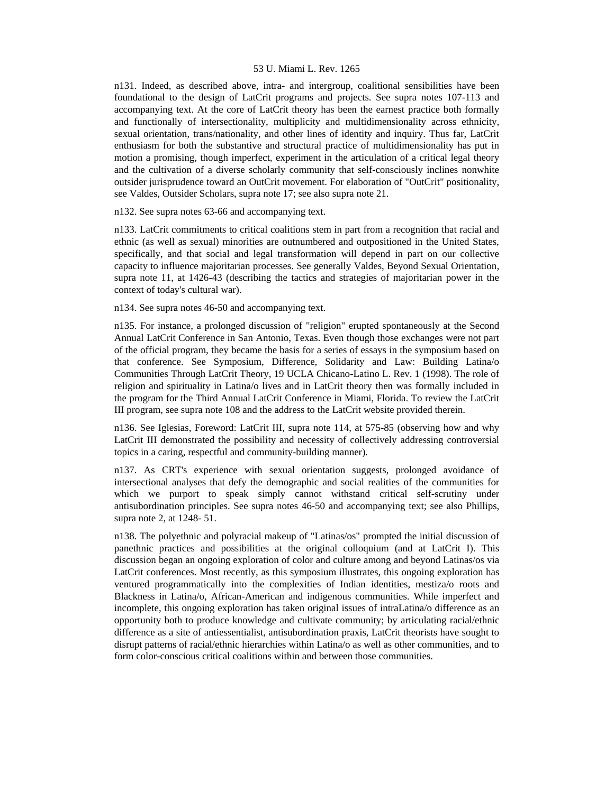n131. Indeed, as described above, intra- and intergroup, coalitional sensibilities have been foundational to the design of LatCrit programs and projects. See supra notes 107-113 and accompanying text. At the core of LatCrit theory has been the earnest practice both formally and functionally of intersectionality, multiplicity and multidimensionality across ethnicity, sexual orientation, trans/nationality, and other lines of identity and inquiry. Thus far, LatCrit enthusiasm for both the substantive and structural practice of multidimensionality has put in motion a promising, though imperfect, experiment in the articulation of a critical legal theory and the cultivation of a diverse scholarly community that self-consciously inclines nonwhite outsider jurisprudence toward an OutCrit movement. For elaboration of "OutCrit" positionality, see Valdes, Outsider Scholars, supra note 17; see also supra note 21.

n132. See supra notes 63-66 and accompanying text.

n133. LatCrit commitments to critical coalitions stem in part from a recognition that racial and ethnic (as well as sexual) minorities are outnumbered and outpositioned in the United States, specifically, and that social and legal transformation will depend in part on our collective capacity to influence majoritarian processes. See generally Valdes, Beyond Sexual Orientation, supra note 11, at 1426-43 (describing the tactics and strategies of majoritarian power in the context of today's cultural war).

n134. See supra notes 46-50 and accompanying text.

n135. For instance, a prolonged discussion of "religion" erupted spontaneously at the Second Annual LatCrit Conference in San Antonio, Texas. Even though those exchanges were not part of the official program, they became the basis for a series of essays in the symposium based on that conference. See Symposium, Difference, Solidarity and Law: Building Latina/o Communities Through LatCrit Theory, 19 UCLA Chicano-Latino L. Rev. 1 (1998). The role of religion and spirituality in Latina/o lives and in LatCrit theory then was formally included in the program for the Third Annual LatCrit Conference in Miami, Florida. To review the LatCrit III program, see supra note 108 and the address to the LatCrit website provided therein.

n136. See Iglesias, Foreword: LatCrit III, supra note 114, at 575-85 (observing how and why LatCrit III demonstrated the possibility and necessity of collectively addressing controversial topics in a caring, respectful and community-building manner).

n137. As CRT's experience with sexual orientation suggests, prolonged avoidance of intersectional analyses that defy the demographic and social realities of the communities for which we purport to speak simply cannot withstand critical self-scrutiny under antisubordination principles. See supra notes 46-50 and accompanying text; see also Phillips, supra note 2, at 1248- 51.

n138. The polyethnic and polyracial makeup of "Latinas/os" prompted the initial discussion of panethnic practices and possibilities at the original colloquium (and at LatCrit I). This discussion began an ongoing exploration of color and culture among and beyond Latinas/os via LatCrit conferences. Most recently, as this symposium illustrates, this ongoing exploration has ventured programmatically into the complexities of Indian identities, mestiza/o roots and Blackness in Latina/o, African-American and indigenous communities. While imperfect and incomplete, this ongoing exploration has taken original issues of intraLatina/o difference as an opportunity both to produce knowledge and cultivate community; by articulating racial/ethnic difference as a site of antiessentialist, antisubordination praxis, LatCrit theorists have sought to disrupt patterns of racial/ethnic hierarchies within Latina/o as well as other communities, and to form color-conscious critical coalitions within and between those communities.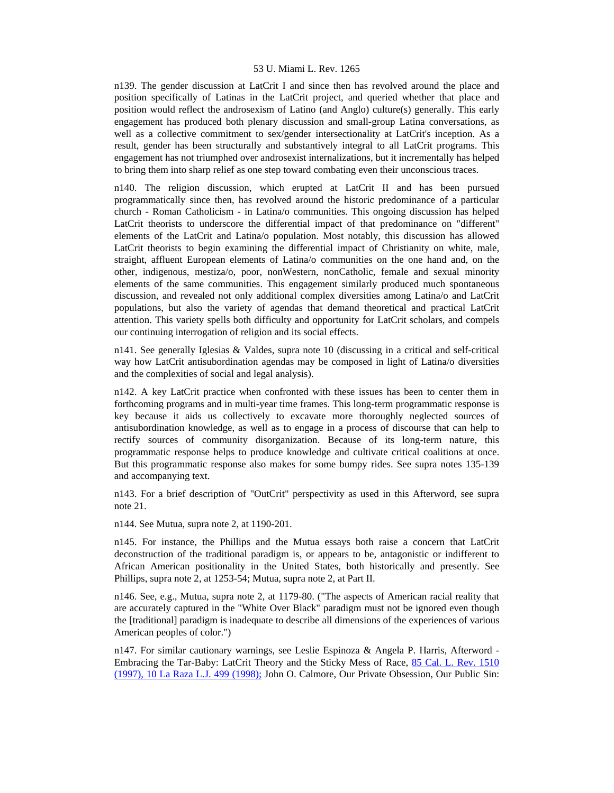n139. The gender discussion at LatCrit I and since then has revolved around the place and position specifically of Latinas in the LatCrit project, and queried whether that place and position would reflect the androsexism of Latino (and Anglo) culture(s) generally. This early engagement has produced both plenary discussion and small-group Latina conversations, as well as a collective commitment to sex/gender intersectionality at LatCrit's inception. As a result, gender has been structurally and substantively integral to all LatCrit programs. This engagement has not triumphed over androsexist internalizations, but it incrementally has helped to bring them into sharp relief as one step toward combating even their unconscious traces.

n140. The religion discussion, which erupted at LatCrit II and has been pursued programmatically since then, has revolved around the historic predominance of a particular church - Roman Catholicism - in Latina/o communities. This ongoing discussion has helped LatCrit theorists to underscore the differential impact of that predominance on "different" elements of the LatCrit and Latina/o population. Most notably, this discussion has allowed LatCrit theorists to begin examining the differential impact of Christianity on white, male, straight, affluent European elements of Latina/o communities on the one hand and, on the other, indigenous, mestiza/o, poor, nonWestern, nonCatholic, female and sexual minority elements of the same communities. This engagement similarly produced much spontaneous discussion, and revealed not only additional complex diversities among Latina/o and LatCrit populations, but also the variety of agendas that demand theoretical and practical LatCrit attention. This variety spells both difficulty and opportunity for LatCrit scholars, and compels our continuing interrogation of religion and its social effects.

n141. See generally Iglesias & Valdes, supra note 10 (discussing in a critical and self-critical way how LatCrit antisubordination agendas may be composed in light of Latina/o diversities and the complexities of social and legal analysis).

n142. A key LatCrit practice when confronted with these issues has been to center them in forthcoming programs and in multi-year time frames. This long-term programmatic response is key because it aids us collectively to excavate more thoroughly neglected sources of antisubordination knowledge, as well as to engage in a process of discourse that can help to rectify sources of community disorganization. Because of its long-term nature, this programmatic response helps to produce knowledge and cultivate critical coalitions at once. But this programmatic response also makes for some bumpy rides. See supra notes 135-139 and accompanying text.

n143. For a brief description of "OutCrit" perspectivity as used in this Afterword, see supra note 21.

n144. See Mutua, supra note 2, at 1190-201.

n145. For instance, the Phillips and the Mutua essays both raise a concern that LatCrit deconstruction of the traditional paradigm is, or appears to be, antagonistic or indifferent to African American positionality in the United States, both historically and presently. See Phillips, supra note 2, at 1253-54; Mutua, supra note 2, at Part II.

n146. See, e.g., Mutua, supra note 2, at 1179-80. ("The aspects of American racial reality that are accurately captured in the "White Over Black" paradigm must not be ignored even though the [traditional] paradigm is inadequate to describe all dimensions of the experiences of various American peoples of color.")

n147. For similar cautionary warnings, see Leslie Espinoza & Angela P. Harris, Afterword - Embracing the Tar-Baby: LatCrit Theory and the Sticky Mess of Race, [85 Cal. L. Rev. 1510](http://www.lexis.com/research/xlink?searchtype=get&search=85%20Calif.%20L.%20Rev.%201510)  [\(1997\), 10 La Raza L.J. 499 \(1998\);](http://www.lexis.com/research/xlink?searchtype=get&search=85%20Calif.%20L.%20Rev.%201510) John O. Calmore, Our Private Obsession, Our Public Sin: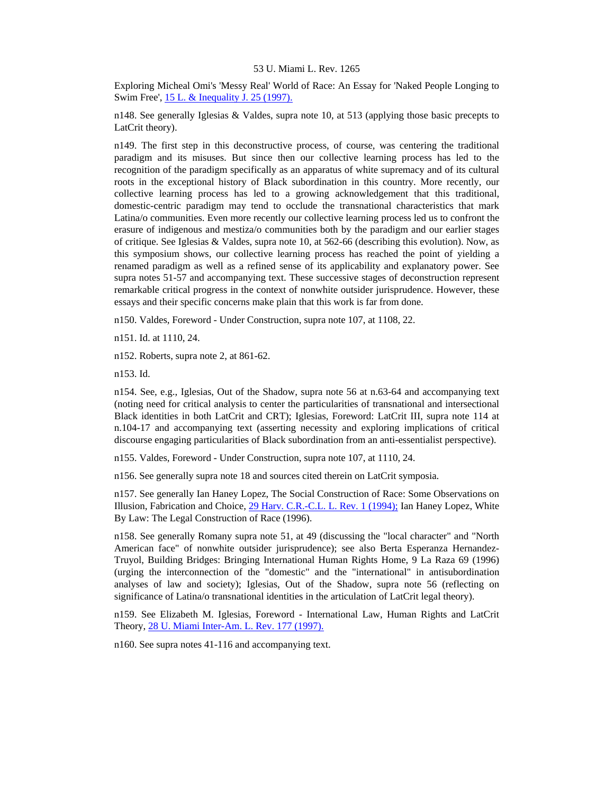Exploring Micheal Omi's 'Messy Real' World of Race: An Essay for 'Naked People Longing to Swim Free', [15 L. & Inequality J. 25 \(1997\).](http://www.lexis.com/research/xlink?searchtype=get&search=15%20Law%20%26%20Ineq.%20J.%2025)

n148. See generally Iglesias & Valdes, supra note 10, at 513 (applying those basic precepts to LatCrit theory).

n149. The first step in this deconstructive process, of course, was centering the traditional paradigm and its misuses. But since then our collective learning process has led to the recognition of the paradigm specifically as an apparatus of white supremacy and of its cultural roots in the exceptional history of Black subordination in this country. More recently, our collective learning process has led to a growing acknowledgement that this traditional, domestic-centric paradigm may tend to occlude the transnational characteristics that mark Latina/o communities. Even more recently our collective learning process led us to confront the erasure of indigenous and mestiza/o communities both by the paradigm and our earlier stages of critique. See Iglesias & Valdes, supra note 10, at 562-66 (describing this evolution). Now, as this symposium shows, our collective learning process has reached the point of yielding a renamed paradigm as well as a refined sense of its applicability and explanatory power. See supra notes 51-57 and accompanying text. These successive stages of deconstruction represent remarkable critical progress in the context of nonwhite outsider jurisprudence. However, these essays and their specific concerns make plain that this work is far from done.

n150. Valdes, Foreword - Under Construction, supra note 107, at 1108, 22.

n151. Id. at 1110, 24.

n152. Roberts, supra note 2, at 861-62.

n153. Id.

n154. See, e.g., Iglesias, Out of the Shadow, supra note 56 at n.63-64 and accompanying text (noting need for critical analysis to center the particularities of transnational and intersectional Black identities in both LatCrit and CRT); Iglesias, Foreword: LatCrit III, supra note 114 at n.104-17 and accompanying text (asserting necessity and exploring implications of critical discourse engaging particularities of Black subordination from an anti-essentialist perspective).

n155. Valdes, Foreword - Under Construction, supra note 107, at 1110, 24.

n156. See generally supra note 18 and sources cited therein on LatCrit symposia.

n157. See generally Ian Haney Lopez, The Social Construction of Race: Some Observations on Illusion, Fabrication and Choice, [29 Harv. C.R.-C.L. L. Rev. 1 \(1994\);](http://www.lexis.com/research/xlink?searchtype=get&search=29%20Harv.%20C.R.-C.L.%20L.%20Rev.%201) Ian Haney Lopez, White By Law: The Legal Construction of Race (1996).

n158. See generally Romany supra note 51, at 49 (discussing the "local character" and "North American face" of nonwhite outsider jurisprudence); see also Berta Esperanza Hernandez-Truyol, Building Bridges: Bringing International Human Rights Home, 9 La Raza 69 (1996) (urging the interconnection of the "domestic" and the "international" in antisubordination analyses of law and society); Iglesias, Out of the Shadow, supra note 56 (reflecting on significance of Latina/o transnational identities in the articulation of LatCrit legal theory).

n159. See Elizabeth M. Iglesias, Foreword - International Law, Human Rights and LatCrit Theory, [28 U. Miami Inter-Am. L. Rev. 177 \(1997\).](http://www.lexis.com/research/xlink?searchtype=get&search=28%20U.%20Miami%20Inter-Am.%20L.%20Rev.%20177)

n160. See supra notes 41-116 and accompanying text.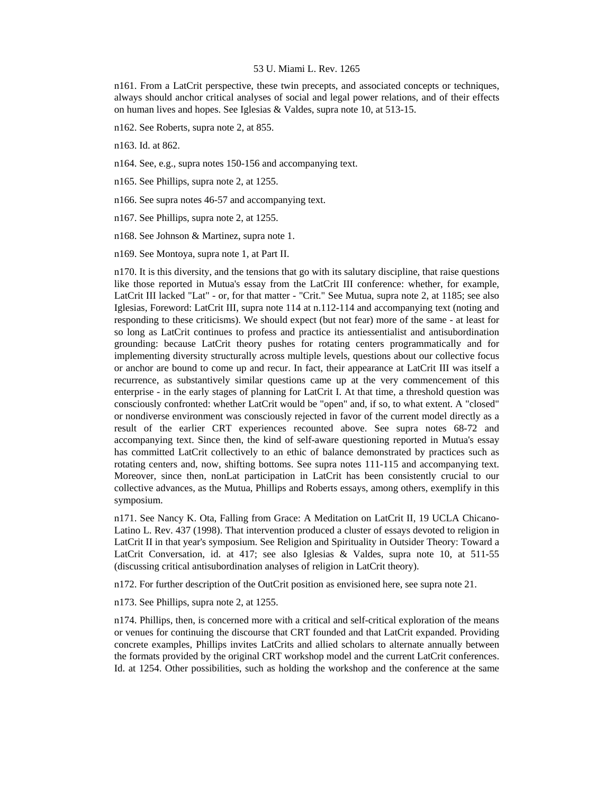n161. From a LatCrit perspective, these twin precepts, and associated concepts or techniques, always should anchor critical analyses of social and legal power relations, and of their effects on human lives and hopes. See Iglesias & Valdes, supra note 10, at 513-15.

n162. See Roberts, supra note 2, at 855.

n163. Id. at 862.

n164. See, e.g., supra notes 150-156 and accompanying text.

n165. See Phillips, supra note 2, at 1255.

n166. See supra notes 46-57 and accompanying text.

n167. See Phillips, supra note 2, at 1255.

n168. See Johnson & Martinez, supra note 1.

n169. See Montoya, supra note 1, at Part II.

n170. It is this diversity, and the tensions that go with its salutary discipline, that raise questions like those reported in Mutua's essay from the LatCrit III conference: whether, for example, LatCrit III lacked "Lat" - or, for that matter - "Crit." See Mutua, supra note 2, at 1185; see also Iglesias, Foreword: LatCrit III, supra note 114 at n.112-114 and accompanying text (noting and responding to these criticisms). We should expect (but not fear) more of the same - at least for so long as LatCrit continues to profess and practice its antiessentialist and antisubordination grounding: because LatCrit theory pushes for rotating centers programmatically and for implementing diversity structurally across multiple levels, questions about our collective focus or anchor are bound to come up and recur. In fact, their appearance at LatCrit III was itself a recurrence, as substantively similar questions came up at the very commencement of this enterprise - in the early stages of planning for LatCrit I. At that time, a threshold question was consciously confronted: whether LatCrit would be "open" and, if so, to what extent. A "closed" or nondiverse environment was consciously rejected in favor of the current model directly as a result of the earlier CRT experiences recounted above. See supra notes 68-72 and accompanying text. Since then, the kind of self-aware questioning reported in Mutua's essay has committed LatCrit collectively to an ethic of balance demonstrated by practices such as rotating centers and, now, shifting bottoms. See supra notes 111-115 and accompanying text. Moreover, since then, nonLat participation in LatCrit has been consistently crucial to our collective advances, as the Mutua, Phillips and Roberts essays, among others, exemplify in this symposium.

n171. See Nancy K. Ota, Falling from Grace: A Meditation on LatCrit II, 19 UCLA Chicano-Latino L. Rev. 437 (1998). That intervention produced a cluster of essays devoted to religion in LatCrit II in that year's symposium. See Religion and Spirituality in Outsider Theory: Toward a LatCrit Conversation, id. at 417; see also Iglesias & Valdes, supra note 10, at 511-55 (discussing critical antisubordination analyses of religion in LatCrit theory).

n172. For further description of the OutCrit position as envisioned here, see supra note 21.

n173. See Phillips, supra note 2, at 1255.

n174. Phillips, then, is concerned more with a critical and self-critical exploration of the means or venues for continuing the discourse that CRT founded and that LatCrit expanded. Providing concrete examples, Phillips invites LatCrits and allied scholars to alternate annually between the formats provided by the original CRT workshop model and the current LatCrit conferences. Id. at 1254. Other possibilities, such as holding the workshop and the conference at the same